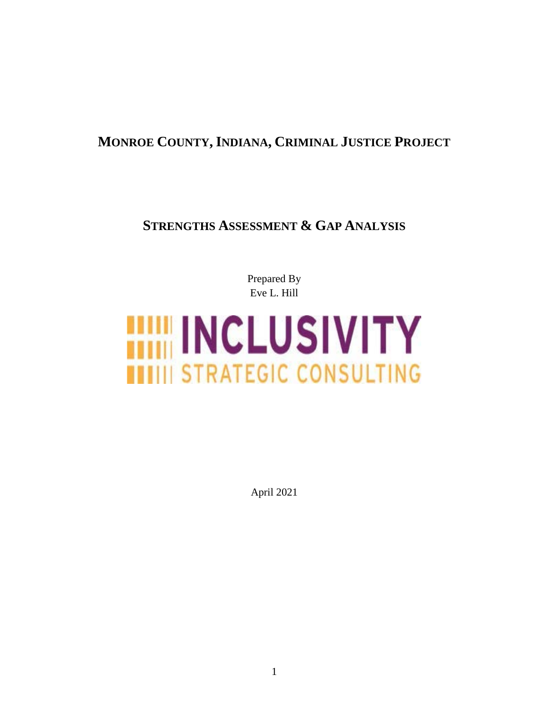# **MONROE COUNTY, INDIANA, CRIMINAL JUSTICE PROJECT**

# **STRENGTHS ASSESSMENT & GAP ANALYSIS**

Prepared By Eve L. Hill

# **HIM INCLUSIVITY ITITII STRATEGIC CONSULTING**

April 2021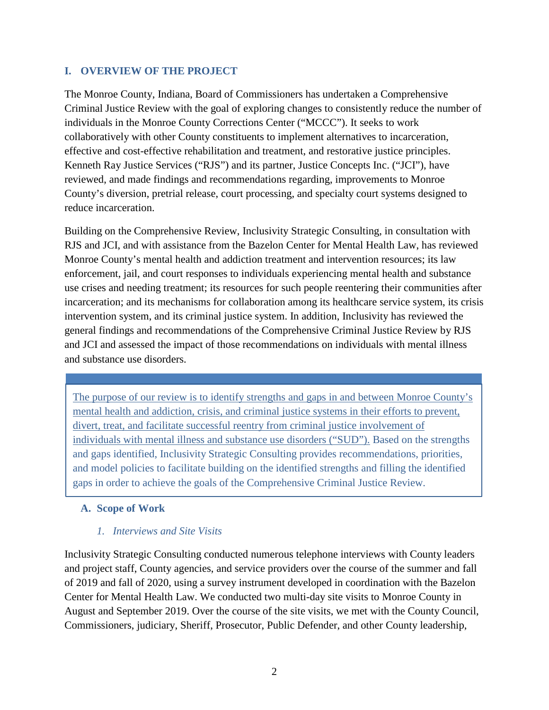#### **I. OVERVIEW OF THE PROJECT**

The Monroe County, Indiana, Board of Commissioners has undertaken a Comprehensive Criminal Justice Review with the goal of exploring changes to consistently reduce the number of individuals in the Monroe County Corrections Center ("MCCC"). It seeks to work collaboratively with other County constituents to implement alternatives to incarceration, effective and cost-effective rehabilitation and treatment, and restorative justice principles. Kenneth Ray Justice Services ("RJS") and its partner, Justice Concepts Inc. ("JCI"), have reviewed, and made findings and recommendations regarding, improvements to Monroe County's diversion, pretrial release, court processing, and specialty court systems designed to reduce incarceration.

Building on the Comprehensive Review, Inclusivity Strategic Consulting, in consultation with RJS and JCI, and with assistance from the Bazelon Center for Mental Health Law, has reviewed Monroe County's mental health and addiction treatment and intervention resources; its law enforcement, jail, and court responses to individuals experiencing mental health and substance use crises and needing treatment; its resources for such people reentering their communities after incarceration; and its mechanisms for collaboration among its healthcare service system, its crisis intervention system, and its criminal justice system. In addition, Inclusivity has reviewed the general findings and recommendations of the Comprehensive Criminal Justice Review by RJS and JCI and assessed the impact of those recommendations on individuals with mental illness and substance use disorders.

The purpose of our review is to identify strengths and gaps in and between Monroe County's mental health and addiction, crisis, and criminal justice systems in their efforts to prevent, divert, treat, and facilitate successful reentry from criminal justice involvement of individuals with mental illness and substance use disorders ("SUD"). Based on the strengths and gaps identified, Inclusivity Strategic Consulting provides recommendations, priorities, and model policies to facilitate building on the identified strengths and filling the identified gaps in order to achieve the goals of the Comprehensive Criminal Justice Review.

#### **A. Scope of Work**

#### *1. Interviews and Site Visits*

Inclusivity Strategic Consulting conducted numerous telephone interviews with County leaders and project staff, County agencies, and service providers over the course of the summer and fall of 2019 and fall of 2020, using a survey instrument developed in coordination with the Bazelon Center for Mental Health Law. We conducted two multi-day site visits to Monroe County in August and September 2019. Over the course of the site visits, we met with the County Council, Commissioners, judiciary, Sheriff, Prosecutor, Public Defender, and other County leadership,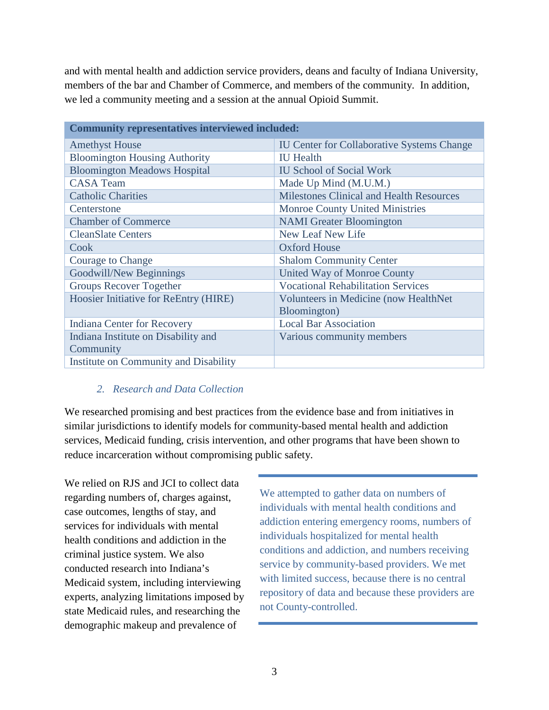and with mental health and addiction service providers, deans and faculty of Indiana University, members of the bar and Chamber of Commerce, and members of the community. In addition, we led a community meeting and a session at the annual Opioid Summit.

| <b>Community representatives interviewed included:</b> |                                                   |  |  |
|--------------------------------------------------------|---------------------------------------------------|--|--|
| <b>Amethyst House</b>                                  | <b>IU Center for Collaborative Systems Change</b> |  |  |
| <b>Bloomington Housing Authority</b>                   | <b>IU</b> Health                                  |  |  |
| <b>Bloomington Meadows Hospital</b>                    | <b>IU School of Social Work</b>                   |  |  |
| <b>CASA Team</b>                                       | Made Up Mind (M.U.M.)                             |  |  |
| <b>Catholic Charities</b>                              | <b>Milestones Clinical and Health Resources</b>   |  |  |
| Centerstone                                            | <b>Monroe County United Ministries</b>            |  |  |
| <b>Chamber of Commerce</b>                             | <b>NAMI</b> Greater Bloomington                   |  |  |
| <b>CleanSlate Centers</b>                              | New Leaf New Life                                 |  |  |
| Cook                                                   | <b>Oxford House</b>                               |  |  |
| <b>Courage to Change</b>                               | <b>Shalom Community Center</b>                    |  |  |
| Goodwill/New Beginnings                                | United Way of Monroe County                       |  |  |
| <b>Groups Recover Together</b>                         | <b>Vocational Rehabilitation Services</b>         |  |  |
| Hoosier Initiative for ReEntry (HIRE)                  | Volunteers in Medicine (now HealthNet             |  |  |
|                                                        | Bloomington)                                      |  |  |
| Indiana Center for Recovery                            | <b>Local Bar Association</b>                      |  |  |
| Indiana Institute on Disability and                    | Various community members                         |  |  |
| Community                                              |                                                   |  |  |
| Institute on Community and Disability                  |                                                   |  |  |

#### *2. Research and Data Collection*

We researched promising and best practices from the evidence base and from initiatives in similar jurisdictions to identify models for community-based mental health and addiction services, Medicaid funding, crisis intervention, and other programs that have been shown to reduce incarceration without compromising public safety.

We relied on RJS and JCI to collect data regarding numbers of, charges against, case outcomes, lengths of stay, and services for individuals with mental health conditions and addiction in the criminal justice system. We also conducted research into Indiana's Medicaid system, including interviewing experts, analyzing limitations imposed by state Medicaid rules, and researching the demographic makeup and prevalence of

We attempted to gather data on numbers of individuals with mental health conditions and addiction entering emergency rooms, numbers of individuals hospitalized for mental health conditions and addiction, and numbers receiving service by community-based providers. We met with limited success, because there is no central repository of data and because these providers are not County-controlled.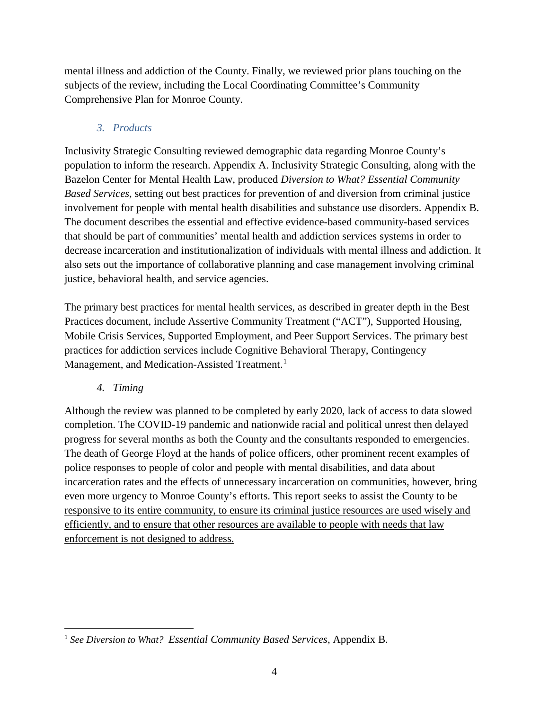mental illness and addiction of the County. Finally, we reviewed prior plans touching on the subjects of the review, including the Local Coordinating Committee's Community Comprehensive Plan for Monroe County.

## *3. Products*

Inclusivity Strategic Consulting reviewed demographic data regarding Monroe County's population to inform the research. Appendix A. Inclusivity Strategic Consulting, along with the Bazelon Center for Mental Health Law, produced *Diversion to What? Essential Community Based Services*, setting out best practices for prevention of and diversion from criminal justice involvement for people with mental health disabilities and substance use disorders. Appendix B. The document describes the essential and effective evidence-based community-based services that should be part of communities' mental health and addiction services systems in order to decrease incarceration and institutionalization of individuals with mental illness and addiction. It also sets out the importance of collaborative planning and case management involving criminal justice, behavioral health, and service agencies.

The primary best practices for mental health services, as described in greater depth in the Best Practices document, include Assertive Community Treatment ("ACT"), Supported Housing, Mobile Crisis Services, Supported Employment, and Peer Support Services. The primary best practices for addiction services include Cognitive Behavioral Therapy, Contingency Management, and Medication-Assisted Treatment.<sup>[1](#page-3-0)</sup>

#### *4. Timing*

Although the review was planned to be completed by early 2020, lack of access to data slowed completion. The COVID-19 pandemic and nationwide racial and political unrest then delayed progress for several months as both the County and the consultants responded to emergencies. The death of George Floyd at the hands of police officers, other prominent recent examples of police responses to people of color and people with mental disabilities, and data about incarceration rates and the effects of unnecessary incarceration on communities, however, bring even more urgency to Monroe County's efforts. This report seeks to assist the County to be responsive to its entire community, to ensure its criminal justice resources are used wisely and efficiently, and to ensure that other resources are available to people with needs that law enforcement is not designed to address.

<span id="page-3-0"></span>l <sup>1</sup> *See Diversion to What? Essential Community Based Services*, Appendix B.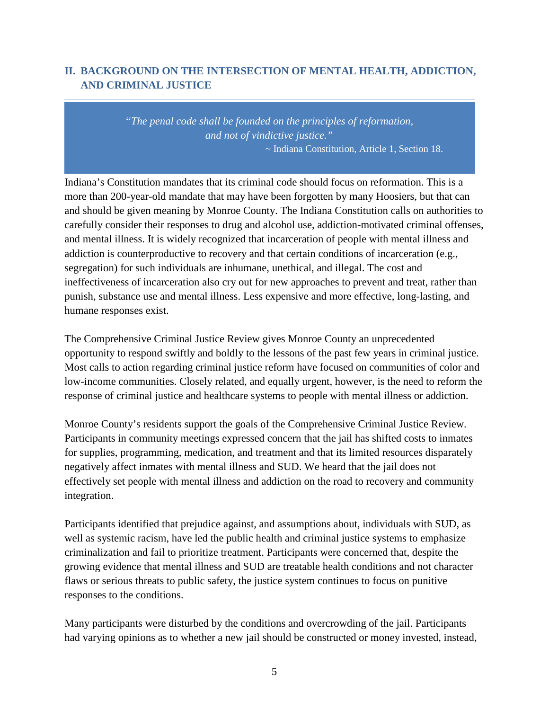## **II. BACKGROUND ON THE INTERSECTION OF MENTAL HEALTH, ADDICTION, AND CRIMINAL JUSTICE**

*"The penal code shall be founded on the principles of reformation, and not of vindictive justice."* ~ Indiana Constitution, Article 1, Section 18.

Indiana's Constitution mandates that its criminal code should focus on reformation. This is a more than 200-year-old mandate that may have been forgotten by many Hoosiers, but that can and should be given meaning by Monroe County. The Indiana Constitution calls on authorities to carefully consider their responses to drug and alcohol use, addiction-motivated criminal offenses, and mental illness. It is widely recognized that incarceration of people with mental illness and addiction is counterproductive to recovery and that certain conditions of incarceration (e.g., segregation) for such individuals are inhumane, unethical, and illegal. The cost and ineffectiveness of incarceration also cry out for new approaches to prevent and treat, rather than punish, substance use and mental illness. Less expensive and more effective, long-lasting, and humane responses exist.

The Comprehensive Criminal Justice Review gives Monroe County an unprecedented opportunity to respond swiftly and boldly to the lessons of the past few years in criminal justice. Most calls to action regarding criminal justice reform have focused on communities of color and low-income communities. Closely related, and equally urgent, however, is the need to reform the response of criminal justice and healthcare systems to people with mental illness or addiction.

Monroe County's residents support the goals of the Comprehensive Criminal Justice Review. Participants in community meetings expressed concern that the jail has shifted costs to inmates for supplies, programming, medication, and treatment and that its limited resources disparately negatively affect inmates with mental illness and SUD. We heard that the jail does not effectively set people with mental illness and addiction on the road to recovery and community integration.

Participants identified that prejudice against, and assumptions about, individuals with SUD, as well as systemic racism, have led the public health and criminal justice systems to emphasize criminalization and fail to prioritize treatment. Participants were concerned that, despite the growing evidence that mental illness and SUD are treatable health conditions and not character flaws or serious threats to public safety, the justice system continues to focus on punitive responses to the conditions.

Many participants were disturbed by the conditions and overcrowding of the jail. Participants had varying opinions as to whether a new jail should be constructed or money invested, instead,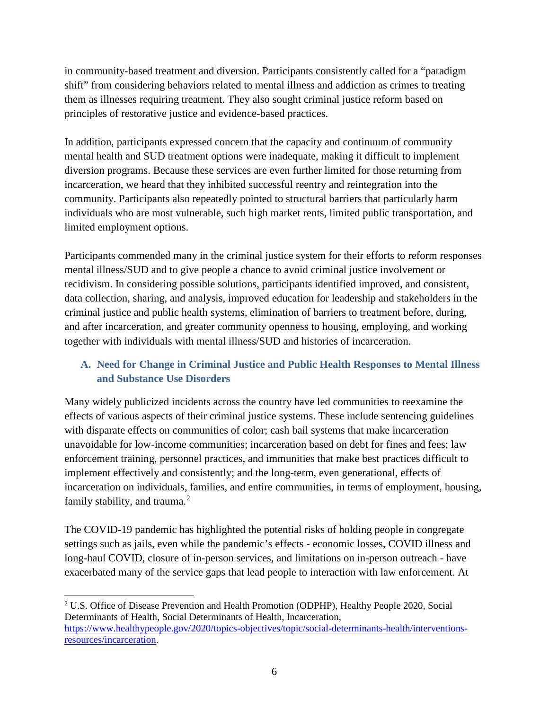in community-based treatment and diversion. Participants consistently called for a "paradigm shift" from considering behaviors related to mental illness and addiction as crimes to treating them as illnesses requiring treatment. They also sought criminal justice reform based on principles of restorative justice and evidence-based practices.

In addition, participants expressed concern that the capacity and continuum of community mental health and SUD treatment options were inadequate, making it difficult to implement diversion programs. Because these services are even further limited for those returning from incarceration, we heard that they inhibited successful reentry and reintegration into the community. Participants also repeatedly pointed to structural barriers that particularly harm individuals who are most vulnerable, such high market rents, limited public transportation, and limited employment options.

Participants commended many in the criminal justice system for their efforts to reform responses mental illness/SUD and to give people a chance to avoid criminal justice involvement or recidivism. In considering possible solutions, participants identified improved, and consistent, data collection, sharing, and analysis, improved education for leadership and stakeholders in the criminal justice and public health systems, elimination of barriers to treatment before, during, and after incarceration, and greater community openness to housing, employing, and working together with individuals with mental illness/SUD and histories of incarceration.

# **A. Need for Change in Criminal Justice and Public Health Responses to Mental Illness and Substance Use Disorders**

Many widely publicized incidents across the country have led communities to reexamine the effects of various aspects of their criminal justice systems. These include sentencing guidelines with disparate effects on communities of color; cash bail systems that make incarceration unavoidable for low-income communities; incarceration based on debt for fines and fees; law enforcement training, personnel practices, and immunities that make best practices difficult to implement effectively and consistently; and the long-term, even generational, effects of incarceration on individuals, families, and entire communities, in terms of employment, housing, family stability, and trauma.<sup>[2](#page-5-0)</sup>

The COVID-19 pandemic has highlighted the potential risks of holding people in congregate settings such as jails, even while the pandemic's effects - economic losses, COVID illness and long-haul COVID, closure of in-person services, and limitations on in-person outreach - have exacerbated many of the service gaps that lead people to interaction with law enforcement. At

 $\overline{a}$ 

<span id="page-5-0"></span><sup>2</sup> U.S. Office of Disease Prevention and Health Promotion (ODPHP), Healthy People 2020, Social Determinants of Health, Social Determinants of Health, Incarceration, [https://www.healthypeople.gov/2020/topics-objectives/topic/social-determinants-health/interventions](https://www.healthypeople.gov/2020/topics-objectives/topic/social-determinants-health/interventions-resources/incarceration)[resources/incarceration.](https://www.healthypeople.gov/2020/topics-objectives/topic/social-determinants-health/interventions-resources/incarceration)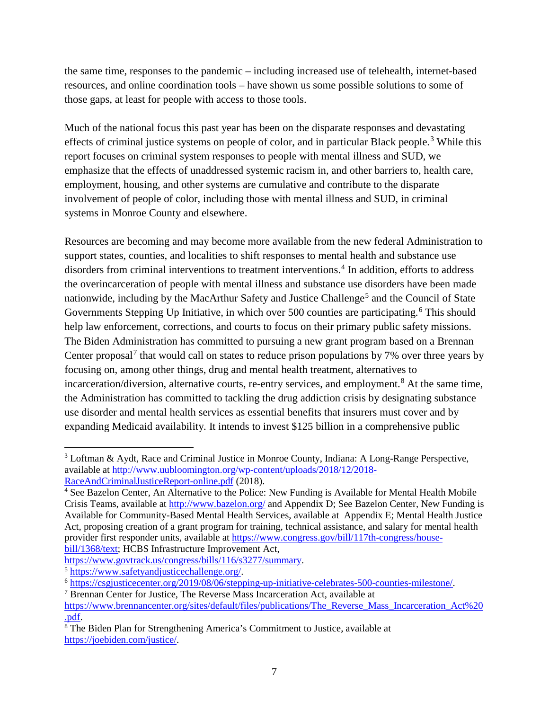the same time, responses to the pandemic – including increased use of telehealth, internet-based resources, and online coordination tools – have shown us some possible solutions to some of those gaps, at least for people with access to those tools.

Much of the national focus this past year has been on the disparate responses and devastating effects of criminal justice systems on people of color, and in particular Black people.<sup>[3](#page-6-0)</sup> While this report focuses on criminal system responses to people with mental illness and SUD, we emphasize that the effects of unaddressed systemic racism in, and other barriers to, health care, employment, housing, and other systems are cumulative and contribute to the disparate involvement of people of color, including those with mental illness and SUD, in criminal systems in Monroe County and elsewhere.

Resources are becoming and may become more available from the new federal Administration to support states, counties, and localities to shift responses to mental health and substance use disorders from criminal interventions to treatment interventions. [4](#page-6-1) In addition, efforts to address the overincarceration of people with mental illness and substance use disorders have been made nationwide, including by the MacArthur Safety and Justice Challenge<sup>[5](#page-6-2)</sup> and the Council of State Governments Stepping Up Initiative, in which over 500 counties are participating.<sup>[6](#page-6-3)</sup> This should help law enforcement, corrections, and courts to focus on their primary public safety missions. The Biden Administration has committed to pursuing a new grant program based on a Brennan Center proposal<sup>[7](#page-6-4)</sup> that would call on states to reduce prison populations by 7% over three years by focusing on, among other things, drug and mental health treatment, alternatives to incarceration/diversion, alternative courts, re-entry services, and employment.<sup>[8](#page-6-5)</sup> At the same time, the Administration has committed to tackling the drug addiction crisis by designating substance use disorder and mental health services as essential benefits that insurers must cover and by expanding Medicaid availability. It intends to invest \$125 billion in a comprehensive public

l

<span id="page-6-0"></span><sup>3</sup> Loftman & Aydt, Race and Criminal Justice in Monroe County, Indiana: A Long-Range Perspective, available at [http://www.uubloomington.org/wp-content/uploads/2018/12/2018-](http://www.uubloomington.org/wp-content/uploads/2018/12/2018-RaceAndCriminalJusticeReport-online.pdf) [RaceAndCriminalJusticeReport-online.pdf](http://www.uubloomington.org/wp-content/uploads/2018/12/2018-RaceAndCriminalJusticeReport-online.pdf) (2018).

<span id="page-6-1"></span><sup>4</sup> See Bazelon Center, An Alternative to the Police: New Funding is Available for Mental Health Mobile Crisis Teams, available at<http://www.bazelon.org/> and Appendix D; See Bazelon Center, New Funding is Available for Community-Based Mental Health Services, available at Appendix E; Mental Health Justice Act, proposing creation of a grant program for training, technical assistance, and salary for mental health provider first responder units, available a[t https://www.congress.gov/bill/117th-congress/house](https://www.congress.gov/bill/117th-congress/house-bill/1368/text)[bill/1368/text;](https://www.congress.gov/bill/117th-congress/house-bill/1368/text) HCBS Infrastructure Improvement Act,

<span id="page-6-2"></span>

[https://www.govtrack.us/congress/bills/116/s3277/summary.](https://www.govtrack.us/congress/bills/116/s3277/summary)<br>
5 https://www.safetyandjusticechallenge.org/<br>
6 [https://csgjusticecenter.org/2019/08/06/stepping-up-initiative-celebrates-500-counties-milestone/.](https://csgjusticecenter.org/2019/08/06/stepping-up-initiative-celebrates-500-counties-milestone/)<br>
7 Brennan Cente

<span id="page-6-4"></span><span id="page-6-3"></span>

[https://www.brennancenter.org/sites/default/files/publications/The\\_Reverse\\_Mass\\_Incarceration\\_Act%20](https://www.brennancenter.org/sites/default/files/publications/The_Reverse_Mass_Incarceration_Act%20.pdf)\_.pdf.

<span id="page-6-5"></span> $\delta$  The Biden Plan for Strengthening America's Commitment to Justice, available at [https://joebiden.com/justice/.](https://joebiden.com/justice/)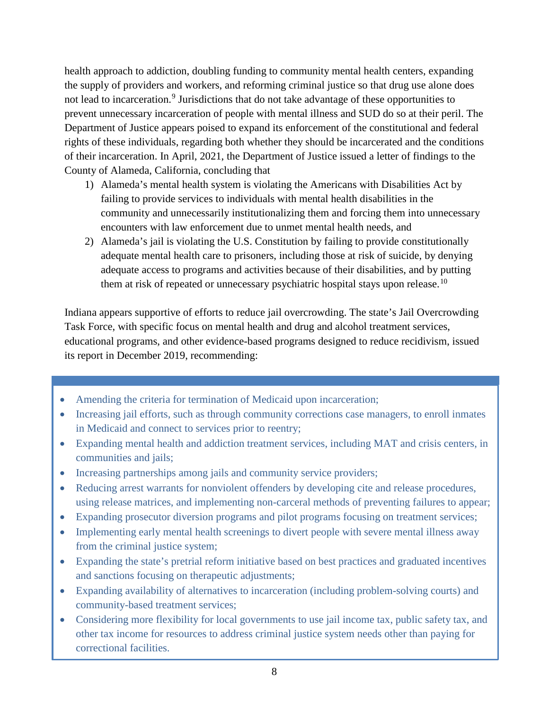health approach to addiction, doubling funding to community mental health centers, expanding the supply of providers and workers, and reforming criminal justice so that drug use alone does not lead to incarceration.<sup>[9](#page-7-0)</sup> Jurisdictions that do not take advantage of these opportunities to prevent unnecessary incarceration of people with mental illness and SUD do so at their peril. The Department of Justice appears poised to expand its enforcement of the constitutional and federal rights of these individuals, regarding both whether they should be incarcerated and the conditions of their incarceration. In April, 2021, the Department of Justice issued a letter of findings to the County of Alameda, California, concluding that

- 1) Alameda's mental health system is violating the Americans with Disabilities Act by failing to provide services to individuals with mental health disabilities in the community and unnecessarily institutionalizing them and forcing them into unnecessary encounters with law enforcement due to unmet mental health needs, and
- 2) Alameda's jail is violating the U.S. Constitution by failing to provide constitutionally adequate mental health care to prisoners, including those at risk of suicide, by denying adequate access to programs and activities because of their disabilities, and by putting them at risk of repeated or unnecessary psychiatric hospital stays upon release.<sup>[10](#page-7-1)</sup>

Indiana appears supportive of efforts to reduce jail overcrowding. The state's Jail Overcrowding Task Force, with specific focus on mental health and drug and alcohol treatment services, educational programs, and other evidence-based programs designed to reduce recidivism, issued its report in December 2019, recommending:

- Amending the criteria for termination of Medicaid upon incarceration;
- Increasing jail efforts, such as through community corrections case managers, to enroll inmates in Medicaid and connect to services prior to reentry;
- Expanding mental health and addiction treatment services, including MAT and crisis centers, in communities and jails;
- Increasing partnerships among jails and community service providers;
- Reducing arrest warrants for nonviolent offenders by developing cite and release procedures, using release matrices, and implementing non-carceral methods of preventing failures to appear;
- Expanding prosecutor diversion programs and pilot programs focusing on treatment services;
- Implementing early mental health screenings to divert people with severe mental illness away from the criminal justice system;
- Expanding the state's pretrial reform initiative based on best practices and graduated incentives and sanctions focusing on therapeutic adjustments;
- Expanding availability of alternatives to incarceration (including problem-solving courts) and community-based treatment services;
- <span id="page-7-1"></span><span id="page-7-0"></span>community-based treatment services;<br>Considering more flexibility for local governments to use jail income tax, public safety tax, and  $\frac{1}{\sqrt{1}}$ other tax income for resources to address criminal justice system needs other than paying for correctional facilities.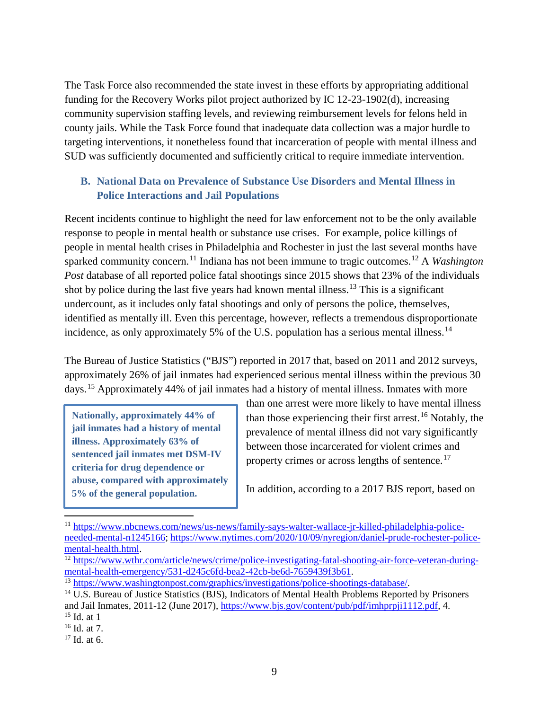The Task Force also recommended the state invest in these efforts by appropriating additional funding for the Recovery Works pilot project authorized by IC 12-23-1902(d), increasing community supervision staffing levels, and reviewing reimbursement levels for felons held in county jails. While the Task Force found that inadequate data collection was a major hurdle to targeting interventions, it nonetheless found that incarceration of people with mental illness and SUD was sufficiently documented and sufficiently critical to require immediate intervention.

#### **B. National Data on Prevalence of Substance Use Disorders and Mental Illness in Police Interactions and Jail Populations**

Recent incidents continue to highlight the need for law enforcement not to be the only available response to people in mental health or substance use crises. For example, police killings of people in mental health crises in Philadelphia and Rochester in just the last several months have sparked community concern.<sup>[11](#page-8-0)</sup> Indiana has not been immune to tragic outcomes.<sup>[12](#page-8-1)</sup> A *Washington Post* database of all reported police fatal shootings since 2015 shows that 23% of the individuals shot by police during the last five years had known mental illness.<sup>[13](#page-8-2)</sup> This is a significant undercount, as it includes only fatal shootings and only of persons the police, themselves, identified as mentally ill. Even this percentage, however, reflects a tremendous disproportionate incidence, as only approximately 5% of the U.S. population has a serious mental illness.<sup>[14](#page-8-3)</sup>

The Bureau of Justice Statistics ("BJS") reported in 2017 that, based on 2011 and 2012 surveys, approximately 26% of jail inmates had experienced serious mental illness within the previous 30 days.[15](#page-8-4) Approximately 44% of jail inmates had a history of mental illness. Inmates with more

**Nationally, approximately 44% of jail inmates had a history of mental illness. Approximately 63% of sentenced jail inmates met DSM-IV criteria for drug dependence or abuse, compared with approximately 5% of the general population.** 

than one arrest were more likely to have mental illness than those experiencing their first arrest.<sup>[16](#page-8-5)</sup> Notably, the prevalence of mental illness did not vary significantly between those incarcerated for violent crimes and property crimes or across lengths of sentence.<sup>[17](#page-8-6)</sup>

In addition, according to a 2017 BJS report, based on

 $\overline{a}$ 

<span id="page-8-0"></span><sup>11</sup> [https://www.nbcnews.com/news/us-news/family-says-walter-wallace-jr-killed-philadelphia-police](https://www.nbcnews.com/news/us-news/family-says-walter-wallace-jr-killed-philadelphia-police-needed-mental-n1245166)[needed-mental-n1245166;](https://www.nbcnews.com/news/us-news/family-says-walter-wallace-jr-killed-philadelphia-police-needed-mental-n1245166) [https://www.nytimes.com/2020/10/09/nyregion/daniel-prude-rochester-police](https://www.nytimes.com/2020/10/09/nyregion/daniel-prude-rochester-police-mental-health.html)[mental-health.html.](https://www.nytimes.com/2020/10/09/nyregion/daniel-prude-rochester-police-mental-health.html)<br><sup>12</sup> [https://www.wthr.com/article/news/crime/police-investigating-fatal-shooting-air-force-veteran-during-](https://www.wthr.com/article/news/crime/police-investigating-fatal-shooting-air-force-veteran-during-mental-health-emergency/531-d245c6fd-bea2-42cb-be6d-7659439f3b61)

<span id="page-8-1"></span>[mental-health-emergency/531-d245c6fd-bea2-42cb-be6d-7659439f3b61.](https://www.wthr.com/article/news/crime/police-investigating-fatal-shooting-air-force-veteran-during-mental-health-emergency/531-d245c6fd-bea2-42cb-be6d-7659439f3b61)<br>
<sup>13</sup> [https://www.washingtonpost.com/graphics/investigations/police-shootings-database/.](https://www.washingtonpost.com/graphics/investigations/police-shootings-database/)<br>
<sup>14</sup> U.S. Bureau of Justice Statistics (BJS), Indicators of Mental

<span id="page-8-2"></span>

<span id="page-8-3"></span>and Jail Inmates, 2011-12 (June 2017), [https://www.bjs.gov/content/pub/pdf/imhprpji1112.pdf,](https://www.bjs.gov/content/pub/pdf/imhprpji1112.pdf) 4. <sup>15</sup> Id. at 1

<span id="page-8-5"></span><span id="page-8-4"></span><sup>16</sup> Id. at 7.

<span id="page-8-6"></span> $17$  Id. at 6.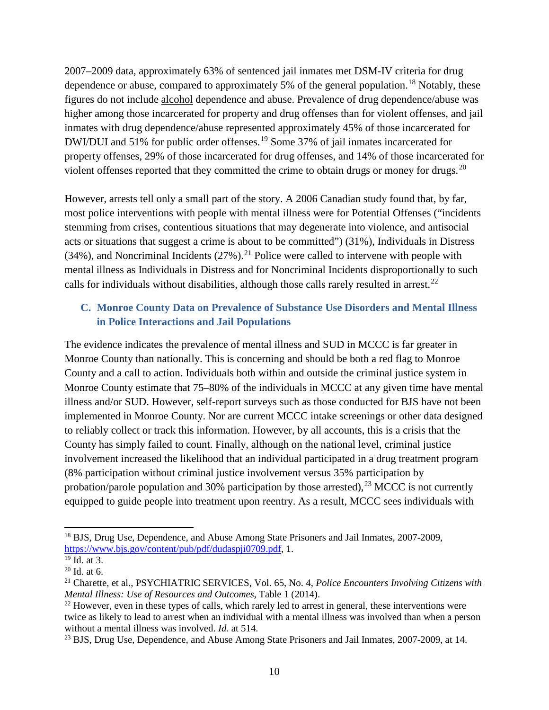2007–2009 data, approximately 63% of sentenced jail inmates met DSM-IV criteria for drug dependence or abuse, compared to approximately 5% of the general population.<sup>[18](#page-9-0)</sup> Notably, these figures do not include alcohol dependence and abuse. Prevalence of drug dependence/abuse was higher among those incarcerated for property and drug offenses than for violent offenses, and jail inmates with drug dependence/abuse represented approximately 45% of those incarcerated for DWI/DUI and 51% for public order offenses.<sup>[19](#page-9-1)</sup> Some 37% of jail inmates incarcerated for property offenses, 29% of those incarcerated for drug offenses, and 14% of those incarcerated for violent offenses reported that they committed the crime to obtain drugs or money for drugs.<sup>[20](#page-9-2)</sup>

However, arrests tell only a small part of the story. A 2006 Canadian study found that, by far, most police interventions with people with mental illness were for Potential Offenses ("incidents stemming from crises, contentious situations that may degenerate into violence, and antisocial acts or situations that suggest a crime is about to be committed") (31%), Individuals in Distress  $(34%)$ , and Noncriminal Incidents  $(27%)$ .<sup>[21](#page-9-3)</sup> Police were called to intervene with people with mental illness as Individuals in Distress and for Noncriminal Incidents disproportionally to such calls for individuals without disabilities, although those calls rarely resulted in arrest.<sup>[22](#page-9-4)</sup>

#### **C. Monroe County Data on Prevalence of Substance Use Disorders and Mental Illness in Police Interactions and Jail Populations**

The evidence indicates the prevalence of mental illness and SUD in MCCC is far greater in Monroe County than nationally. This is concerning and should be both a red flag to Monroe County and a call to action. Individuals both within and outside the criminal justice system in Monroe County estimate that 75–80% of the individuals in MCCC at any given time have mental illness and/or SUD. However, self-report surveys such as those conducted for BJS have not been implemented in Monroe County. Nor are current MCCC intake screenings or other data designed to reliably collect or track this information. However, by all accounts, this is a crisis that the County has simply failed to count. Finally, although on the national level, criminal justice involvement increased the likelihood that an individual participated in a drug treatment program (8% participation without criminal justice involvement versus 35% participation by probation/parole population and 30% participation by those arrested),  $^{23}$  $^{23}$  $^{23}$  MCCC is not currently equipped to guide people into treatment upon reentry. As a result, MCCC sees individuals with

<span id="page-9-0"></span><sup>&</sup>lt;sup>18</sup> BJS, Drug Use, Dependence, and Abuse Among State Prisoners and Jail Inmates, 2007-2009, [https://www.bjs.gov/content/pub/pdf/dudaspji0709.pdf,](https://www.bjs.gov/content/pub/pdf/dudaspji0709.pdf) 1.

<span id="page-9-1"></span> $^{19}$  Id. at 3.

<span id="page-9-2"></span> $20$  Id. at 6.

<span id="page-9-3"></span><sup>21</sup> Charette, et al., PSYCHIATRIC SERVICES, Vol. 65, No. 4, *Police Encounters Involving Citizens with Mental Illness: Use of Resources and Outcomes*, Table 1 (2014).

<span id="page-9-4"></span> $22$  However, even in these types of calls, which rarely led to arrest in general, these interventions were twice as likely to lead to arrest when an individual with a mental illness was involved than when a person without a mental illness was involved. *Id*. at 514.

<span id="page-9-5"></span><sup>&</sup>lt;sup>23</sup> BJS, Drug Use, Dependence, and Abuse Among State Prisoners and Jail Inmates, 2007-2009, at 14.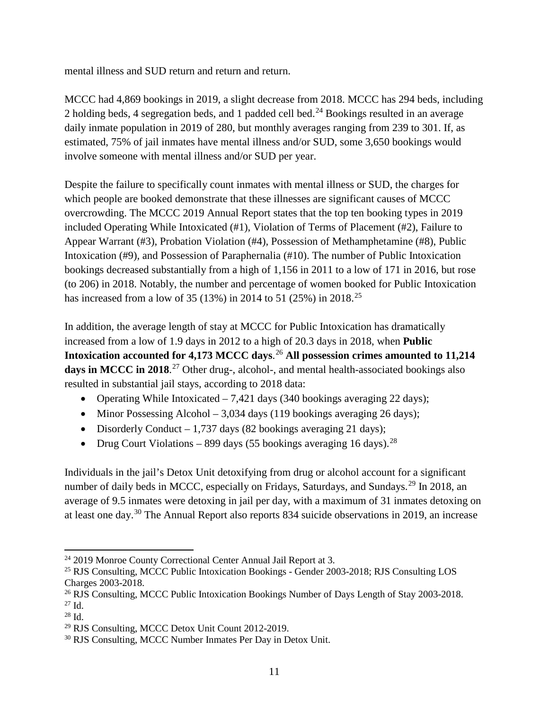mental illness and SUD return and return and return.

MCCC had 4,869 bookings in 2019, a slight decrease from 2018. MCCC has 294 beds, including 2 holding beds, 4 segregation beds, and 1 padded cell bed.<sup>[24](#page-10-0)</sup> Bookings resulted in an average daily inmate population in 2019 of 280, but monthly averages ranging from 239 to 301. If, as estimated, 75% of jail inmates have mental illness and/or SUD, some 3,650 bookings would involve someone with mental illness and/or SUD per year.

Despite the failure to specifically count inmates with mental illness or SUD, the charges for which people are booked demonstrate that these illnesses are significant causes of MCCC overcrowding. The MCCC 2019 Annual Report states that the top ten booking types in 2019 included Operating While Intoxicated (#1), Violation of Terms of Placement (#2), Failure to Appear Warrant (#3), Probation Violation (#4), Possession of Methamphetamine (#8), Public Intoxication (#9), and Possession of Paraphernalia (#10). The number of Public Intoxication bookings decreased substantially from a high of 1,156 in 2011 to a low of 171 in 2016, but rose (to 206) in 2018. Notably, the number and percentage of women booked for Public Intoxication has increased from a low of 35 (13%) in 2014 to 51 ([25](#page-10-1)%) in 2018.<sup>25</sup>

In addition, the average length of stay at MCCC for Public Intoxication has dramatically increased from a low of 1.9 days in 2012 to a high of 20.3 days in 2018, when **Public Intoxication accounted for 4,173 MCCC days**. [26](#page-10-2) **All possession crimes amounted to 11,214 days in MCCC in 2018**. [27](#page-10-3) Other drug-, alcohol-, and mental health-associated bookings also resulted in substantial jail stays, according to 2018 data:

- Operating While Intoxicated  $-7,421$  days (340 bookings averaging 22 days);
- Minor Possessing Alcohol 3,034 days (119 bookings averaging 26 days);
- Disorderly Conduct 1,737 days (82 bookings averaging 21 days);
- Drug Court Violations 899 days (55 bookings averaging 16 days).<sup>[28](#page-10-4)</sup>

Individuals in the jail's Detox Unit detoxifying from drug or alcohol account for a significant number of daily beds in MCCC, especially on Fridays, Saturdays, and Sundays.<sup>[29](#page-10-5)</sup> In 2018, an average of 9.5 inmates were detoxing in jail per day, with a maximum of 31 inmates detoxing on at least one day.[30](#page-10-6) The Annual Report also reports 834 suicide observations in 2019, an increase

<span id="page-10-0"></span>l <sup>24</sup> 2019 Monroe County Correctional Center Annual Jail Report at 3.

<span id="page-10-1"></span><sup>&</sup>lt;sup>25</sup> RJS Consulting, MCCC Public Intoxication Bookings - Gender 2003-2018; RJS Consulting LOS Charges 2003-2018.

<span id="page-10-2"></span><sup>&</sup>lt;sup>26</sup> RJS Consulting, MCCC Public Intoxication Bookings Number of Days Length of Stay 2003-2018. <sup>27</sup> Id.

<span id="page-10-4"></span><span id="page-10-3"></span><sup>28</sup> Id.

<span id="page-10-5"></span><sup>29</sup> RJS Consulting, MCCC Detox Unit Count 2012-2019.

<span id="page-10-6"></span><sup>&</sup>lt;sup>30</sup> RJS Consulting, MCCC Number Inmates Per Day in Detox Unit.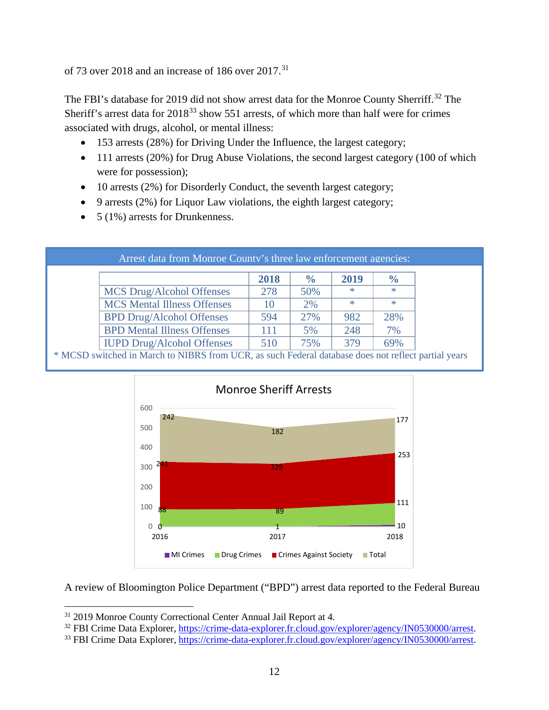of 73 over 2018 and an increase of 186 over  $2017$ .<sup>[31](#page-11-0)</sup>

The FBI's database for 2019 did not show arrest data for the Monroe County Sherriff.<sup>[32](#page-11-1)</sup> The Sheriff's arrest data for  $2018^{33}$  $2018^{33}$  $2018^{33}$  show 551 arrests, of which more than half were for crimes associated with drugs, alcohol, or mental illness:

- 153 arrests (28%) for Driving Under the Influence, the largest category;
- 111 arrests (20%) for Drug Abuse Violations, the second largest category (100 of which were for possession);
- 10 arrests (2%) for Disorderly Conduct, the seventh largest category;
- 9 arrests (2%) for Liquor Law violations, the eighth largest category;
- $5(1\%)$  arrests for Drunkenness.

| Arrest data from Monroe County's three law enforcement agencies:                                    |      |               |        |               |  |
|-----------------------------------------------------------------------------------------------------|------|---------------|--------|---------------|--|
|                                                                                                     | 2018 | $\frac{6}{6}$ | 2019   | $\frac{0}{0}$ |  |
| MCS Drug/Alcohol Offenses                                                                           | 278  | 50%           | $\ast$ | $*$           |  |
| <b>MCS</b> Mental Illness Offenses                                                                  | 10   | 2%            | $\ast$ | $*$           |  |
| <b>BPD Drug/Alcohol Offenses</b>                                                                    | 594  | 27%           | 982    | 28%           |  |
| <b>BPD Mental Illness Offenses</b>                                                                  | 111  | 5%            | 248    | 7%            |  |
| <b>IUPD Drug/Alcohol Offenses</b>                                                                   | 510  | 75%           | 379    | 69%           |  |
| * MCSD switched in March to NIBRS from UCR, as such Federal database does not reflect partial years |      |               |        |               |  |



A review of Bloomington Police Department ("BPD") arrest data reported to the Federal Bureau

<span id="page-11-0"></span><sup>&</sup>lt;sup>31</sup> 2019 Monroe County Correctional Center Annual Jail Report at 4.<br><sup>32</sup> FBI Crime Data Explorer, https://crime-data-explorer.fr.cloud.gov/explorer/agency/IN0530000/arrest.

<span id="page-11-2"></span><span id="page-11-1"></span><sup>&</sup>lt;sup>33</sup> FBI Crime Data Explorer, [https://crime-data-explorer.fr.cloud.gov/explorer/agency/IN0530000/arrest.](https://crime-data-explorer.fr.cloud.gov/explorer/agency/IN0530000/arrest)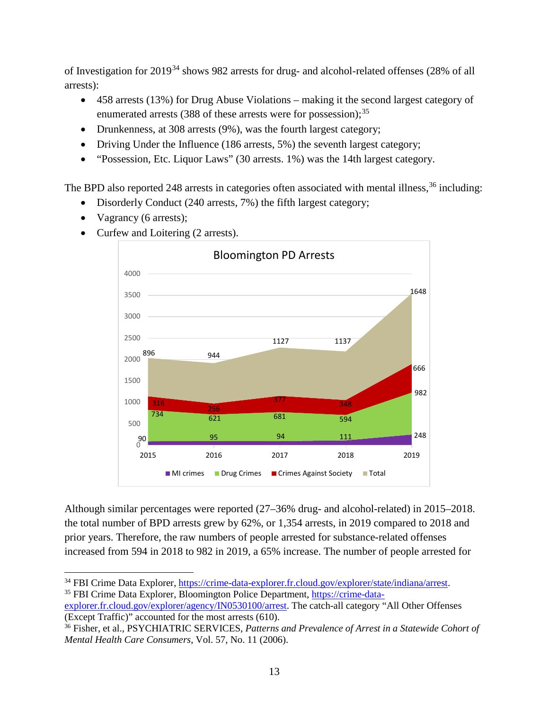of Investigation for 2019[34](#page-12-0) shows 982 arrests for drug- and alcohol-related offenses (28% of all arrests):

- 458 arrests (13%) for Drug Abuse Violations making it the second largest category of enumerated arrests (388 of these arrests were for possession);<sup>[35](#page-12-1)</sup>
- Drunkenness, at 308 arrests (9%), was the fourth largest category;
- Driving Under the Influence (186 arrests, 5%) the seventh largest category;
- "Possession, Etc. Liquor Laws" (30 arrests. 1%) was the 14th largest category.

The BPD also reported 248 arrests in categories often associated with mental illness,<sup>[36](#page-12-2)</sup> including:

- Disorderly Conduct (240 arrests, 7%) the fifth largest category;
- Vagrancy (6 arrests);

 $\overline{\phantom{a}}$ 

• Curfew and Loitering (2 arrests).



Although similar percentages were reported (27–36% drug- and alcohol-related) in 2015–2018. the total number of BPD arrests grew by 62%, or 1,354 arrests, in 2019 compared to 2018 and prior years. Therefore, the raw numbers of people arrested for substance-related offenses increased from 594 in 2018 to 982 in 2019, a 65% increase. The number of people arrested for

<span id="page-12-0"></span><sup>&</sup>lt;sup>34</sup> FBI Crime Data Explorer, [https://crime-data-explorer.fr.cloud.gov/explorer/state/indiana/arrest.](https://crime-data-explorer.fr.cloud.gov/explorer/state/indiana/arrest)<br><sup>35</sup> FBI Crime Data Explorer, Bloomington Police Department, https://crime-data-

<span id="page-12-1"></span>[explorer.fr.cloud.gov/explorer/agency/IN0530100/arrest.](https://crime-data-explorer.fr.cloud.gov/explorer/agency/IN0530100/arrest) The catch-all category "All Other Offenses (Except Traffic)" accounted for the most arrests (610).

<span id="page-12-2"></span><sup>36</sup> Fisher, et al., PSYCHIATRIC SERVICES, *Patterns and Prevalence of Arrest in a Statewide Cohort of Mental Health Care Consumers*, Vol. 57, No. 11 (2006).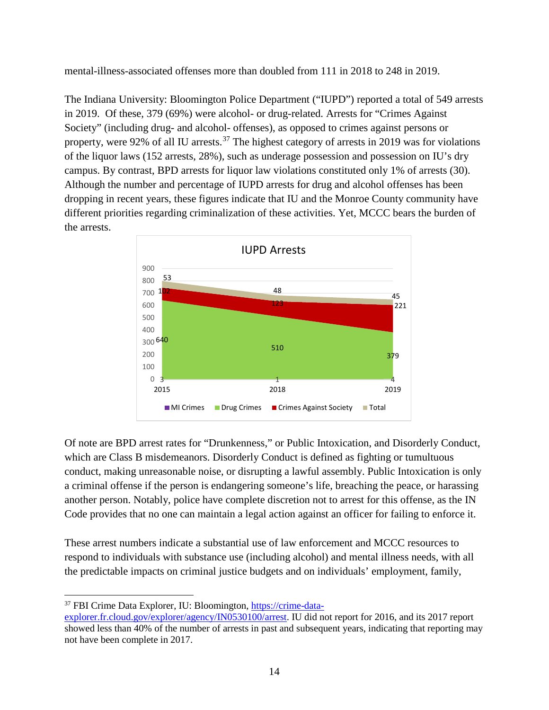mental-illness-associated offenses more than doubled from 111 in 2018 to 248 in 2019.

The Indiana University: Bloomington Police Department ("IUPD") reported a total of 549 arrests in 2019.Of these, 379 (69%) were alcohol- or drug-related. Arrests for "Crimes Against Society" (including drug- and alcohol- offenses), as opposed to crimes against persons or property, were 92% of all IU arrests.<sup>[37](#page-13-0)</sup> The highest category of arrests in 2019 was for violations of the liquor laws (152 arrests, 28%), such as underage possession and possession on IU's dry campus. By contrast, BPD arrests for liquor law violations constituted only 1% of arrests (30). Although the number and percentage of IUPD arrests for drug and alcohol offenses has been dropping in recent years, these figures indicate that IU and the Monroe County community have different priorities regarding criminalization of these activities. Yet, MCCC bears the burden of the arrests.



Of note are BPD arrest rates for "Drunkenness," or Public Intoxication, and Disorderly Conduct, which are Class B misdemeanors. Disorderly Conduct is defined as fighting or tumultuous conduct, making unreasonable noise, or disrupting a lawful assembly. Public Intoxication is only a criminal offense if the person is endangering someone's life, breaching the peace, or harassing another person. Notably, police have complete discretion not to arrest for this offense, as the IN Code provides that no one can maintain a legal action against an officer for failing to enforce it.

These arrest numbers indicate a substantial use of law enforcement and MCCC resources to respond to individuals with substance use (including alcohol) and mental illness needs, with all the predictable impacts on criminal justice budgets and on individuals' employment, family,

 $\overline{a}$ 

<span id="page-13-0"></span><sup>37</sup> FBI Crime Data Explorer, IU: Bloomington, [https://crime-data-](https://crime-data-explorer.fr.cloud.gov/explorer/agency/IN0530100/arrest)

[explorer.fr.cloud.gov/explorer/agency/IN0530100/arrest.](https://crime-data-explorer.fr.cloud.gov/explorer/agency/IN0530100/arrest) IU did not report for 2016, and its 2017 report showed less than 40% of the number of arrests in past and subsequent years, indicating that reporting may not have been complete in 2017.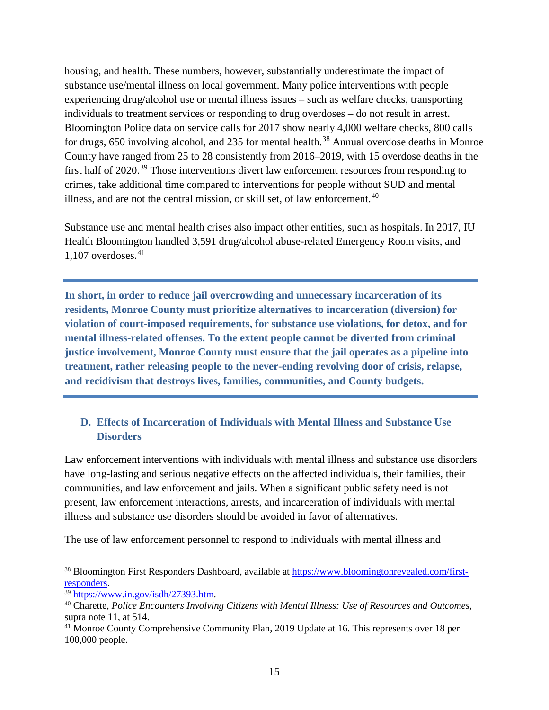housing, and health. These numbers, however, substantially underestimate the impact of substance use/mental illness on local government. Many police interventions with people experiencing drug/alcohol use or mental illness issues – such as welfare checks, transporting individuals to treatment services or responding to drug overdoses – do not result in arrest. Bloomington Police data on service calls for 2017 show nearly 4,000 welfare checks, 800 calls for drugs, 650 involving alcohol, and 235 for mental health.<sup>[38](#page-14-0)</sup> Annual overdose deaths in Monroe County have ranged from 25 to 28 consistently from 2016–2019, with 15 overdose deaths in the first half of 2020.<sup>[39](#page-14-1)</sup> Those interventions divert law enforcement resources from responding to crimes, take additional time compared to interventions for people without SUD and mental illness, and are not the central mission, or skill set, of law enforcement.<sup>[40](#page-14-2)</sup>

Substance use and mental health crises also impact other entities, such as hospitals. In 2017, IU Health Bloomington handled 3,591 drug/alcohol abuse-related Emergency Room visits, and  $1,107$  overdoses.<sup>[41](#page-14-3)</sup>

**In short, in order to reduce jail overcrowding and unnecessary incarceration of its residents, Monroe County must prioritize alternatives to incarceration (diversion) for violation of court-imposed requirements, for substance use violations, for detox, and for mental illness-related offenses. To the extent people cannot be diverted from criminal justice involvement, Monroe County must ensure that the jail operates as a pipeline into treatment, rather releasing people to the never-ending revolving door of crisis, relapse, and recidivism that destroys lives, families, communities, and County budgets.** 

#### **D. Effects of Incarceration of Individuals with Mental Illness and Substance Use Disorders**

Law enforcement interventions with individuals with mental illness and substance use disorders have long-lasting and serious negative effects on the affected individuals, their families, their communities, and law enforcement and jails. When a significant public safety need is not present, law enforcement interactions, arrests, and incarceration of individuals with mental illness and substance use disorders should be avoided in favor of alternatives.

The use of law enforcement personnel to respond to individuals with mental illness and

<span id="page-14-0"></span><sup>&</sup>lt;sup>38</sup> Bloomington First Responders Dashboard, available at [https://www.bloomingtonrevealed.com/first](https://www.bloomingtonrevealed.com/first-responders)[responders.](https://www.bloomingtonrevealed.com/first-responders) 39 [https://www.in.gov/isdh/27393.htm.](https://www.in.gov/isdh/27393.htm) 40 Charette, *Police Encounters Involving Citizens with Mental Illness: Use of Resources and Outcomes*,

<span id="page-14-1"></span>

<span id="page-14-2"></span>supra note 11, at 514.

<span id="page-14-3"></span><sup>&</sup>lt;sup>41</sup> Monroe County Comprehensive Community Plan, 2019 Update at 16. This represents over 18 per 100,000 people.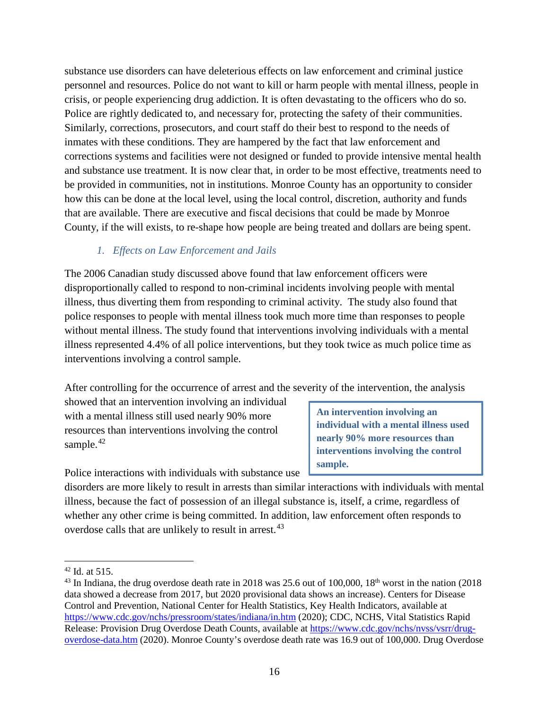substance use disorders can have deleterious effects on law enforcement and criminal justice personnel and resources. Police do not want to kill or harm people with mental illness, people in crisis, or people experiencing drug addiction. It is often devastating to the officers who do so. Police are rightly dedicated to, and necessary for, protecting the safety of their communities. Similarly, corrections, prosecutors, and court staff do their best to respond to the needs of inmates with these conditions. They are hampered by the fact that law enforcement and corrections systems and facilities were not designed or funded to provide intensive mental health and substance use treatment. It is now clear that, in order to be most effective, treatments need to be provided in communities, not in institutions. Monroe County has an opportunity to consider how this can be done at the local level, using the local control, discretion, authority and funds that are available. There are executive and fiscal decisions that could be made by Monroe County, if the will exists, to re-shape how people are being treated and dollars are being spent.

#### *1. Effects on Law Enforcement and Jails*

The 2006 Canadian study discussed above found that law enforcement officers were disproportionally called to respond to non-criminal incidents involving people with mental illness, thus diverting them from responding to criminal activity. The study also found that police responses to people with mental illness took much more time than responses to people without mental illness. The study found that interventions involving individuals with a mental illness represented 4.4% of all police interventions, but they took twice as much police time as interventions involving a control sample.

After controlling for the occurrence of arrest and the severity of the intervention, the analysis

showed that an intervention involving an individual with a mental illness still used nearly 90% more resources than interventions involving the control sample. $42$ 

Police interactions with individuals with substance use

**An intervention involving an individual with a mental illness used nearly 90% more resources than interventions involving the control sample.**

disorders are more likely to result in arrests than similar interactions with individuals with mental illness, because the fact of possession of an illegal substance is, itself, a crime, regardless of whether any other crime is being committed. In addition, law enforcement often responds to overdose calls that are unlikely to result in arrest.<sup>[43](#page-15-1)</sup>

<span id="page-15-0"></span> $42$  Id. at 515.

<span id="page-15-1"></span><sup>&</sup>lt;sup>43</sup> In Indiana, the drug overdose death rate in 2018 was 25.6 out of 100,000,  $18<sup>th</sup>$  worst in the nation (2018) data showed a decrease from 2017, but 2020 provisional data shows an increase). Centers for Disease Control and Prevention, National Center for Health Statistics, Key Health Indicators, available at <https://www.cdc.gov/nchs/pressroom/states/indiana/in.htm> (2020); CDC, NCHS, Vital Statistics Rapid Release: Provision Drug Overdose Death Counts, available at [https://www.cdc.gov/nchs/nvss/vsrr/drug](https://www.cdc.gov/nchs/nvss/vsrr/drug-overdose-data.htm)[overdose-data.htm](https://www.cdc.gov/nchs/nvss/vsrr/drug-overdose-data.htm) (2020). Monroe County's overdose death rate was 16.9 out of 100,000. Drug Overdose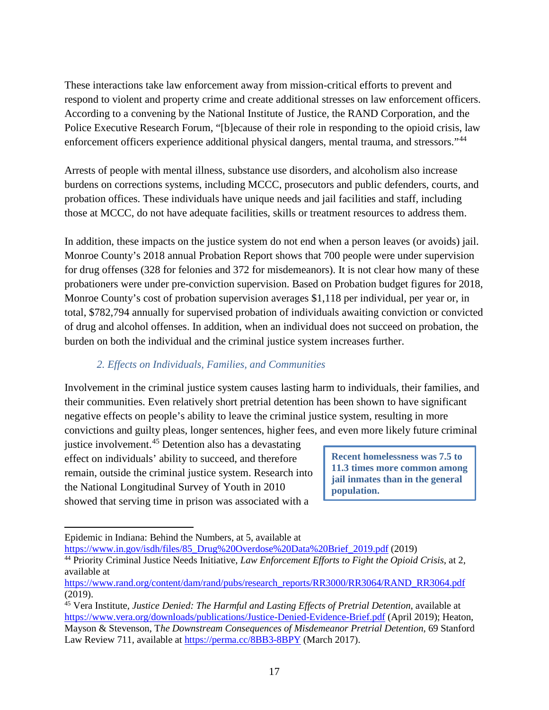These interactions take law enforcement away from mission-critical efforts to prevent and respond to violent and property crime and create additional stresses on law enforcement officers. According to a convening by the National Institute of Justice, the RAND Corporation, and the Police Executive Research Forum, "[b]ecause of their role in responding to the opioid crisis, law enforcement officers experience additional physical dangers, mental trauma, and stressors."<sup>[44](#page-16-0)</sup>

Arrests of people with mental illness, substance use disorders, and alcoholism also increase burdens on corrections systems, including MCCC, prosecutors and public defenders, courts, and probation offices. These individuals have unique needs and jail facilities and staff, including those at MCCC, do not have adequate facilities, skills or treatment resources to address them.

In addition, these impacts on the justice system do not end when a person leaves (or avoids) jail. Monroe County's 2018 annual Probation Report shows that 700 people were under supervision for drug offenses (328 for felonies and 372 for misdemeanors). It is not clear how many of these probationers were under pre-conviction supervision. Based on Probation budget figures for 2018, Monroe County's cost of probation supervision averages \$1,118 per individual, per year or, in total, \$782,794 annually for supervised probation of individuals awaiting conviction or convicted of drug and alcohol offenses. In addition, when an individual does not succeed on probation, the burden on both the individual and the criminal justice system increases further.

#### *2. Effects on Individuals, Families, and Communities*

Involvement in the criminal justice system causes lasting harm to individuals, their families, and their communities. Even relatively short pretrial detention has been shown to have significant negative effects on people's ability to leave the criminal justice system, resulting in more convictions and guilty pleas, longer sentences, higher fees, and even more likely future criminal

justice involvement.<sup>[45](#page-16-1)</sup> Detention also has a devastating effect on individuals' ability to succeed, and therefore remain, outside the criminal justice system. Research into the National Longitudinal Survey of Youth in 2010 showed that serving time in prison was associated with a

**Recent homelessness was 7.5 to 11.3 times more common among jail inmates than in the general population.** 

Epidemic in Indiana: Behind the Numbers, at 5, available at

[https://www.in.gov/isdh/files/85\\_Drug%20Overdose%20Data%20Brief\\_2019.pdf](https://www.in.gov/isdh/files/85_Drug%20Overdose%20Data%20Brief_2019.pdf) (2019)

<span id="page-16-0"></span><sup>44</sup> Priority Criminal Justice Needs Initiative, *Law Enforcement Efforts to Fight the Opioid Crisis*, at 2, available at

[https://www.rand.org/content/dam/rand/pubs/research\\_reports/RR3000/RR3064/RAND\\_RR3064.pdf](https://www.rand.org/content/dam/rand/pubs/research_reports/RR3000/RR3064/RAND_RR3064.pdf) (2019).

<span id="page-16-1"></span><sup>45</sup> Vera Institute, *Justice Denied: The Harmful and Lasting Effects of Pretrial Detention*, available at <https://www.vera.org/downloads/publications/Justice-Denied-Evidence-Brief.pdf> (April 2019); Heaton, Mayson & Stevenson, T*he Downstream Consequences of Misdemeanor Pretrial Detention*, 69 Stanford Law Review 711, available at<https://perma.cc/8BB3-8BPY> (March 2017).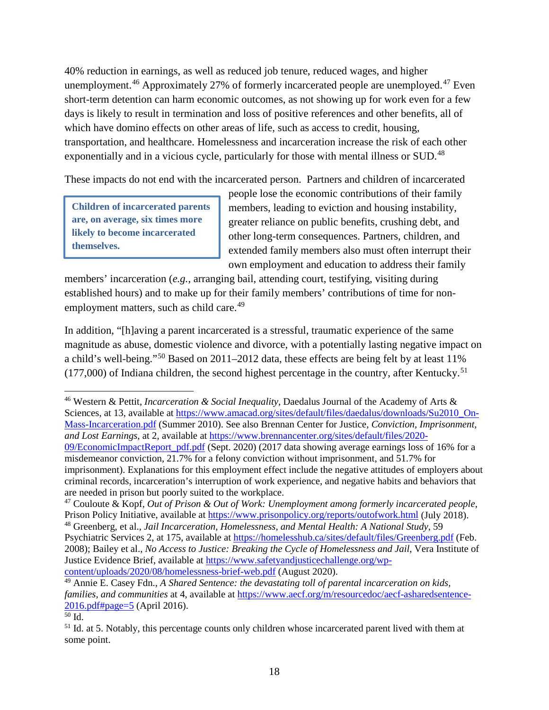40% reduction in earnings, as well as reduced job tenure, reduced wages, and higher unemployment.<sup>[46](#page-17-0)</sup> Approximately 27% of formerly incarcerated people are unemployed.<sup>[47](#page-17-1)</sup> Even short-term detention can harm economic outcomes, as not showing up for work even for a few days is likely to result in termination and loss of positive references and other benefits, all of which have domino effects on other areas of life, such as access to credit, housing, transportation, and healthcare. Homelessness and incarceration increase the risk of each other exponentially and in a vicious cycle, particularly for those with mental illness or SUD.<sup>[48](#page-17-2)</sup>

These impacts do not end with the incarcerated person. Partners and children of incarcerated

**Children of incarcerated parents are, on average, six times more likely to become incarcerated themselves.**

people lose the economic contributions of their family members, leading to eviction and housing instability, greater reliance on public benefits, crushing debt, and other long-term consequences. Partners, children, and extended family members also must often interrupt their own employment and education to address their family

members' incarceration (*e.g.*, arranging bail, attending court, testifying, visiting during established hours) and to make up for their family members' contributions of time for non-employment matters, such as child care.<sup>[49](#page-17-3)</sup>

In addition, "[h]aving a parent incarcerated is a stressful, traumatic experience of the same magnitude as abuse, domestic violence and divorce, with a potentially lasting negative impact on a child's well-being."[50](#page-17-4) Based on 2011–2012 data, these effects are being felt by at least 11%  $(177,000)$  of Indiana children, the second highest percentage in the country, after Kentucky.<sup>[51](#page-17-5)</sup>

 $\overline{a}$ 

<span id="page-17-0"></span><sup>46</sup> Western & Pettit, *Incarceration & Social Inequality*, Daedalus Journal of the Academy of Arts & Sciences, at 13, available at [https://www.amacad.org/sites/default/files/daedalus/downloads/Su2010\\_On-](https://www.amacad.org/sites/default/files/daedalus/downloads/Su2010_On-Mass-Incarceration.pdf)[Mass-Incarceration.pdf](https://www.amacad.org/sites/default/files/daedalus/downloads/Su2010_On-Mass-Incarceration.pdf) (Summer 2010). See also Brennan Center for Justice, *Conviction, Imprisonment, and Lost Earnings*, at 2, available at [https://www.brennancenter.org/sites/default/files/2020-](https://www.brennancenter.org/sites/default/files/2020-09/EconomicImpactReport_pdf.pdf) [09/EconomicImpactReport\\_pdf.pdf](https://www.brennancenter.org/sites/default/files/2020-09/EconomicImpactReport_pdf.pdf) (Sept. 2020) (2017 data showing average earnings loss of 16% for a misdemeanor conviction, 21.7% for a felony conviction without imprisonment, and 51.7% for imprisonment). Explanations for this employment effect include the negative attitudes of employers about criminal records, incarceration's interruption of work experience, and negative habits and behaviors that are needed in prison but poorly suited to the workplace.

<span id="page-17-1"></span><sup>47</sup> Couloute & Kopf, *Out of Prison & Out of Work: Unemployment among formerly incarcerated people*, Prison Policy Initiative, available at<https://www.prisonpolicy.org/reports/outofwork.html> (July 2018).

<span id="page-17-2"></span><sup>48</sup> Greenberg, et al., *Jail Incarceration, Homelessness, and Mental Health: A National Study*, 59 Psychiatric Services 2, at 175, available at<https://homelesshub.ca/sites/default/files/Greenberg.pdf> (Feb. 2008); Bailey et al., *No Access to Justice: Breaking the Cycle of Homelessness and Jail*, Vera Institute of Justice Evidence Brief, available at [https://www.safetyandjusticechallenge.org/wp](https://www.safetyandjusticechallenge.org/wp-content/uploads/2020/08/homelessness-brief-web.pdf)[content/uploads/2020/08/homelessness-brief-web.pdf](https://www.safetyandjusticechallenge.org/wp-content/uploads/2020/08/homelessness-brief-web.pdf) (August 2020).

<span id="page-17-3"></span><sup>49</sup> Annie E. Casey Fdn., *A Shared Sentence: the devastating toll of parental incarceration on kids, families, and communities* at 4, available at [https://www.aecf.org/m/resourcedoc/aecf-asharedsentence-](https://www.aecf.org/m/resourcedoc/aecf-asharedsentence-2016.pdf#page=5)[2016.pdf#page=5](https://www.aecf.org/m/resourcedoc/aecf-asharedsentence-2016.pdf#page=5) (April 2016).

<span id="page-17-4"></span> $\overline{50}$  Id.

<span id="page-17-5"></span><sup>&</sup>lt;sup>51</sup> Id. at 5. Notably, this percentage counts only children whose incarcerated parent lived with them at some point.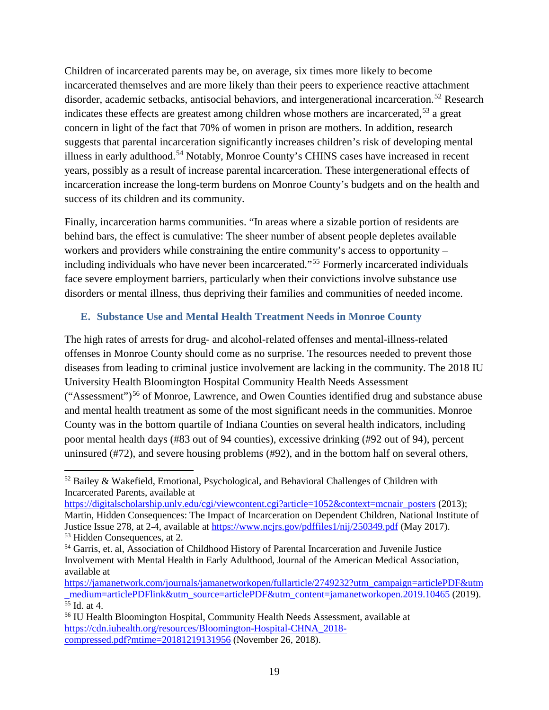Children of incarcerated parents may be, on average, six times more likely to become incarcerated themselves and are more likely than their peers to experience reactive attachment disorder, academic setbacks, antisocial behaviors, and intergenerational incarceration.<sup>[52](#page-18-0)</sup> Research indicates these effects are greatest among children whose mothers are incarcerated,<sup>[53](#page-18-1)</sup> a great concern in light of the fact that 70% of women in prison are mothers. In addition, research suggests that parental incarceration significantly increases children's risk of developing mental illness in early adulthood.<sup>[54](#page-18-2)</sup> Notably, Monroe County's CHINS cases have increased in recent years, possibly as a result of increase parental incarceration. These intergenerational effects of incarceration increase the long-term burdens on Monroe County's budgets and on the health and success of its children and its community.

Finally, incarceration harms communities. "In areas where a sizable portion of residents are behind bars, the effect is cumulative: The sheer number of absent people depletes available workers and providers while constraining the entire community's access to opportunity – including individuals who have never been incarcerated."[55](#page-18-3) Formerly incarcerated individuals face severe employment barriers, particularly when their convictions involve substance use disorders or mental illness, thus depriving their families and communities of needed income.

#### **E. Substance Use and Mental Health Treatment Needs in Monroe County**

The high rates of arrests for drug- and alcohol-related offenses and mental-illness-related offenses in Monroe County should come as no surprise. The resources needed to prevent those diseases from leading to criminal justice involvement are lacking in the community. The 2018 IU University Health Bloomington Hospital Community Health Needs Assessment  $("Assessment")<sup>56</sup>$  $("Assessment")<sup>56</sup>$  $("Assessment")<sup>56</sup>$  of Monroe, Lawrence, and Owen Counties identified drug and substance abuse and mental health treatment as some of the most significant needs in the communities. Monroe County was in the bottom quartile of Indiana Counties on several health indicators, including poor mental health days (#83 out of 94 counties), excessive drinking (#92 out of 94), percent uninsured (#72), and severe housing problems (#92), and in the bottom half on several others,

https://digitalscholarship.unly.edu/cgi/viewcontent.cgi?article=1052&context=mcnair\_posters (2013); Martin, Hidden Consequences: The Impact of Incarceration on Dependent Children, National Institute of Justice Issue 278, at 2-4, available at<https://www.ncjrs.gov/pdffiles1/nij/250349.pdf> (May 2017). <sup>53</sup> Hidden Consequences, at 2.

<span id="page-18-0"></span> $\overline{a}$  $52$  Bailey & Wakefield, Emotional, Psychological, and Behavioral Challenges of Children with Incarcerated Parents, available at

<span id="page-18-2"></span><span id="page-18-1"></span><sup>&</sup>lt;sup>54</sup> Garris, et. al, Association of Childhood History of Parental Incarceration and Juvenile Justice Involvement with Mental Health in Early Adulthood, Journal of the American Medical Association, available at

[https://jamanetwork.com/journals/jamanetworkopen/fullarticle/2749232?utm\\_campaign=articlePDF&utm](https://jamanetwork.com/journals/jamanetworkopen/fullarticle/2749232?utm_campaign=articlePDF&utm_medium=articlePDFlink&utm_source=articlePDF&utm_content=jamanetworkopen.2019.10465) [\\_medium=articlePDFlink&utm\\_source=articlePDF&utm\\_content=jamanetworkopen.2019.10465](https://jamanetwork.com/journals/jamanetworkopen/fullarticle/2749232?utm_campaign=articlePDF&utm_medium=articlePDFlink&utm_source=articlePDF&utm_content=jamanetworkopen.2019.10465) (2019).  $\overline{55}$  Id. at 4.

<span id="page-18-4"></span><span id="page-18-3"></span><sup>56</sup> IU Health Bloomington Hospital, Community Health Needs Assessment, available at [https://cdn.iuhealth.org/resources/Bloomington-Hospital-CHNA\\_2018](https://cdn.iuhealth.org/resources/Bloomington-Hospital-CHNA_2018-compressed.pdf?mtime=20181219131956) [compressed.pdf?mtime=20181219131956](https://cdn.iuhealth.org/resources/Bloomington-Hospital-CHNA_2018-compressed.pdf?mtime=20181219131956) (November 26, 2018).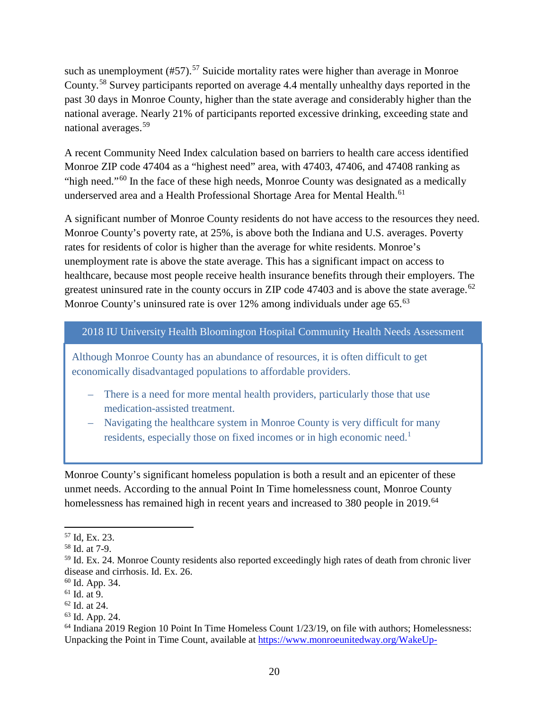such as unemployment (#[57](#page-19-0)).<sup>57</sup> Suicide mortality rates were higher than average in Monroe County.[58](#page-19-1) Survey participants reported on average 4.4 mentally unhealthy days reported in the past 30 days in Monroe County, higher than the state average and considerably higher than the national average. Nearly 21% of participants reported excessive drinking, exceeding state and national averages.[59](#page-19-2)

A recent Community Need Index calculation based on barriers to health care access identified Monroe ZIP code 47404 as a "highest need" area, with 47403, 47406, and 47408 ranking as "high need."[60](#page-19-3) In the face of these high needs, Monroe County was designated as a medically underserved area and a Health Professional Shortage Area for Mental Health. [61](#page-19-4)

A significant number of Monroe County residents do not have access to the resources they need. Monroe County's poverty rate, at 25%, is above both the Indiana and U.S. averages. Poverty rates for residents of color is higher than the average for white residents. Monroe's unemployment rate is above the state average. This has a significant impact on access to healthcare, because most people receive health insurance benefits through their employers. The greatest uninsured rate in the county occurs in ZIP code 47403 and is above the state average.<sup>[62](#page-19-5)</sup> Monroe County's uninsured rate is over 12% among individuals under age 65.<sup>[63](#page-19-6)</sup>

2018 IU University Health Bloomington Hospital Community Health Needs Assessment

Although Monroe County has an abundance of resources, it is often difficult to get economically disadvantaged populations to affordable providers.

- There is a need for more mental health providers, particularly those that use medication-assisted treatment.
- Navigating the healthcare system in Monroe County is very difficult for many residents, especially those on fixed incomes or in high economic need.<sup>1</sup>

Monroe County's significant homeless population is both a result and an epicenter of these unmet needs. According to the annual Point In Time homelessness count, Monroe County homelessness has remained high in recent years and increased to 380 people in 2019.<sup>[64](#page-19-7)</sup>

<span id="page-19-0"></span><sup>57</sup> Id, Ex. 23.

<span id="page-19-1"></span><sup>58</sup> Id. at 7-9.

<span id="page-19-2"></span><sup>59</sup> Id. Ex. 24. Monroe County residents also reported exceedingly high rates of death from chronic liver disease and cirrhosis. Id. Ex. 26.

<span id="page-19-3"></span><sup>60</sup> Id. App. 34.

<span id="page-19-4"></span> $61$  Id. at 9.

<span id="page-19-5"></span><sup>62</sup> Id. at 24.

<span id="page-19-6"></span><sup>63</sup> Id. App. 24.

<span id="page-19-7"></span><sup>&</sup>lt;sup>64</sup> Indiana 2019 Region 10 Point In Time Homeless Count 1/23/19, on file with authors; Homelessness: Unpacking the Point in Time Count, available at [https://www.monroeunitedway.org/WakeUp-](https://www.monroeunitedway.org/WakeUp-PointInTimeCount)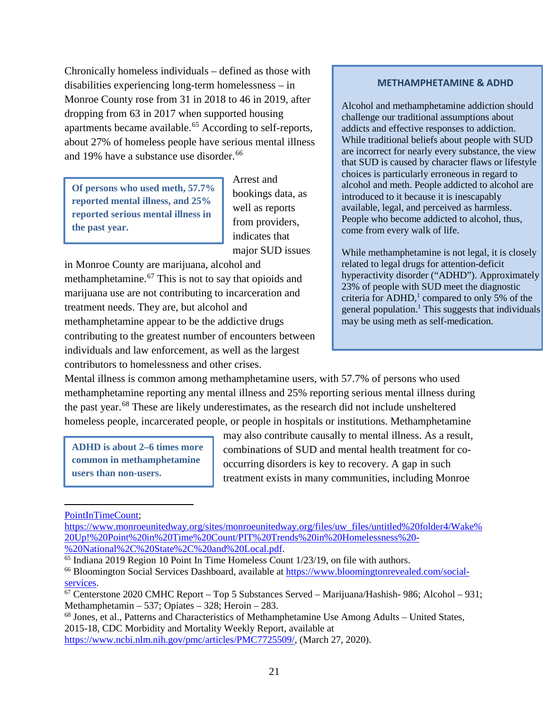Chronically homeless individuals – defined as those with disabilities experiencing long-term homelessness – in Monroe County rose from 31 in 2018 to 46 in 2019, after dropping from 63 in 2017 when supported housing apartments became available.<sup>[65](#page-20-0)</sup> According to self-reports, about 27% of homeless people have serious mental illness and 19% have a substance use disorder.<sup>[66](#page-20-1)</sup>

**Of persons who used meth, 57.7% reported mental illness, and 25% reported serious mental illness in the past year.**

Arrest and bookings data, as well as reports from providers, indicates that major SUD issues

in Monroe County are marijuana, alcohol and methamphetamine.<sup>[67](#page-20-2)</sup> This is not to say that opioids and marijuana use are not contributing to incarceration and treatment needs. They are, but alcohol and methamphetamine appear to be the addictive drugs contributing to the greatest number of encounters between individuals and law enforcement, as well as the largest contributors to homelessness and other crises.

#### **METHAMPHETAMINE & ADHD**

Alcohol and methamphetamine addiction should challenge our traditional assumptions about addicts and effective responses to addiction. While traditional beliefs about people with SUD are incorrect for nearly every substance, the view that SUD is caused by character flaws or lifestyle choices is particularly erroneous in regard to alcohol and meth. People addicted to alcohol are introduced to it because it is inescapably available, legal, and perceived as harmless. People who become addicted to alcohol, thus, come from every walk of life.

While methamphetamine is not legal, it is closely related to legal drugs for attention-deficit hyperactivity disorder ("ADHD"). Approximately 23% of people with SUD meet the diagnostic criteria for  $ADHD<sup>1</sup>$ , compared to only 5% of the general population.<sup>1</sup> This suggests that individuals may be using meth as self-medication.

Mental illness is common among methamphetamine users, with 57.7% of persons who used methamphetamine reporting any mental illness and 25% reporting serious mental illness during the past year.[68](#page-20-3) These are likely underestimates, as the research did not include unsheltered homeless people, incarcerated people, or people in hospitals or institutions. Methamphetamine

**ADHD is about 2–6 times more common in methamphetamine users than non-users.**

may also contribute causally to mental illness. As a result, combinations of SUD and mental health treatment for cooccurring disorders is key to recovery. A gap in such treatment exists in many communities, including Monroe

[PointInTimeCount;](https://www.monroeunitedway.org/WakeUp-PointInTimeCount)

l

[https://www.monroeunitedway.org/sites/monroeunitedway.org/files/uw\\_files/untitled%20folder4/Wake%](https://www.monroeunitedway.org/sites/monroeunitedway.org/files/uw_files/untitled%20folder4/Wake%20Up!%20Point%20in%20Time%20Count/PIT%20Trends%20in%20Homelessness%20-%20National%2C%20State%2C%20and%20Local.pdf) [20Up!%20Point%20in%20Time%20Count/PIT%20Trends%20in%20Homelessness%20-](https://www.monroeunitedway.org/sites/monroeunitedway.org/files/uw_files/untitled%20folder4/Wake%20Up!%20Point%20in%20Time%20Count/PIT%20Trends%20in%20Homelessness%20-%20National%2C%20State%2C%20and%20Local.pdf)

<span id="page-20-0"></span> $<sup>65</sup>$  Indiana 2019 Region 10 Point In Time Homeless Count 1/23/19, on file with authors.</sup>

<span id="page-20-1"></span><sup>&</sup>lt;sup>66</sup> Bloomington Social Services Dashboard, available at [https://www.bloomingtonrevealed.com/social](https://www.bloomingtonrevealed.com/social-services)[services.](https://www.bloomingtonrevealed.com/social-services)<br><sup>67</sup> Centerstone 2020 CMHC Report – Top 5 Substances Served – Marijuana/Hashish- 986; Alcohol – 931;

<span id="page-20-2"></span>Methamphetamin – 537; Opiates – 328; Heroin – 283.

<span id="page-20-3"></span><sup>68</sup> Jones, et al., Patterns and Characteristics of Methamphetamine Use Among Adults – United States, 2015-18, CDC Morbidity and Mortality Weekly Report, available at [https://www.ncbi.nlm.nih.gov/pmc/articles/PMC7725509/,](https://www.ncbi.nlm.nih.gov/pmc/articles/PMC7725509/) (March 27, 2020).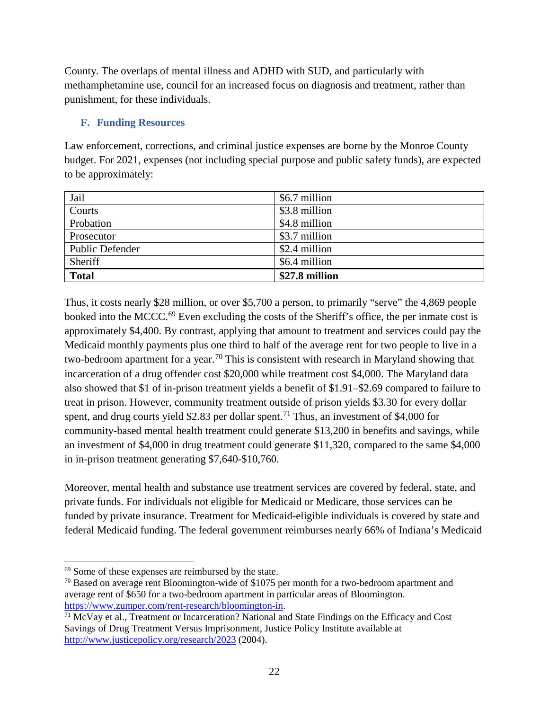County. The overlaps of mental illness and ADHD with SUD, and particularly with methamphetamine use, council for an increased focus on diagnosis and treatment, rather than punishment, for these individuals.

#### **F. Funding Resources**

Law enforcement, corrections, and criminal justice expenses are borne by the Monroe County budget. For 2021, expenses (not including special purpose and public safety funds), are expected to be approximately:

| Jail                   | \$6.7 million  |
|------------------------|----------------|
| Courts                 | \$3.8 million  |
| Probation              | \$4.8 million  |
| Prosecutor             | \$3.7 million  |
| <b>Public Defender</b> | \$2.4 million  |
| Sheriff                | \$6.4 million  |
| <b>Total</b>           | \$27.8 million |

Thus, it costs nearly \$28 million, or over \$5,700 a person, to primarily "serve" the 4,869 people booked into the MCCC.<sup>[69](#page-21-0)</sup> Even excluding the costs of the Sheriff's office, the per inmate cost is approximately \$4,400. By contrast, applying that amount to treatment and services could pay the Medicaid monthly payments plus one third to half of the average rent for two people to live in a two-bedroom apartment for a year.<sup>[70](#page-21-1)</sup> This is consistent with research in Maryland showing that incarceration of a drug offender cost \$20,000 while treatment cost \$4,000. The Maryland data also showed that \$1 of in-prison treatment yields a benefit of \$1.91–\$2.69 compared to failure to treat in prison. However, community treatment outside of prison yields \$3.30 for every dollar spent, and drug courts yield \$2.83 per dollar spent.<sup>[71](#page-21-2)</sup> Thus, an investment of \$4,000 for community-based mental health treatment could generate \$13,200 in benefits and savings, while an investment of \$4,000 in drug treatment could generate \$11,320, compared to the same \$4,000 in in-prison treatment generating \$7,640-\$10,760.

Moreover, mental health and substance use treatment services are covered by federal, state, and private funds. For individuals not eligible for Medicaid or Medicare, those services can be funded by private insurance. Treatment for Medicaid-eligible individuals is covered by state and federal Medicaid funding. The federal government reimburses nearly 66% of Indiana's Medicaid

<span id="page-21-0"></span> $\overline{\phantom{a}}$ <sup>69</sup> Some of these expenses are reimbursed by the state.

<span id="page-21-1"></span> $70$  Based on average rent Bloomington-wide of \$1075 per month for a two-bedroom apartment and average rent of \$650 for a two-bedroom apartment in particular areas of Bloomington.

<span id="page-21-2"></span>[https://www.zumper.com/rent-research/bloomington-in.](https://www.zumper.com/rent-research/bloomington-in)<br><sup>71</sup> McVay et al., Treatment or Incarceration? National and State Findings on the Efficacy and Cost Savings of Drug Treatment Versus Imprisonment, Justice Policy Institute available at <http://www.justicepolicy.org/research/2023> (2004).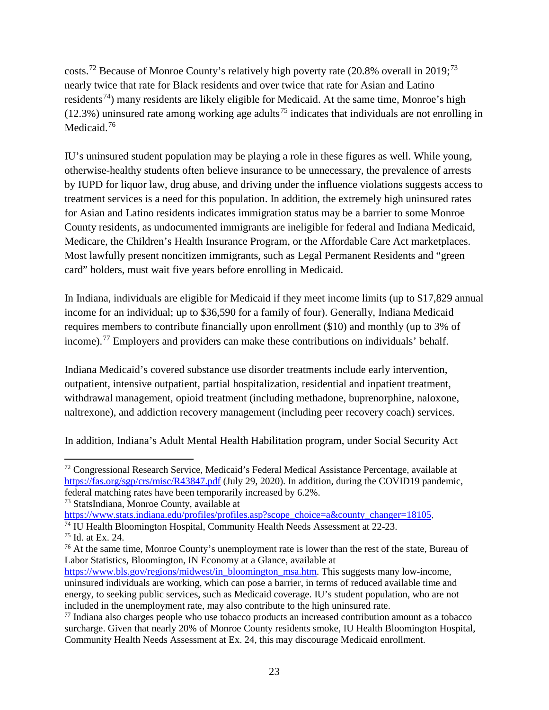costs.<sup>[72](#page-22-0)</sup> Because of Monroe County's relatively high poverty rate (20.8% overall in 2019;<sup>[73](#page-22-1)</sup> nearly twice that rate for Black residents and over twice that rate for Asian and Latino residents<sup>[74](#page-22-2)</sup>) many residents are likely eligible for Medicaid. At the same time, Monroe's high  $(12.3%)$  uninsured rate among working age adults<sup>[75](#page-22-3)</sup> indicates that individuals are not enrolling in Medicaid.<sup>[76](#page-22-4)</sup>

IU's uninsured student population may be playing a role in these figures as well. While young, otherwise-healthy students often believe insurance to be unnecessary, the prevalence of arrests by IUPD for liquor law, drug abuse, and driving under the influence violations suggests access to treatment services is a need for this population. In addition, the extremely high uninsured rates for Asian and Latino residents indicates immigration status may be a barrier to some Monroe County residents, as undocumented immigrants are ineligible for federal and Indiana Medicaid, Medicare, the Children's Health Insurance Program, or the Affordable Care Act marketplaces. Most lawfully present noncitizen immigrants, such as Legal Permanent Residents and "green card" holders, must wait five years before enrolling in Medicaid.

In Indiana, individuals are eligible for Medicaid if they meet income limits (up to \$17,829 annual income for an individual; up to \$36,590 for a family of four). Generally, Indiana Medicaid requires members to contribute financially upon enrollment (\$10) and monthly (up to 3% of income).<sup>[77](#page-22-5)</sup> Employers and providers can make these contributions on individuals' behalf.

Indiana Medicaid's covered substance use disorder treatments include early intervention, outpatient, intensive outpatient, partial hospitalization, residential and inpatient treatment, withdrawal management, opioid treatment (including methadone, buprenorphine, naloxone, naltrexone), and addiction recovery management (including peer recovery coach) services.

In addition, Indiana's Adult Mental Health Habilitation program, under Social Security Act

<span id="page-22-0"></span>l  $72$  Congressional Research Service, Medicaid's Federal Medical Assistance Percentage, available at <https://fas.org/sgp/crs/misc/R43847.pdf> (July 29, 2020). In addition, during the COVID19 pandemic, federal matching rates have been temporarily increased by 6.2%.

<span id="page-22-1"></span><sup>&</sup>lt;sup>73</sup> StatsIndiana, Monroe County, available at<br>https://www.stats.indiana.edu/profiles/profiles.asp?scope\_choice=a&county\_changer=18105.

<span id="page-22-2"></span><sup>&</sup>lt;sup>74</sup> IU Health Bloomington Hospital, Community Health Needs Assessment at 22-23.

<span id="page-22-3"></span><sup>75</sup> Id. at Ex. 24.

<span id="page-22-4"></span><sup>&</sup>lt;sup>76</sup> At the same time, Monroe County's unemployment rate is lower than the rest of the state, Bureau of Labor Statistics, Bloomington, IN Economy at a Glance, available at

[https://www.bls.gov/regions/midwest/in\\_bloomington\\_msa.htm.](https://www.bls.gov/regions/midwest/in_bloomington_msa.htm) This suggests many low-income, uninsured individuals are working, which can pose a barrier, in terms of reduced available time and energy, to seeking public services, such as Medicaid coverage. IU's student population, who are not included in the unemployment rate, may also contribute to the high uninsured rate.

<span id="page-22-5"></span><sup>77</sup> Indiana also charges people who use tobacco products an increased contribution amount as a tobacco surcharge. Given that nearly 20% of Monroe County residents smoke, IU Health Bloomington Hospital, Community Health Needs Assessment at Ex. 24, this may discourage Medicaid enrollment.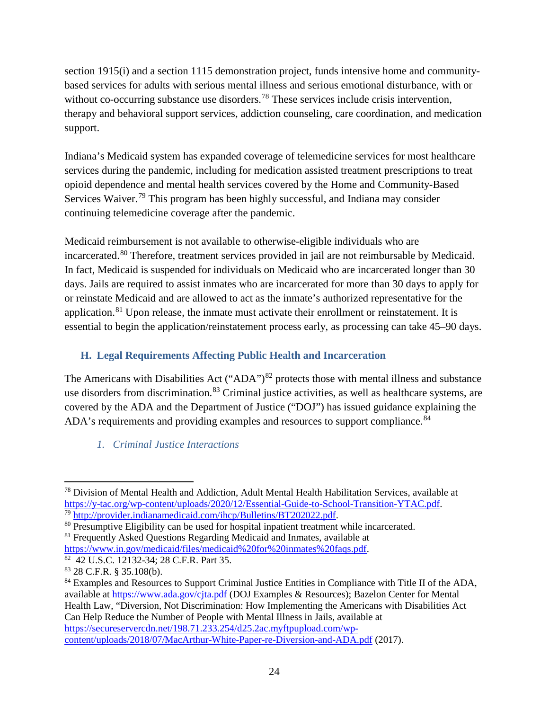section 1915(i) and a section 1115 demonstration project, funds intensive home and communitybased services for adults with serious mental illness and serious emotional disturbance, with or without co-occurring substance use disorders.<sup>[78](#page-23-0)</sup> These services include crisis intervention, therapy and behavioral support services, addiction counseling, care coordination, and medication support.

Indiana's Medicaid system has expanded coverage of telemedicine services for most healthcare services during the pandemic, including for medication assisted treatment prescriptions to treat opioid dependence and mental health services covered by the Home and Community-Based Services Waiver.<sup>[79](#page-23-1)</sup> This program has been highly successful, and Indiana may consider continuing telemedicine coverage after the pandemic.

Medicaid reimbursement is not available to otherwise-eligible individuals who are incarcerated.<sup>[80](#page-23-2)</sup> Therefore, treatment services provided in jail are not reimbursable by Medicaid. In fact, Medicaid is suspended for individuals on Medicaid who are incarcerated longer than 30 days. Jails are required to assist inmates who are incarcerated for more than 30 days to apply for or reinstate Medicaid and are allowed to act as the inmate's authorized representative for the application.<sup>[81](#page-23-3)</sup> Upon release, the inmate must activate their enrollment or reinstatement. It is essential to begin the application/reinstatement process early, as processing can take 45–90 days.

## **H. Legal Requirements Affecting Public Health and Incarceration**

The Americans with Disabilities Act ("ADA") $82$  protects those with mental illness and substance use disorders from discrimination.<sup>[83](#page-23-5)</sup> Criminal justice activities, as well as healthcare systems, are covered by the ADA and the Department of Justice ("DOJ") has issued guidance explaining the ADA's requirements and providing examples and resources to support compliance.<sup>[84](#page-23-6)</sup>

*1. Criminal Justice Interactions*

<span id="page-23-0"></span> $\overline{\phantom{a}}$ <sup>78</sup> Division of Mental Health and Addiction, Adult Mental Health Habilitation Services, available at https://y-tac.org/wp-content/uploads/2020/12/Essential-Guide-to-School-Transition-YTAC.pdf.

<span id="page-23-1"></span> $^{79}$  [http://provider.indianamedicaid.com/ihcp/Bulletins/BT202022.pdf.](http://provider.indianamedicaid.com/ihcp/Bulletins/BT202022.pdf)<br><sup>80</sup> Presumptive Eligibility can be used for hospital inpatient treatment while incarcerated.

<span id="page-23-3"></span><span id="page-23-2"></span><sup>&</sup>lt;sup>81</sup> Frequently Asked Questions Regarding Medicaid and Inmates, available at [https://www.in.gov/medicaid/files/medicaid%20for%20inmates%20faqs.pdf.](https://www.in.gov/medicaid/files/medicaid%20for%20inmates%20faqs.pdf) 82 42 U.S.C. 12132-34; 28 C.F.R. Part 35.

<span id="page-23-5"></span><span id="page-23-4"></span><sup>83</sup> 28 C.F.R. § 35.108(b).

<span id="page-23-6"></span><sup>&</sup>lt;sup>84</sup> Examples and Resources to Support Criminal Justice Entities in Compliance with Title II of the ADA, available at<https://www.ada.gov/cjta.pdf> (DOJ Examples & Resources); Bazelon Center for Mental Health Law, "Diversion, Not Discrimination: How Implementing the Americans with Disabilities Act Can Help Reduce the Number of People with Mental Illness in Jails, available at [https://secureservercdn.net/198.71.233.254/d25.2ac.myftpupload.com/wp](https://secureservercdn.net/198.71.233.254/d25.2ac.myftpupload.com/wp-content/uploads/2018/07/MacArthur-White-Paper-re-Diversion-and-ADA.pdf)[content/uploads/2018/07/MacArthur-White-Paper-re-Diversion-and-ADA.pdf](https://secureservercdn.net/198.71.233.254/d25.2ac.myftpupload.com/wp-content/uploads/2018/07/MacArthur-White-Paper-re-Diversion-and-ADA.pdf) (2017).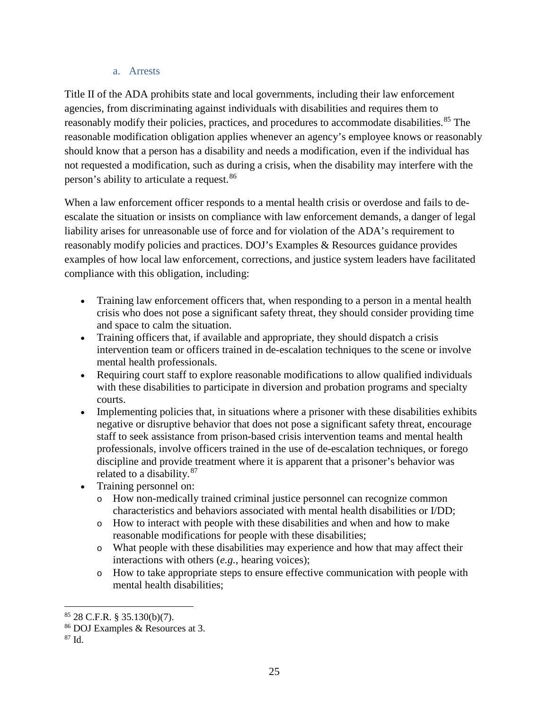#### a. Arrests

Title II of the ADA prohibits state and local governments, including their law enforcement agencies, from discriminating against individuals with disabilities and requires them to reasonably modify their policies, practices, and procedures to accommodate disabilities.<sup>[85](#page-24-0)</sup> The reasonable modification obligation applies whenever an agency's employee knows or reasonably should know that a person has a disability and needs a modification, even if the individual has not requested a modification, such as during a crisis, when the disability may interfere with the person's ability to articulate a request.[86](#page-24-1)

When a law enforcement officer responds to a mental health crisis or overdose and fails to deescalate the situation or insists on compliance with law enforcement demands, a danger of legal liability arises for unreasonable use of force and for violation of the ADA's requirement to reasonably modify policies and practices. DOJ's Examples & Resources guidance provides examples of how local law enforcement, corrections, and justice system leaders have facilitated compliance with this obligation, including:

- Training law enforcement officers that, when responding to a person in a mental health crisis who does not pose a significant safety threat, they should consider providing time and space to calm the situation.
- Training officers that, if available and appropriate, they should dispatch a crisis intervention team or officers trained in de-escalation techniques to the scene or involve mental health professionals.
- Requiring court staff to explore reasonable modifications to allow qualified individuals with these disabilities to participate in diversion and probation programs and specialty courts.
- Implementing policies that, in situations where a prisoner with these disabilities exhibits negative or disruptive behavior that does not pose a significant safety threat, encourage staff to seek assistance from prison-based crisis intervention teams and mental health professionals, involve officers trained in the use of de-escalation techniques, or forego discipline and provide treatment where it is apparent that a prisoner's behavior was related to a disability.<sup>[87](#page-24-2)</sup>
- Training personnel on:
	- o How non-medically trained criminal justice personnel can recognize common characteristics and behaviors associated with mental health disabilities or I/DD;
	- o How to interact with people with these disabilities and when and how to make reasonable modifications for people with these disabilities;
	- o What people with these disabilities may experience and how that may affect their interactions with others (*e.g.*, hearing voices);
	- o How to take appropriate steps to ensure effective communication with people with mental health disabilities;

<span id="page-24-0"></span><sup>85</sup> 28 C.F.R. § 35.130(b)(7).

<span id="page-24-1"></span><sup>86</sup> DOJ Examples & Resources at 3.

<span id="page-24-2"></span><sup>87</sup> Id.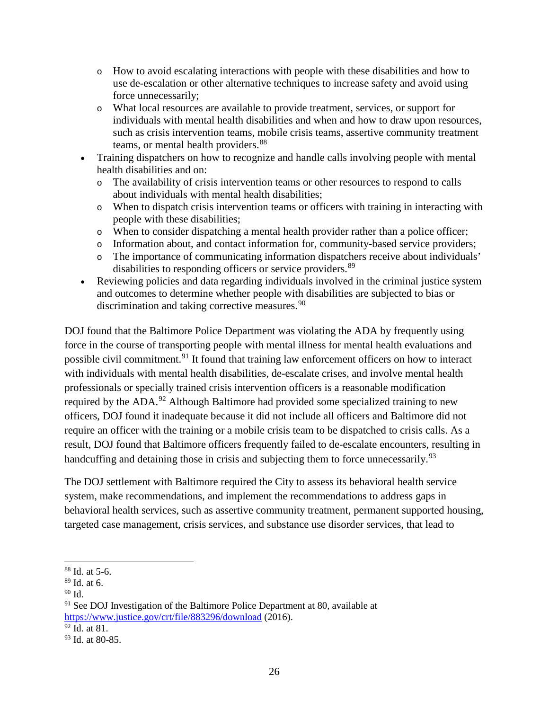- o How to avoid escalating interactions with people with these disabilities and how to use de-escalation or other alternative techniques to increase safety and avoid using force unnecessarily;
- o What local resources are available to provide treatment, services, or support for individuals with mental health disabilities and when and how to draw upon resources, such as crisis intervention teams, mobile crisis teams, assertive community treatment teams, or mental health providers.<sup>[88](#page-25-0)</sup>
- Training dispatchers on how to recognize and handle calls involving people with mental health disabilities and on:
	- o The availability of crisis intervention teams or other resources to respond to calls about individuals with mental health disabilities;
	- o When to dispatch crisis intervention teams or officers with training in interacting with people with these disabilities;
	- o When to consider dispatching a mental health provider rather than a police officer;
	- o Information about, and contact information for, community-based service providers;
	- o The importance of communicating information dispatchers receive about individuals' disabilities to responding officers or service providers.<sup>[89](#page-25-1)</sup>
- Reviewing policies and data regarding individuals involved in the criminal justice system and outcomes to determine whether people with disabilities are subjected to bias or discrimination and taking corrective measures.<sup>[90](#page-25-2)</sup>

DOJ found that the Baltimore Police Department was violating the ADA by frequently using force in the course of transporting people with mental illness for mental health evaluations and possible civil commitment.<sup>[91](#page-25-3)</sup> It found that training law enforcement officers on how to interact with individuals with mental health disabilities, de-escalate crises, and involve mental health professionals or specially trained crisis intervention officers is a reasonable modification required by the ADA.<sup>[92](#page-25-4)</sup> Although Baltimore had provided some specialized training to new officers, DOJ found it inadequate because it did not include all officers and Baltimore did not require an officer with the training or a mobile crisis team to be dispatched to crisis calls. As a result, DOJ found that Baltimore officers frequently failed to de-escalate encounters, resulting in handcuffing and detaining those in crisis and subjecting them to force unnecessarily.<sup>[93](#page-25-5)</sup>

The DOJ settlement with Baltimore required the City to assess its behavioral health service system, make recommendations, and implement the recommendations to address gaps in behavioral health services, such as assertive community treatment, permanent supported housing, targeted case management, crisis services, and substance use disorder services, that lead to

<span id="page-25-0"></span> $\overline{\phantom{a}}$ <sup>88</sup> Id. at 5-6.

<span id="page-25-1"></span><sup>89</sup> Id. at 6.

<span id="page-25-2"></span> $90$  Id.

<span id="page-25-3"></span> $91$  See DOJ Investigation of the Baltimore Police Department at 80, available at <https://www.justice.gov/crt/file/883296/download> (2016).

<span id="page-25-4"></span> $92$  Id. at 81.

<span id="page-25-5"></span><sup>93</sup> Id. at 80-85.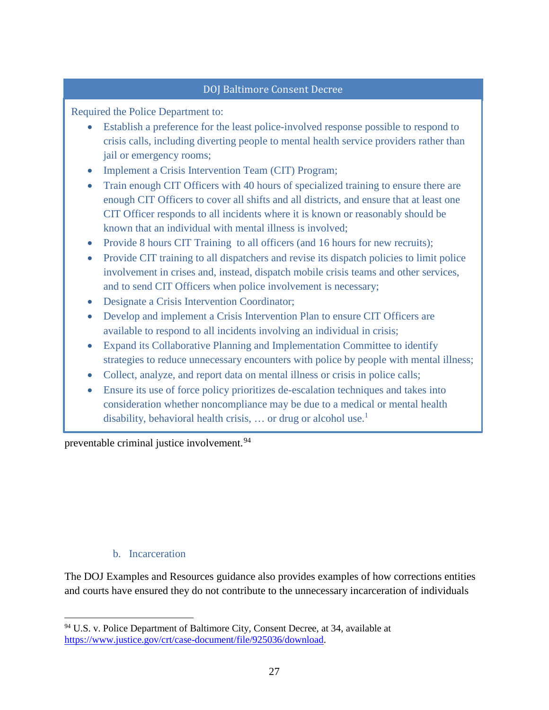#### DOJ Baltimore Consent Decree

Required the Police Department to:

- Establish a preference for the least police-involved response possible to respond to crisis calls, including diverting people to mental health service providers rather than jail or emergency rooms;
- Implement a Crisis Intervention Team (CIT) Program;
- Train enough CIT Officers with 40 hours of specialized training to ensure there are enough CIT Officers to cover all shifts and all districts, and ensure that at least one CIT Officer responds to all incidents where it is known or reasonably should be known that an individual with mental illness is involved;
- Provide 8 hours CIT Training to all officers (and 16 hours for new recruits);
- Provide CIT training to all dispatchers and revise its dispatch policies to limit police involvement in crises and, instead, dispatch mobile crisis teams and other services, and to send CIT Officers when police involvement is necessary;
- Designate a Crisis Intervention Coordinator;
- Develop and implement a Crisis Intervention Plan to ensure CIT Officers are available to respond to all incidents involving an individual in crisis;
- Expand its Collaborative Planning and Implementation Committee to identify strategies to reduce unnecessary encounters with police by people with mental illness;
- Collect, analyze, and report data on mental illness or crisis in police calls;
- Ensure its use of force policy prioritizes de-escalation techniques and takes into consideration whether noncompliance may be due to a medical or mental health disability, behavioral health crisis, ... or drug or alcohol use.<sup>1</sup>

preventable criminal justice involvement.<sup>[94](#page-26-0)</sup>

#### b. Incarceration

l

The DOJ Examples and Resources guidance also provides examples of how corrections entities and courts have ensured they do not contribute to the unnecessary incarceration of individuals

<span id="page-26-0"></span><sup>94</sup> U.S. v. Police Department of Baltimore City, Consent Decree, at 34, available at [https://www.justice.gov/crt/case-document/file/925036/download.](https://www.justice.gov/crt/case-document/file/925036/download)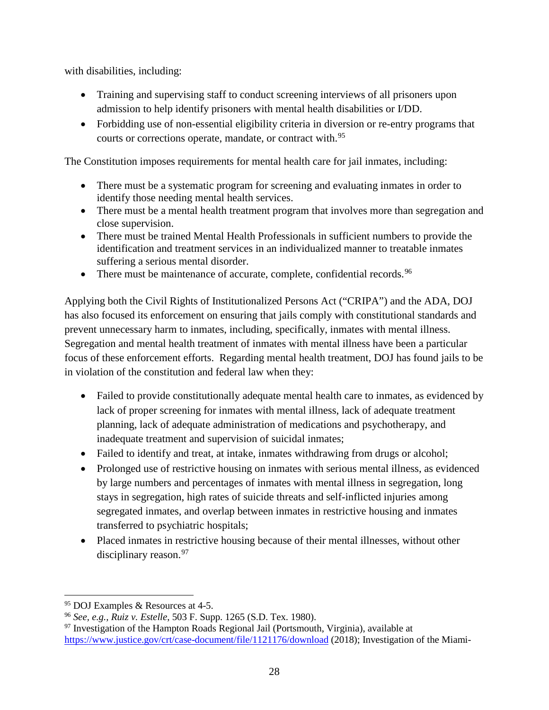with disabilities, including:

- Training and supervising staff to conduct screening interviews of all prisoners upon admission to help identify prisoners with mental health disabilities or I/DD.
- Forbidding use of non-essential eligibility criteria in diversion or re-entry programs that courts or corrections operate, mandate, or contract with.<sup>[95](#page-27-0)</sup>

The Constitution imposes requirements for mental health care for jail inmates, including:

- There must be a systematic program for screening and evaluating inmates in order to identify those needing mental health services.
- There must be a mental health treatment program that involves more than segregation and close supervision.
- There must be trained Mental Health Professionals in sufficient numbers to provide the identification and treatment services in an individualized manner to treatable inmates suffering a serious mental disorder.
- There must be maintenance of accurate, complete, confidential records.  $96$

Applying both the Civil Rights of Institutionalized Persons Act ("CRIPA") and the ADA, DOJ has also focused its enforcement on ensuring that jails comply with constitutional standards and prevent unnecessary harm to inmates, including, specifically, inmates with mental illness. Segregation and mental health treatment of inmates with mental illness have been a particular focus of these enforcement efforts. Regarding mental health treatment, DOJ has found jails to be in violation of the constitution and federal law when they:

- Failed to provide constitutionally adequate mental health care to inmates, as evidenced by lack of proper screening for inmates with mental illness, lack of adequate treatment planning, lack of adequate administration of medications and psychotherapy, and inadequate treatment and supervision of suicidal inmates;
- Failed to identify and treat, at intake, inmates withdrawing from drugs or alcohol;
- Prolonged use of restrictive housing on inmates with serious mental illness, as evidenced by large numbers and percentages of inmates with mental illness in segregation, long stays in segregation, high rates of suicide threats and self-inflicted injuries among segregated inmates, and overlap between inmates in restrictive housing and inmates transferred to psychiatric hospitals;
- Placed inmates in restrictive housing because of their mental illnesses, without other disciplinary reason.<sup>[97](#page-27-2)</sup>

 $\overline{a}$ <sup>95</sup> DOJ Examples & Resources at 4-5.

<span id="page-27-1"></span><span id="page-27-0"></span><sup>96</sup> *See, e.g., Ruiz v. Estelle*, [503 F. Supp. 1265 \(S.D. Tex. 1980\).](http://en.wikipedia.org/wiki/Case_citation)

<span id="page-27-2"></span> $97$  Investigation of the Hampton Roads Regional Jail (Portsmouth, Virginia), available at <https://www.justice.gov/crt/case-document/file/1121176/download> (2018); Investigation of the Miami-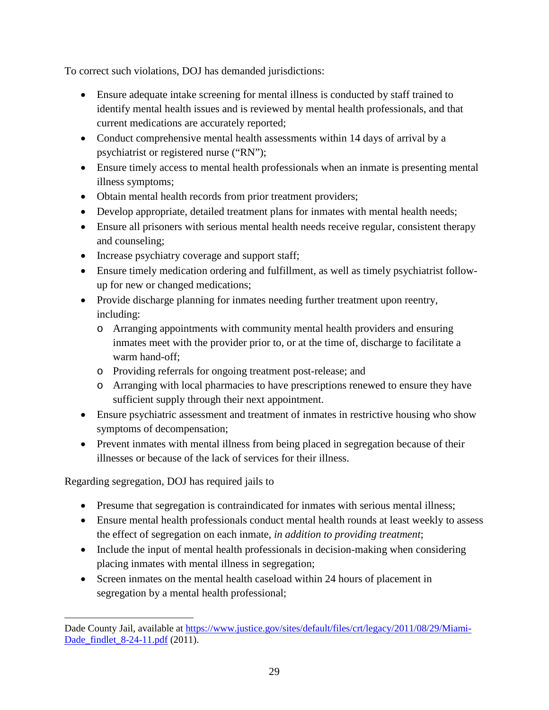To correct such violations, DOJ has demanded jurisdictions:

- Ensure adequate intake screening for mental illness is conducted by staff trained to identify mental health issues and is reviewed by mental health professionals, and that current medications are accurately reported;
- Conduct comprehensive mental health assessments within 14 days of arrival by a psychiatrist or registered nurse ("RN");
- Ensure timely access to mental health professionals when an inmate is presenting mental illness symptoms;
- Obtain mental health records from prior treatment providers;
- Develop appropriate, detailed treatment plans for inmates with mental health needs;
- Ensure all prisoners with serious mental health needs receive regular, consistent therapy and counseling;
- Increase psychiatry coverage and support staff;
- Ensure timely medication ordering and fulfillment, as well as timely psychiatrist followup for new or changed medications;
- Provide discharge planning for inmates needing further treatment upon reentry, including:
	- o Arranging appointments with community mental health providers and ensuring inmates meet with the provider prior to, or at the time of, discharge to facilitate a warm hand-off;
	- o Providing referrals for ongoing treatment post-release; and
	- o Arranging with local pharmacies to have prescriptions renewed to ensure they have sufficient supply through their next appointment.
- Ensure psychiatric assessment and treatment of inmates in restrictive housing who show symptoms of decompensation;
- Prevent inmates with mental illness from being placed in segregation because of their illnesses or because of the lack of services for their illness.

Regarding segregation, DOJ has required jails to

l

- Presume that segregation is contraindicated for inmates with serious mental illness;
- Ensure mental health professionals conduct mental health rounds at least weekly to assess the effect of segregation on each inmate, *in addition to providing treatment*;
- Include the input of mental health professionals in decision-making when considering placing inmates with mental illness in segregation;
- Screen inmates on the mental health caseload within 24 hours of placement in segregation by a mental health professional;

Dade County Jail, available at [https://www.justice.gov/sites/default/files/crt/legacy/2011/08/29/Miami-](https://www.justice.gov/sites/default/files/crt/legacy/2011/08/29/Miami-Dade_findlet_8-24-11.pdf)[Dade\\_findlet\\_8-24-11.pdf](https://www.justice.gov/sites/default/files/crt/legacy/2011/08/29/Miami-Dade_findlet_8-24-11.pdf) (2011).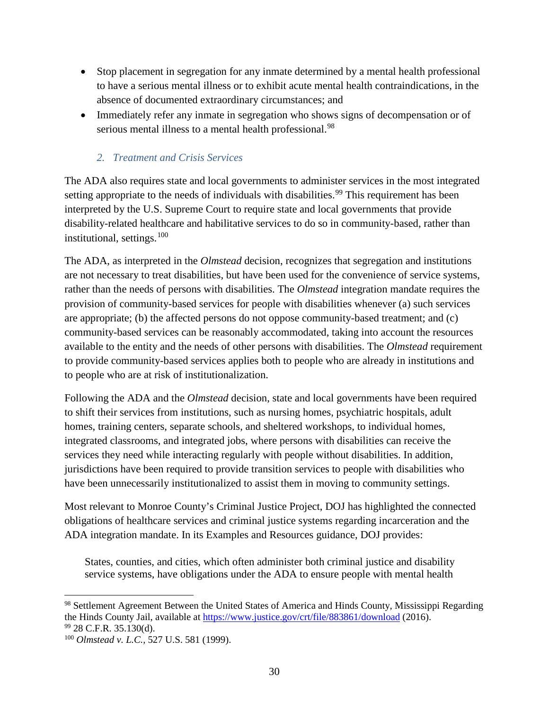- Stop placement in segregation for any inmate determined by a mental health professional to have a serious mental illness or to exhibit acute mental health contraindications, in the absence of documented extraordinary circumstances; and
- Immediately refer any inmate in segregation who shows signs of decompensation or of serious mental illness to a mental health professional.<sup>[98](#page-29-0)</sup>

## *2. Treatment and Crisis Services*

The ADA also requires state and local governments to administer services in the most integrated setting appropriate to the needs of individuals with disabilities.<sup>[99](#page-29-1)</sup> This requirement has been interpreted by the U.S. Supreme Court to require state and local governments that provide disability-related healthcare and habilitative services to do so in community-based, rather than institutional, settings.[100](#page-29-2) 

The ADA, as interpreted in the *Olmstead* decision, recognizes that segregation and institutions are not necessary to treat disabilities, but have been used for the convenience of service systems, rather than the needs of persons with disabilities. The *Olmstead* integration mandate requires the provision of community-based services for people with disabilities whenever (a) such services are appropriate; (b) the affected persons do not oppose community-based treatment; and (c) community-based services can be reasonably accommodated, taking into account the resources available to the entity and the needs of other persons with disabilities. The *Olmstead* requirement to provide community-based services applies both to people who are already in institutions and to people who are at risk of institutionalization.

Following the ADA and the *Olmstead* decision, state and local governments have been required to shift their services from institutions, such as nursing homes, psychiatric hospitals, adult homes, training centers, separate schools, and sheltered workshops, to individual homes, integrated classrooms, and integrated jobs, where persons with disabilities can receive the services they need while interacting regularly with people without disabilities. In addition, jurisdictions have been required to provide transition services to people with disabilities who have been unnecessarily institutionalized to assist them in moving to community settings.

Most relevant to Monroe County's Criminal Justice Project, DOJ has highlighted the connected obligations of healthcare services and criminal justice systems regarding incarceration and the ADA integration mandate. In its Examples and Resources guidance, DOJ provides:

States, counties, and cities, which often administer both criminal justice and disability service systems, have obligations under the ADA to ensure people with mental health

 $\overline{a}$ 

<span id="page-29-0"></span><sup>98</sup> Settlement Agreement Between the United States of America and Hinds County, Mississippi Regarding the Hinds County Jail, available at<https://www.justice.gov/crt/file/883861/download> (2016). <sup>99</sup> 28 C.F.R. 35.130(d).

<span id="page-29-2"></span><span id="page-29-1"></span><sup>100</sup> *Olmstead v. L.C.*, 527 U.S. 581 (1999).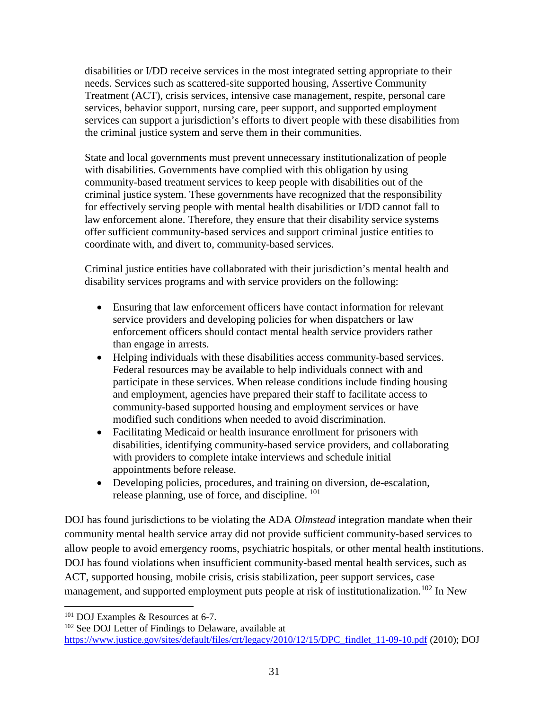disabilities or I/DD receive services in the most integrated setting appropriate to their needs. Services such as scattered-site supported housing, Assertive Community Treatment (ACT), crisis services, intensive case management, respite, personal care services, behavior support, nursing care, peer support, and supported employment services can support a jurisdiction's efforts to divert people with these disabilities from the criminal justice system and serve them in their communities.

State and local governments must prevent unnecessary institutionalization of people with disabilities. Governments have complied with this obligation by using community-based treatment services to keep people with disabilities out of the criminal justice system. These governments have recognized that the responsibility for effectively serving people with mental health disabilities or I/DD cannot fall to law enforcement alone. Therefore, they ensure that their disability service systems offer sufficient community-based services and support criminal justice entities to coordinate with, and divert to, community-based services.

Criminal justice entities have collaborated with their jurisdiction's mental health and disability services programs and with service providers on the following:

- Ensuring that law enforcement officers have contact information for relevant service providers and developing policies for when dispatchers or law enforcement officers should contact mental health service providers rather than engage in arrests.
- Helping individuals with these disabilities access community-based services. Federal resources may be available to help individuals connect with and participate in these services. When release conditions include finding housing and employment, agencies have prepared their staff to facilitate access to community-based supported housing and employment services or have modified such conditions when needed to avoid discrimination.
- Facilitating Medicaid or health insurance enrollment for prisoners with disabilities, identifying community-based service providers, and collaborating with providers to complete intake interviews and schedule initial appointments before release.
- Developing policies, procedures, and training on diversion, de-escalation, release planning, use of force, and discipline. [101](#page-30-0)

DOJ has found jurisdictions to be violating the ADA *Olmstead* integration mandate when their community mental health service array did not provide sufficient community-based services to allow people to avoid emergency rooms, psychiatric hospitals, or other mental health institutions. DOJ has found violations when insufficient community-based mental health services, such as ACT, supported housing, mobile crisis, crisis stabilization, peer support services, case management, and supported employment puts people at risk of institutionalization.<sup>[102](#page-30-1)</sup> In New

<span id="page-30-0"></span><sup>101</sup> DOJ Examples & Resources at 6-7.

<span id="page-30-1"></span><sup>&</sup>lt;sup>102</sup> See DOJ Letter of Findings to Delaware, available at [https://www.justice.gov/sites/default/files/crt/legacy/2010/12/15/DPC\\_findlet\\_11-09-10.pdf](https://www.justice.gov/sites/default/files/crt/legacy/2010/12/15/DPC_findlet_11-09-10.pdf) (2010); DOJ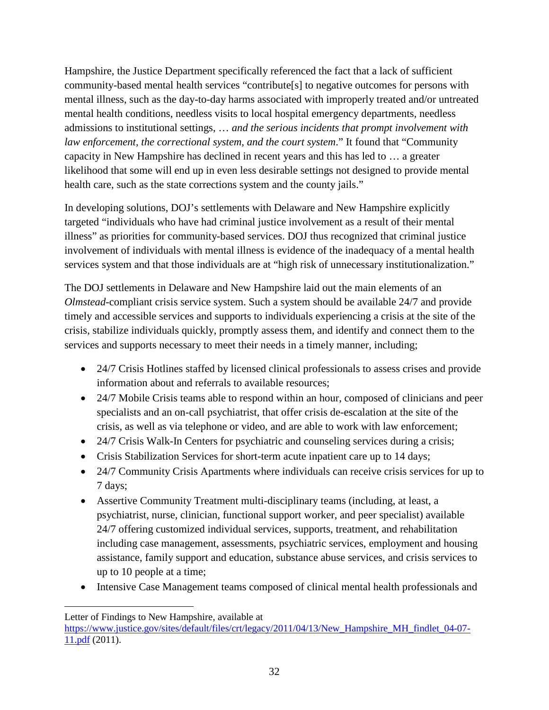Hampshire, the Justice Department specifically referenced the fact that a lack of sufficient community-based mental health services "contribute[s] to negative outcomes for persons with mental illness, such as the day-to-day harms associated with improperly treated and/or untreated mental health conditions, needless visits to local hospital emergency departments, needless admissions to institutional settings, … *and the serious incidents that prompt involvement with law enforcement, the correctional system, and the court system*." It found that "Community capacity in New Hampshire has declined in recent years and this has led to … a greater likelihood that some will end up in even less desirable settings not designed to provide mental health care, such as the state corrections system and the county jails."

In developing solutions, DOJ's settlements with Delaware and New Hampshire explicitly targeted "individuals who have had criminal justice involvement as a result of their mental illness" as priorities for community-based services. DOJ thus recognized that criminal justice involvement of individuals with mental illness is evidence of the inadequacy of a mental health services system and that those individuals are at "high risk of unnecessary institutionalization."

The DOJ settlements in Delaware and New Hampshire laid out the main elements of an *Olmstead*-compliant crisis service system. Such a system should be available 24/7 and provide timely and accessible services and supports to individuals experiencing a crisis at the site of the crisis, stabilize individuals quickly, promptly assess them, and identify and connect them to the services and supports necessary to meet their needs in a timely manner, including;

- 24/7 Crisis Hotlines staffed by licensed clinical professionals to assess crises and provide information about and referrals to available resources;
- 24/7 Mobile Crisis teams able to respond within an hour, composed of clinicians and peer specialists and an on-call psychiatrist, that offer crisis de-escalation at the site of the crisis, as well as via telephone or video, and are able to work with law enforcement;
- 24/7 Crisis Walk-In Centers for psychiatric and counseling services during a crisis;
- Crisis Stabilization Services for short-term acute inpatient care up to 14 days;
- 24/7 Community Crisis Apartments where individuals can receive crisis services for up to 7 days;
- Assertive Community Treatment multi-disciplinary teams (including, at least, a psychiatrist, nurse, clinician, functional support worker, and peer specialist) available 24/7 offering customized individual services, supports, treatment, and rehabilitation including case management, assessments, psychiatric services, employment and housing assistance, family support and education, substance abuse services, and crisis services to up to 10 people at a time;
- Intensive Case Management teams composed of clinical mental health professionals and

Letter of Findings to New Hampshire, available at

[https://www.justice.gov/sites/default/files/crt/legacy/2011/04/13/New\\_Hampshire\\_MH\\_findlet\\_04-07-](https://www.justice.gov/sites/default/files/crt/legacy/2011/04/13/New_Hampshire_MH_findlet_04-07-11.pdf) [11.pdf](https://www.justice.gov/sites/default/files/crt/legacy/2011/04/13/New_Hampshire_MH_findlet_04-07-11.pdf) (2011).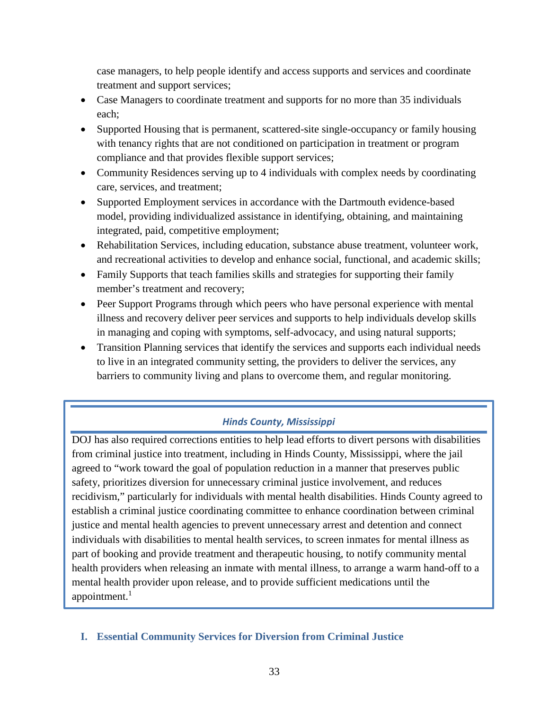case managers, to help people identify and access supports and services and coordinate treatment and support services;

- Case Managers to coordinate treatment and supports for no more than 35 individuals each;
- Supported Housing that is permanent, scattered-site single-occupancy or family housing with tenancy rights that are not conditioned on participation in treatment or program compliance and that provides flexible support services;
- Community Residences serving up to 4 individuals with complex needs by coordinating care, services, and treatment;
- Supported Employment services in accordance with the Dartmouth evidence-based model, providing individualized assistance in identifying, obtaining, and maintaining integrated, paid, competitive employment;
- Rehabilitation Services, including education, substance abuse treatment, volunteer work, and recreational activities to develop and enhance social, functional, and academic skills;
- Family Supports that teach families skills and strategies for supporting their family member's treatment and recovery;
- Peer Support Programs through which peers who have personal experience with mental illness and recovery deliver peer services and supports to help individuals develop skills in managing and coping with symptoms, self-advocacy, and using natural supports;
- Transition Planning services that identify the services and supports each individual needs to live in an integrated community setting, the providers to deliver the services, any barriers to community living and plans to overcome them, and regular monitoring.

# *Hinds County, Mississippi*

DOJ has also required corrections entities to help lead efforts to divert persons with disabilities from criminal justice into treatment, including in Hinds County, Mississippi, where the jail agreed to "work toward the goal of population reduction in a manner that preserves public safety, prioritizes diversion for unnecessary criminal justice involvement, and reduces recidivism," particularly for individuals with mental health disabilities. Hinds County agreed to establish a criminal justice coordinating committee to enhance coordination between criminal justice and mental health agencies to prevent unnecessary arrest and detention and connect individuals with disabilities to mental health services, to screen inmates for mental illness as part of booking and provide treatment and therapeutic housing, to notify community mental health providers when releasing an inmate with mental illness, to arrange a warm hand-off to a mental health provider upon release, and to provide sufficient medications until the appointment. $<sup>1</sup>$ </sup>

**I. Essential Community Services for Diversion from Criminal Justice**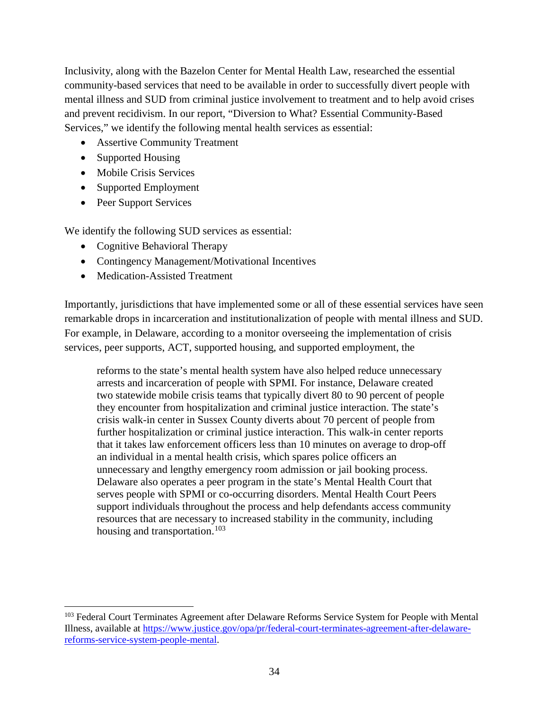Inclusivity, along with the Bazelon Center for Mental Health Law, researched the essential community-based services that need to be available in order to successfully divert people with mental illness and SUD from criminal justice involvement to treatment and to help avoid crises and prevent recidivism. In our report, "Diversion to What? Essential Community-Based Services," we identify the following mental health services as essential:

- Assertive Community Treatment
- Supported Housing
- Mobile Crisis Services
- Supported Employment
- Peer Support Services

 $\overline{\phantom{a}}$ 

We identify the following SUD services as essential:

- Cognitive Behavioral Therapy
- Contingency Management/Motivational Incentives
- Medication-Assisted Treatment

Importantly, jurisdictions that have implemented some or all of these essential services have seen remarkable drops in incarceration and institutionalization of people with mental illness and SUD. For example, in Delaware, according to a monitor overseeing the implementation of crisis services, peer supports, ACT, supported housing, and supported employment, the

reforms to the state's mental health system have also helped reduce unnecessary arrests and incarceration of people with SPMI. For instance, Delaware created two statewide mobile crisis teams that typically divert 80 to 90 percent of people they encounter from hospitalization and criminal justice interaction. The state's crisis walk-in center in Sussex County diverts about 70 percent of people from further hospitalization or criminal justice interaction. This walk-in center reports that it takes law enforcement officers less than 10 minutes on average to drop-off an individual in a mental health crisis, which spares police officers an unnecessary and lengthy emergency room admission or jail booking process. Delaware also operates a peer program in the state's Mental Health Court that serves people with SPMI or co-occurring disorders. Mental Health Court Peers support individuals throughout the process and help defendants access community resources that are necessary to increased stability in the community, including housing and transportation.<sup>[103](#page-33-0)</sup>

<span id="page-33-0"></span><sup>&</sup>lt;sup>103</sup> Federal Court Terminates Agreement after Delaware Reforms Service System for People with Mental Illness, available at [https://www.justice.gov/opa/pr/federal-court-terminates-agreement-after-delaware](https://www.justice.gov/opa/pr/federal-court-terminates-agreement-after-delaware-reforms-service-system-people-mental)[reforms-service-system-people-mental.](https://www.justice.gov/opa/pr/federal-court-terminates-agreement-after-delaware-reforms-service-system-people-mental)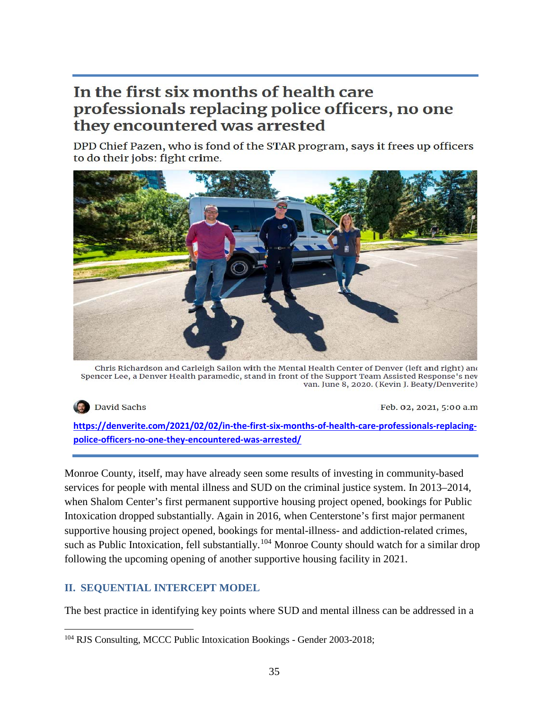# In the first six months of health care professionals replacing police officers, no one they encountered was arrested

DPD Chief Pazen, who is fond of the STAR program, says it frees up officers to do their jobs: fight crime.



Chris Richardson and Carleigh Sailon with the Mental Health Center of Denver (left and right) and Spencer Lee, a Denver Health paramedic, stand in front of the Support Team Assisted Response's nev van. June 8, 2020. (Kevin J. Beaty/Denverite)



Feb. 02, 2021, 5:00 a.m.

**[https://denverite.com/2021/02/02/in-the-first-six-months-of-health-care-professionals-replacing](https://denverite.com/2021/02/02/in-the-first-six-months-of-health-care-professionals-replacing-police-officers-no-one-they-encountered-was-arrested/)[police-officers-no-one-they-encountered-was-arrested/](https://denverite.com/2021/02/02/in-the-first-six-months-of-health-care-professionals-replacing-police-officers-no-one-they-encountered-was-arrested/)**

Monroe County, itself, may have already seen some results of investing in community-based services for people with mental illness and SUD on the criminal justice system. In 2013–2014, when Shalom Center's first permanent supportive housing project opened, bookings for Public Intoxication dropped substantially. Again in 2016, when Centerstone's first major permanent supportive housing project opened, bookings for mental-illness- and addiction-related crimes, such as Public Intoxication, fell substantially.<sup>[104](#page-34-0)</sup> Monroe County should watch for a similar drop following the upcoming opening of another supportive housing facility in 2021.

# **II. SEQUENTIAL INTERCEPT MODEL**

The best practice in identifying key points where SUD and mental illness can be addressed in a

<span id="page-34-0"></span>l <sup>104</sup> RJS Consulting, MCCC Public Intoxication Bookings - Gender 2003-2018;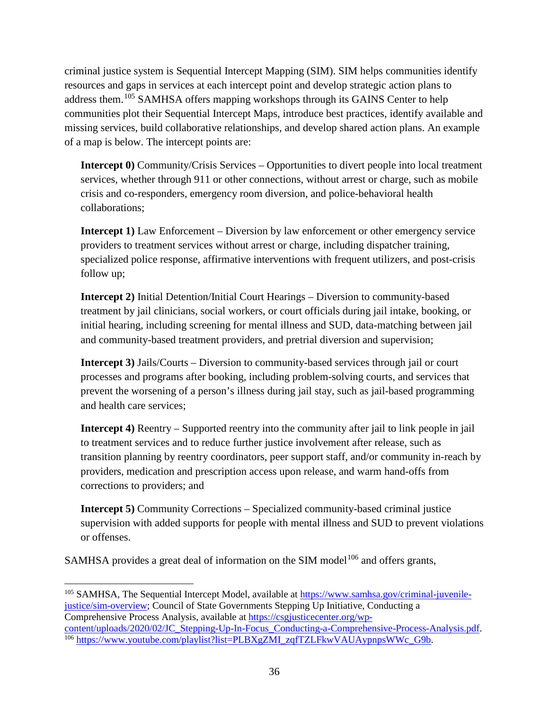criminal justice system is Sequential Intercept Mapping (SIM). SIM helps communities identify resources and gaps in services at each intercept point and develop strategic action plans to address them.<sup>[105](#page-35-0)</sup> SAMHSA offers mapping workshops through its GAINS Center to help communities plot their Sequential Intercept Maps, introduce best practices, identify available and missing services, build collaborative relationships, and develop shared action plans. An example of a map is below. The intercept points are:

**Intercept 0)** Community/Crisis Services – Opportunities to divert people into local treatment services, whether through 911 or other connections, without arrest or charge, such as mobile crisis and co-responders, emergency room diversion, and police-behavioral health collaborations;

**Intercept 1)** Law Enforcement – Diversion by law enforcement or other emergency service providers to treatment services without arrest or charge, including dispatcher training, specialized police response, affirmative interventions with frequent utilizers, and post-crisis follow up;

**Intercept 2)** Initial Detention/Initial Court Hearings – Diversion to community-based treatment by jail clinicians, social workers, or court officials during jail intake, booking, or initial hearing, including screening for mental illness and SUD, data-matching between jail and community-based treatment providers, and pretrial diversion and supervision;

**Intercept 3)** Jails/Courts – Diversion to community-based services through jail or court processes and programs after booking, including problem-solving courts, and services that prevent the worsening of a person's illness during jail stay, such as jail-based programming and health care services;

**Intercept 4)** Reentry – Supported reentry into the community after jail to link people in jail to treatment services and to reduce further justice involvement after release, such as transition planning by reentry coordinators, peer support staff, and/or community in-reach by providers, medication and prescription access upon release, and warm hand-offs from corrections to providers; and

**Intercept 5)** Community Corrections – Specialized community-based criminal justice supervision with added supports for people with mental illness and SUD to prevent violations or offenses.

SAMHSA provides a great deal of information on the SIM model<sup>[106](#page-35-1)</sup> and offers grants,

<span id="page-35-0"></span>l <sup>105</sup> SAMHSA, The Sequential Intercept Model, available at [https://www.samhsa.gov/criminal-juvenile](https://www.samhsa.gov/criminal-juvenile-justice/sim-overview)[justice/sim-overview;](https://www.samhsa.gov/criminal-juvenile-justice/sim-overview) Council of State Governments Stepping Up Initiative, Conducting a Comprehensive Process Analysis, available at https://csgjusticecenter.org/wp-<br>content/uploads/2020/02/JC\_Stepping-Up-In-Focus\_Conducting-a-Comprehensive-Process-Analysis.pdf.

<span id="page-35-1"></span> $106$  [https://www.youtube.com/playlist?list=PLBXgZMI\\_zqfTZLFkwVAUAypnpsWWc\\_G9b.](https://www.youtube.com/playlist?list=PLBXgZMI_zqfTZLFkwVAUAypnpsWWc_G9b)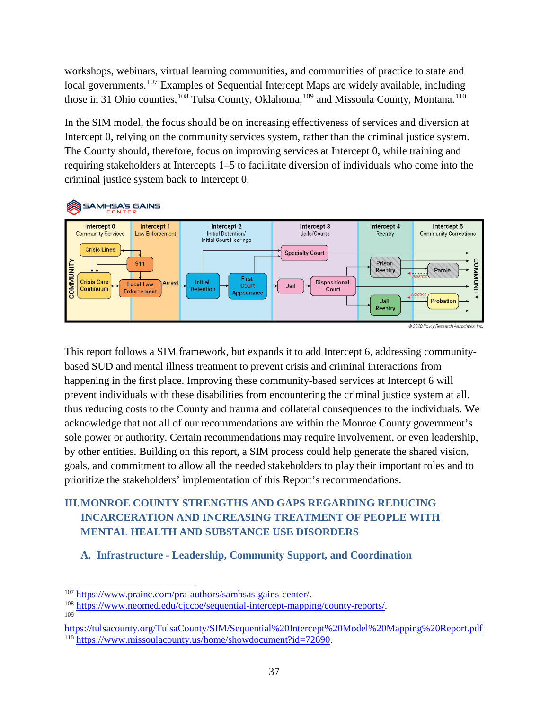workshops, webinars, virtual learning communities, and communities of practice to state and local governments.<sup>[107](#page-36-0)</sup> Examples of Sequential Intercept Maps are widely available, including those in 31 Ohio counties, <sup>[108](#page-36-1)</sup> Tulsa County, Oklahoma, <sup>[109](#page-36-2)</sup> and Missoula County, Montana. <sup>[110](#page-36-3)</sup>

In the SIM model, the focus should be on increasing effectiveness of services and diversion at Intercept 0, relying on the community services system, rather than the criminal justice system. The County should, therefore, focus on improving services at Intercept 0, while training and requiring stakeholders at Intercepts 1–5 to facilitate diversion of individuals who come into the criminal justice system back to Intercept 0.



This report follows a SIM framework, but expands it to add Intercept 6, addressing communitybased SUD and mental illness treatment to prevent crisis and criminal interactions from happening in the first place. Improving these community-based services at Intercept 6 will prevent individuals with these disabilities from encountering the criminal justice system at all, thus reducing costs to the County and trauma and collateral consequences to the individuals. We acknowledge that not all of our recommendations are within the Monroe County government's sole power or authority. Certain recommendations may require involvement, or even leadership, by other entities. Building on this report, a SIM process could help generate the shared vision, goals, and commitment to allow all the needed stakeholders to play their important roles and to prioritize the stakeholders' implementation of this Report's recommendations.

# **III.MONROE COUNTY STRENGTHS AND GAPS REGARDING REDUCING INCARCERATION AND INCREASING TREATMENT OF PEOPLE WITH MENTAL HEALTH AND SUBSTANCE USE DISORDERS**

## **A. Infrastructure - Leadership, Community Support, and Coordination**

l

<span id="page-36-1"></span><span id="page-36-0"></span>

<sup>&</sup>lt;sup>107</sup> [https://www.prainc.com/pra-authors/samhsas-gains-center/.](https://www.prainc.com/pra-authors/samhsas-gains-center/)<br><sup>108</sup> [https://www.neomed.edu/cjccoe/sequential-intercept-mapping/county-reports/.](https://www.neomed.edu/cjccoe/sequential-intercept-mapping/county-reports/)

<span id="page-36-3"></span><span id="page-36-2"></span><https://tulsacounty.org/TulsaCounty/SIM/Sequential%20Intercept%20Model%20Mapping%20Report.pdf> <sup>110</sup> [https://www.missoulacounty.us/home/showdocument?id=72690.](https://www.missoulacounty.us/home/showdocument?id=72690)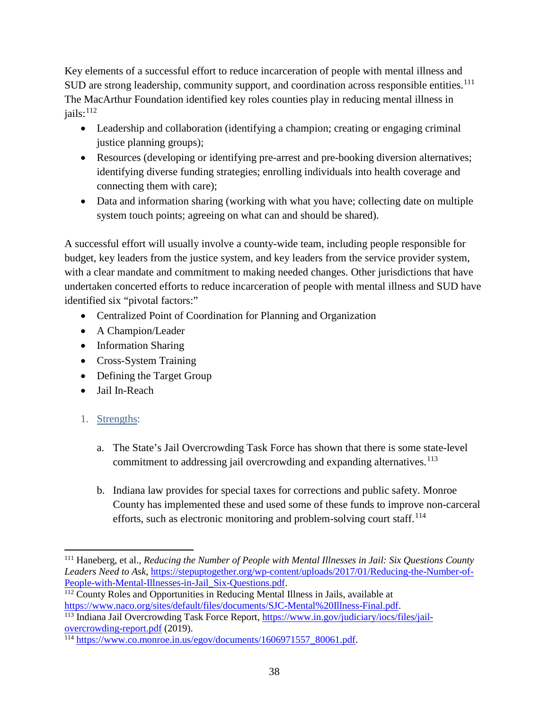Key elements of a successful effort to reduce incarceration of people with mental illness and SUD are strong leadership, community support, and coordination across responsible entities.<sup>[111](#page-37-0)</sup> The MacArthur Foundation identified key roles counties play in reducing mental illness in  $iails:$ <sup>[112](#page-37-1)</sup>

- Leadership and collaboration (identifying a champion; creating or engaging criminal justice planning groups);
- Resources (developing or identifying pre-arrest and pre-booking diversion alternatives; identifying diverse funding strategies; enrolling individuals into health coverage and connecting them with care);
- Data and information sharing (working with what you have; collecting date on multiple system touch points; agreeing on what can and should be shared).

A successful effort will usually involve a county-wide team, including people responsible for budget, key leaders from the justice system, and key leaders from the service provider system, with a clear mandate and commitment to making needed changes. Other jurisdictions that have undertaken concerted efforts to reduce incarceration of people with mental illness and SUD have identified six "pivotal factors:"

- Centralized Point of Coordination for Planning and Organization
- A Champion/Leader
- Information Sharing
- Cross-System Training
- Defining the Target Group
- Jail In-Reach
- 1. Strengths:
	- a. The State's Jail Overcrowding Task Force has shown that there is some state-level commitment to addressing jail overcrowding and expanding alternatives.<sup>[113](#page-37-2)</sup>
	- b. Indiana law provides for special taxes for corrections and public safety. Monroe County has implemented these and used some of these funds to improve non-carceral efforts, such as electronic monitoring and problem-solving court staff.<sup>[114](#page-37-3)</sup>

<span id="page-37-0"></span>l <sup>111</sup> Haneberg, et al., *Reducing the Number of People with Mental Illnesses in Jail: Six Questions County Leaders Need to Ask*, [https://stepuptogether.org/wp-content/uploads/2017/01/Reducing-the-Number-of-](https://stepuptogether.org/wp-content/uploads/2017/01/Reducing-the-Number-of-People-with-Mental-Illnesses-in-Jail_Six-Questions.pdf)

<span id="page-37-1"></span><sup>&</sup>lt;sup>112</sup> County Roles and Opportunities in Reducing Mental Illness in Jails, available at https://www.naco.org/sites/default/files/documents/SJC-Mental%20Illness-Final.pdf.

<span id="page-37-2"></span> $113$  Indiana Jail Overcrowding Task Force Report, [https://www.in.gov/judiciary/iocs/files/jail](https://www.in.gov/judiciary/iocs/files/jail-overcrowding-report.pdf)[overcrowding-report.pdf](https://www.in.gov/judiciary/iocs/files/jail-overcrowding-report.pdf) (2019).

<span id="page-37-3"></span><sup>114</sup> [https://www.co.monroe.in.us/egov/documents/1606971557\\_80061.pdf.](https://www.co.monroe.in.us/egov/documents/1606971557_80061.pdf)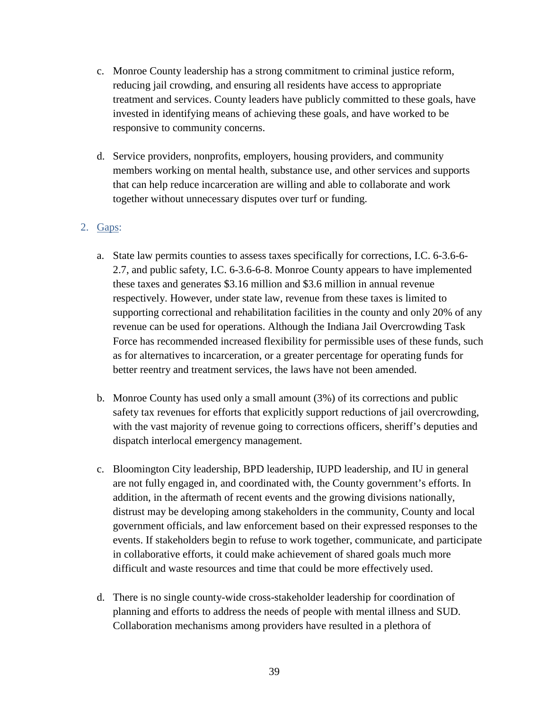- c. Monroe County leadership has a strong commitment to criminal justice reform, reducing jail crowding, and ensuring all residents have access to appropriate treatment and services. County leaders have publicly committed to these goals, have invested in identifying means of achieving these goals, and have worked to be responsive to community concerns.
- d. Service providers, nonprofits, employers, housing providers, and community members working on mental health, substance use, and other services and supports that can help reduce incarceration are willing and able to collaborate and work together without unnecessary disputes over turf or funding.

## 2. Gaps:

- a. State law permits counties to assess taxes specifically for corrections, I.C. 6-3.6-6- 2.7, and public safety, I.C. 6-3.6-6-8. Monroe County appears to have implemented these taxes and generates \$3.16 million and \$3.6 million in annual revenue respectively. However, under state law, revenue from these taxes is limited to supporting correctional and rehabilitation facilities in the county and only 20% of any revenue can be used for operations. Although the Indiana Jail Overcrowding Task Force has recommended increased flexibility for permissible uses of these funds, such as for alternatives to incarceration, or a greater percentage for operating funds for better reentry and treatment services, the laws have not been amended.
- b. Monroe County has used only a small amount (3%) of its corrections and public safety tax revenues for efforts that explicitly support reductions of jail overcrowding, with the vast majority of revenue going to corrections officers, sheriff's deputies and dispatch interlocal emergency management.
- c. Bloomington City leadership, BPD leadership, IUPD leadership, and IU in general are not fully engaged in, and coordinated with, the County government's efforts. In addition, in the aftermath of recent events and the growing divisions nationally, distrust may be developing among stakeholders in the community, County and local government officials, and law enforcement based on their expressed responses to the events. If stakeholders begin to refuse to work together, communicate, and participate in collaborative efforts, it could make achievement of shared goals much more difficult and waste resources and time that could be more effectively used.
- d. There is no single county-wide cross-stakeholder leadership for coordination of planning and efforts to address the needs of people with mental illness and SUD. Collaboration mechanisms among providers have resulted in a plethora of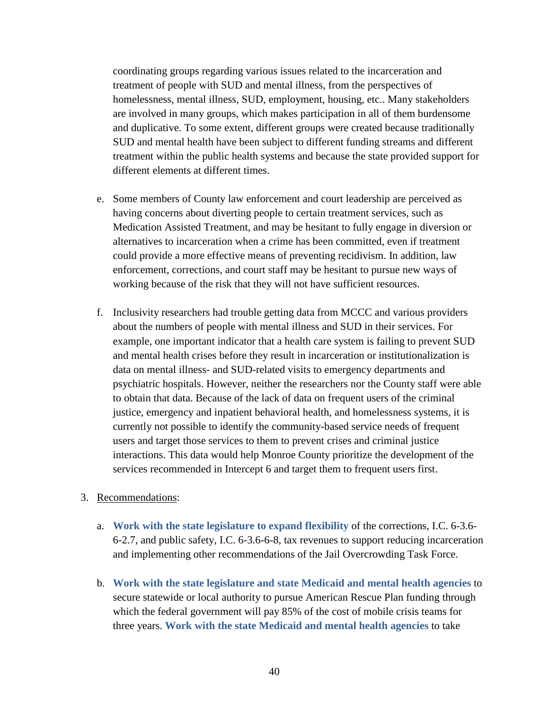coordinating groups regarding various issues related to the incarceration and treatment of people with SUD and mental illness, from the perspectives of homelessness, mental illness, SUD, employment, housing, etc.. Many stakeholders are involved in many groups, which makes participation in all of them burdensome and duplicative. To some extent, different groups were created because traditionally SUD and mental health have been subject to different funding streams and different treatment within the public health systems and because the state provided support for different elements at different times.

- e. Some members of County law enforcement and court leadership are perceived as having concerns about diverting people to certain treatment services, such as Medication Assisted Treatment, and may be hesitant to fully engage in diversion or alternatives to incarceration when a crime has been committed, even if treatment could provide a more effective means of preventing recidivism. In addition, law enforcement, corrections, and court staff may be hesitant to pursue new ways of working because of the risk that they will not have sufficient resources.
- f. Inclusivity researchers had trouble getting data from MCCC and various providers about the numbers of people with mental illness and SUD in their services. For example, one important indicator that a health care system is failing to prevent SUD and mental health crises before they result in incarceration or institutionalization is data on mental illness- and SUD-related visits to emergency departments and psychiatric hospitals. However, neither the researchers nor the County staff were able to obtain that data. Because of the lack of data on frequent users of the criminal justice, emergency and inpatient behavioral health, and homelessness systems, it is currently not possible to identify the community-based service needs of frequent users and target those services to them to prevent crises and criminal justice interactions. This data would help Monroe County prioritize the development of the services recommended in Intercept 6 and target them to frequent users first.
- 3. Recommendations:
	- a. **Work with the state legislature to expand flexibility** of the corrections, I.C. 6-3.6- 6-2.7, and public safety, I.C. 6-3.6-6-8, tax revenues to support reducing incarceration and implementing other recommendations of the Jail Overcrowding Task Force.
	- b. **Work with the state legislature and state Medicaid and mental health agencies** to secure statewide or local authority to pursue American Rescue Plan funding through which the federal government will pay 85% of the cost of mobile crisis teams for three years. **Work with the state Medicaid and mental health agencies** to take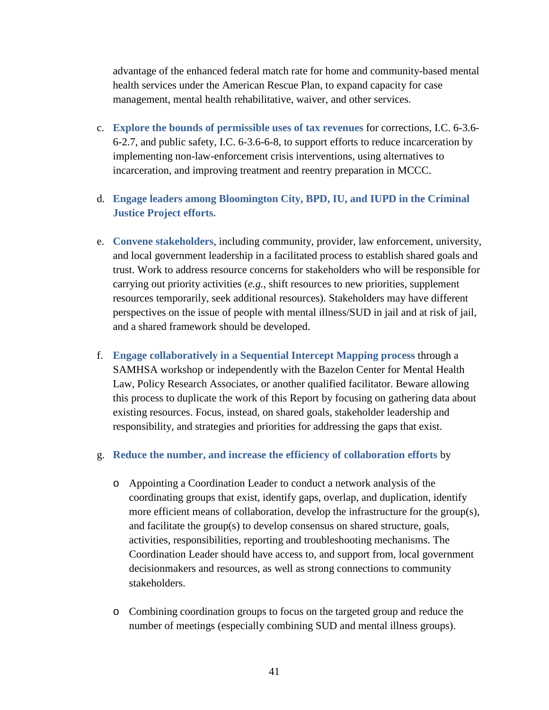advantage of the enhanced federal match rate for home and community-based mental health services under the American Rescue Plan, to expand capacity for case management, mental health rehabilitative, waiver, and other services.

- c. **Explore the bounds of permissible uses of tax revenues** for corrections, I.C. 6-3.6- 6-2.7, and public safety, I.C. 6-3.6-6-8, to support efforts to reduce incarceration by implementing non-law-enforcement crisis interventions, using alternatives to incarceration, and improving treatment and reentry preparation in MCCC.
- d. **Engage leaders among Bloomington City, BPD, IU, and IUPD in the Criminal Justice Project efforts.**
- e. **Convene stakeholders**, including community, provider, law enforcement, university, and local government leadership in a facilitated process to establish shared goals and trust. Work to address resource concerns for stakeholders who will be responsible for carrying out priority activities (*e.g.*, shift resources to new priorities, supplement resources temporarily, seek additional resources). Stakeholders may have different perspectives on the issue of people with mental illness/SUD in jail and at risk of jail, and a shared framework should be developed.
- f. **Engage collaboratively in a Sequential Intercept Mapping process** through a SAMHSA workshop or independently with the Bazelon Center for Mental Health Law, Policy Research Associates, or another qualified facilitator. Beware allowing this process to duplicate the work of this Report by focusing on gathering data about existing resources. Focus, instead, on shared goals, stakeholder leadership and responsibility, and strategies and priorities for addressing the gaps that exist.

#### g. **Reduce the number, and increase the efficiency of collaboration efforts** by

- o Appointing a Coordination Leader to conduct a network analysis of the coordinating groups that exist, identify gaps, overlap, and duplication, identify more efficient means of collaboration, develop the infrastructure for the group(s), and facilitate the group(s) to develop consensus on shared structure, goals, activities, responsibilities, reporting and troubleshooting mechanisms. The Coordination Leader should have access to, and support from, local government decisionmakers and resources, as well as strong connections to community stakeholders.
- o Combining coordination groups to focus on the targeted group and reduce the number of meetings (especially combining SUD and mental illness groups).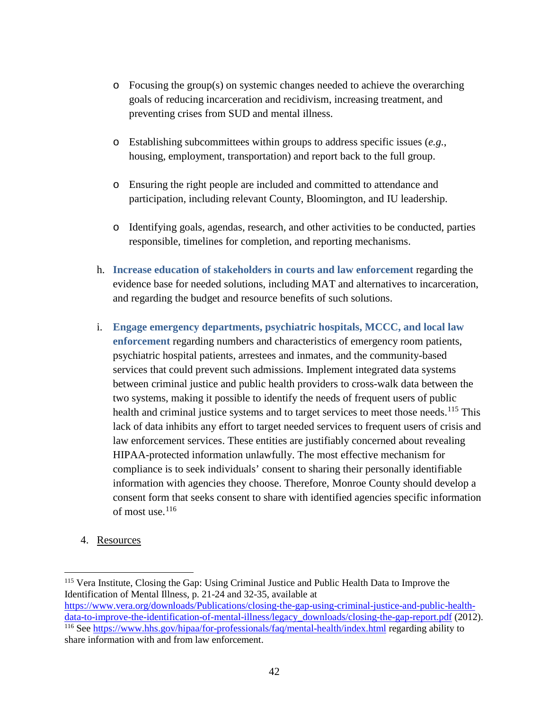- o Focusing the group(s) on systemic changes needed to achieve the overarching goals of reducing incarceration and recidivism, increasing treatment, and preventing crises from SUD and mental illness.
- o Establishing subcommittees within groups to address specific issues (*e.g.*, housing, employment, transportation) and report back to the full group.
- o Ensuring the right people are included and committed to attendance and participation, including relevant County, Bloomington, and IU leadership.
- o Identifying goals, agendas, research, and other activities to be conducted, parties responsible, timelines for completion, and reporting mechanisms.
- h. **Increase education of stakeholders in courts and law enforcement** regarding the evidence base for needed solutions, including MAT and alternatives to incarceration, and regarding the budget and resource benefits of such solutions.
- i. **Engage emergency departments, psychiatric hospitals, MCCC, and local law enforcement** regarding numbers and characteristics of emergency room patients, psychiatric hospital patients, arrestees and inmates, and the community-based services that could prevent such admissions. Implement integrated data systems between criminal justice and public health providers to cross-walk data between the two systems, making it possible to identify the needs of frequent users of public health and criminal justice systems and to target services to meet those needs.<sup>[115](#page-41-0)</sup> This lack of data inhibits any effort to target needed services to frequent users of crisis and law enforcement services. These entities are justifiably concerned about revealing HIPAA-protected information unlawfully. The most effective mechanism for compliance is to seek individuals' consent to sharing their personally identifiable information with agencies they choose. Therefore, Monroe County should develop a consent form that seeks consent to share with identified agencies specific information of most use.[116](#page-41-1)
- 4. Resources

<span id="page-41-0"></span><sup>115</sup> Vera Institute, Closing the Gap: Using Criminal Justice and Public Health Data to Improve the Identification of Mental Illness, p. 21-24 and 32-35, available at

<span id="page-41-1"></span>[https://www.vera.org/downloads/Publications/closing-the-gap-using-criminal-justice-and-public-health](https://www.vera.org/downloads/Publications/closing-the-gap-using-criminal-justice-and-public-health-data-to-improve-the-identification-of-mental-illness/legacy_downloads/closing-the-gap-report.pdf)[data-to-improve-the-identification-of-mental-illness/legacy\\_downloads/closing-the-gap-report.pdf](https://www.vera.org/downloads/Publications/closing-the-gap-using-criminal-justice-and-public-health-data-to-improve-the-identification-of-mental-illness/legacy_downloads/closing-the-gap-report.pdf) (2012). <sup>116</sup> See<https://www.hhs.gov/hipaa/for-professionals/faq/mental-health/index.html> regarding ability to share information with and from law enforcement.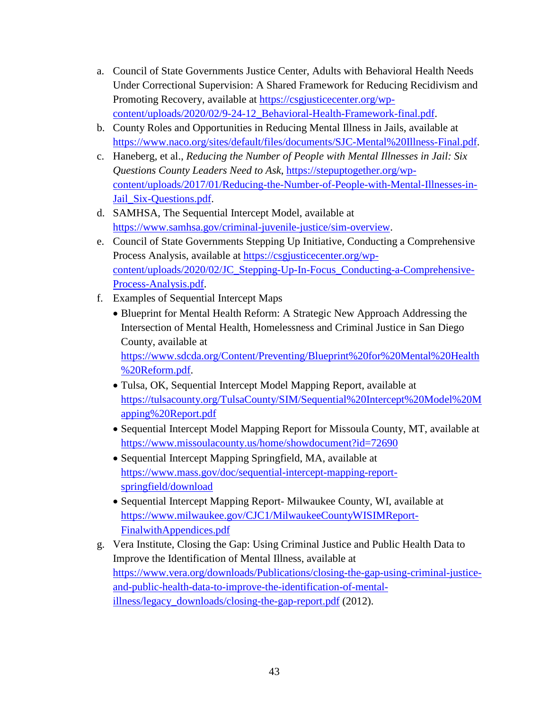- a. Council of State Governments Justice Center, Adults with Behavioral Health Needs Under Correctional Supervision: A Shared Framework for Reducing Recidivism and Promoting Recovery, available at [https://csgjusticecenter.org/wp](https://csgjusticecenter.org/wp-content/uploads/2020/02/9-24-12_Behavioral-Health-Framework-final.pdf)[content/uploads/2020/02/9-24-12\\_Behavioral-Health-Framework-final.pdf.](https://csgjusticecenter.org/wp-content/uploads/2020/02/9-24-12_Behavioral-Health-Framework-final.pdf)
- b. County Roles and Opportunities in Reducing Mental Illness in Jails, available at [https://www.naco.org/sites/default/files/documents/SJC-Mental%20Illness-Final.pdf.](https://www.naco.org/sites/default/files/documents/SJC-Mental%20Illness-Final.pdf)
- c. Haneberg, et al., *Reducing the Number of People with Mental Illnesses in Jail: Six Questions County Leaders Need to Ask*, [https://stepuptogether.org/wp](https://stepuptogether.org/wp-content/uploads/2017/01/Reducing-the-Number-of-People-with-Mental-Illnesses-in-Jail_Six-Questions.pdf)[content/uploads/2017/01/Reducing-the-Number-of-People-with-Mental-Illnesses-in-](https://stepuptogether.org/wp-content/uploads/2017/01/Reducing-the-Number-of-People-with-Mental-Illnesses-in-Jail_Six-Questions.pdf)Jail Six-Questions.pdf.
- d. SAMHSA, The Sequential Intercept Model, available at [https://www.samhsa.gov/criminal-juvenile-justice/sim-overview.](https://www.samhsa.gov/criminal-juvenile-justice/sim-overview)
- e. Council of State Governments Stepping Up Initiative, Conducting a Comprehensive Process Analysis, available at [https://csgjusticecenter.org/wp](https://csgjusticecenter.org/wp-content/uploads/2020/02/JC_Stepping-Up-In-Focus_Conducting-a-Comprehensive-Process-Analysis.pdf)[content/uploads/2020/02/JC\\_Stepping-Up-In-Focus\\_Conducting-a-Comprehensive-](https://csgjusticecenter.org/wp-content/uploads/2020/02/JC_Stepping-Up-In-Focus_Conducting-a-Comprehensive-Process-Analysis.pdf)[Process-Analysis.pdf.](https://csgjusticecenter.org/wp-content/uploads/2020/02/JC_Stepping-Up-In-Focus_Conducting-a-Comprehensive-Process-Analysis.pdf)
- f. Examples of Sequential Intercept Maps
	- Blueprint for Mental Health Reform: A Strategic New Approach Addressing the Intersection of Mental Health, Homelessness and Criminal Justice in San Diego County, available at [https://www.sdcda.org/Content/Preventing/Blueprint%20for%20Mental%20Health](https://www.sdcda.org/Content/Preventing/Blueprint%20for%20Mental%20Health%20Reform.pdf)
		- [%20Reform.pdf.](https://www.sdcda.org/Content/Preventing/Blueprint%20for%20Mental%20Health%20Reform.pdf)
	- Tulsa, OK, Sequential Intercept Model Mapping Report, available at [https://tulsacounty.org/TulsaCounty/SIM/Sequential%20Intercept%20Model%20M](https://tulsacounty.org/TulsaCounty/SIM/Sequential%20Intercept%20Model%20Mapping%20Report.pdf) [apping%20Report.pdf](https://tulsacounty.org/TulsaCounty/SIM/Sequential%20Intercept%20Model%20Mapping%20Report.pdf)
	- Sequential Intercept Model Mapping Report for Missoula County, MT, available at <https://www.missoulacounty.us/home/showdocument?id=72690>
	- Sequential Intercept Mapping Springfield, MA, available at [https://www.mass.gov/doc/sequential-intercept-mapping-report](https://www.mass.gov/doc/sequential-intercept-mapping-report-springfield/download)[springfield/download](https://www.mass.gov/doc/sequential-intercept-mapping-report-springfield/download)
	- Sequential Intercept Mapping Report- Milwaukee County, WI, available at [https://www.milwaukee.gov/CJC1/MilwaukeeCountyWISIMReport-](https://www.milwaukee.gov/CJC1/MilwaukeeCountyWISIMReport-FinalwithAppendices.pdf)[FinalwithAppendices.pdf](https://www.milwaukee.gov/CJC1/MilwaukeeCountyWISIMReport-FinalwithAppendices.pdf)
- g. Vera Institute, Closing the Gap: Using Criminal Justice and Public Health Data to Improve the Identification of Mental Illness, available at [https://www.vera.org/downloads/Publications/closing-the-gap-using-criminal-justice](https://www.vera.org/downloads/Publications/closing-the-gap-using-criminal-justice-and-public-health-data-to-improve-the-identification-of-mental-illness/legacy_downloads/closing-the-gap-report.pdf)[and-public-health-data-to-improve-the-identification-of-mental](https://www.vera.org/downloads/Publications/closing-the-gap-using-criminal-justice-and-public-health-data-to-improve-the-identification-of-mental-illness/legacy_downloads/closing-the-gap-report.pdf)[illness/legacy\\_downloads/closing-the-gap-report.pdf](https://www.vera.org/downloads/Publications/closing-the-gap-using-criminal-justice-and-public-health-data-to-improve-the-identification-of-mental-illness/legacy_downloads/closing-the-gap-report.pdf) (2012).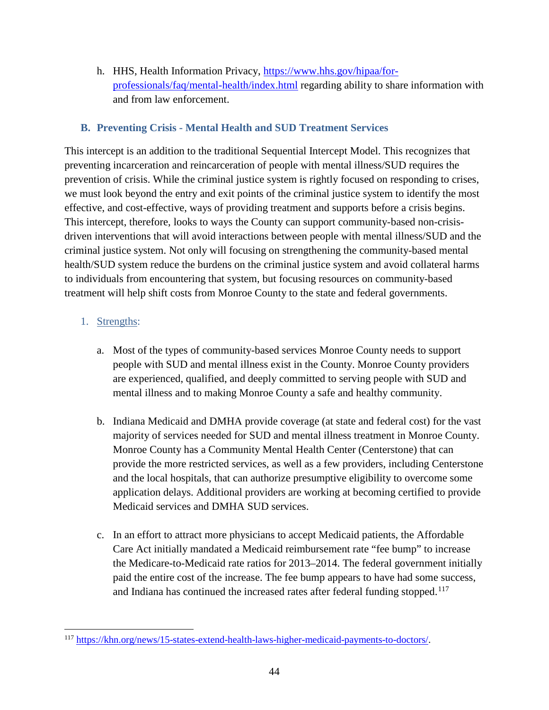h. HHS, Health Information Privacy, [https://www.hhs.gov/hipaa/for](https://www.hhs.gov/hipaa/for-professionals/faq/mental-health/index.html)[professionals/faq/mental-health/index.html](https://www.hhs.gov/hipaa/for-professionals/faq/mental-health/index.html) regarding ability to share information with and from law enforcement.

## **B. Preventing Crisis - Mental Health and SUD Treatment Services**

This intercept is an addition to the traditional Sequential Intercept Model. This recognizes that preventing incarceration and reincarceration of people with mental illness/SUD requires the prevention of crisis. While the criminal justice system is rightly focused on responding to crises, we must look beyond the entry and exit points of the criminal justice system to identify the most effective, and cost-effective, ways of providing treatment and supports before a crisis begins. This intercept, therefore, looks to ways the County can support community-based non-crisisdriven interventions that will avoid interactions between people with mental illness/SUD and the criminal justice system. Not only will focusing on strengthening the community-based mental health/SUD system reduce the burdens on the criminal justice system and avoid collateral harms to individuals from encountering that system, but focusing resources on community-based treatment will help shift costs from Monroe County to the state and federal governments.

## 1. Strengths:

- a. Most of the types of community-based services Monroe County needs to support people with SUD and mental illness exist in the County. Monroe County providers are experienced, qualified, and deeply committed to serving people with SUD and mental illness and to making Monroe County a safe and healthy community.
- b. Indiana Medicaid and DMHA provide coverage (at state and federal cost) for the vast majority of services needed for SUD and mental illness treatment in Monroe County. Monroe County has a Community Mental Health Center (Centerstone) that can provide the more restricted services, as well as a few providers, including Centerstone and the local hospitals, that can authorize presumptive eligibility to overcome some application delays. Additional providers are working at becoming certified to provide Medicaid services and DMHA SUD services.
- c. In an effort to attract more physicians to accept Medicaid patients, the Affordable Care Act initially mandated a Medicaid reimbursement rate "fee bump" to increase the Medicare-to-Medicaid rate ratios for 2013–2014. The federal government initially paid the entire cost of the increase. The fee bump appears to have had some success, and Indiana has continued the increased rates after federal funding stopped.<sup>[117](#page-43-0)</sup>

<span id="page-43-0"></span>l <sup>117</sup> [https://khn.org/news/15-states-extend-health-laws-higher-medicaid-payments-to-doctors/.](https://khn.org/news/15-states-extend-health-laws-higher-medicaid-payments-to-doctors/)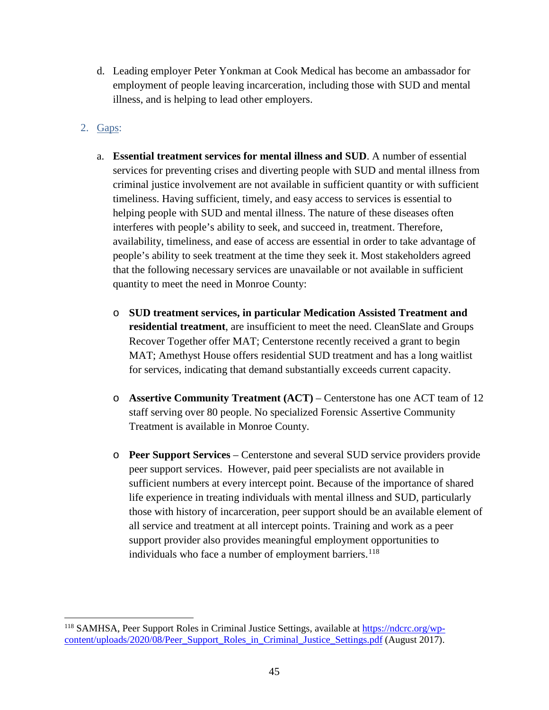- d. Leading employer Peter Yonkman at Cook Medical has become an ambassador for employment of people leaving incarceration, including those with SUD and mental illness, and is helping to lead other employers.
- 2. Gaps:

l

- a. **Essential treatment services for mental illness and SUD**. A number of essential services for preventing crises and diverting people with SUD and mental illness from criminal justice involvement are not available in sufficient quantity or with sufficient timeliness. Having sufficient, timely, and easy access to services is essential to helping people with SUD and mental illness. The nature of these diseases often interferes with people's ability to seek, and succeed in, treatment. Therefore, availability, timeliness, and ease of access are essential in order to take advantage of people's ability to seek treatment at the time they seek it. Most stakeholders agreed that the following necessary services are unavailable or not available in sufficient quantity to meet the need in Monroe County:
	- o **SUD treatment services, in particular Medication Assisted Treatment and residential treatment**, are insufficient to meet the need. CleanSlate and Groups Recover Together offer MAT; Centerstone recently received a grant to begin MAT; Amethyst House offers residential SUD treatment and has a long waitlist for services, indicating that demand substantially exceeds current capacity.
	- o **Assertive Community Treatment (ACT)** Centerstone has one ACT team of 12 staff serving over 80 people. No specialized Forensic Assertive Community Treatment is available in Monroe County.
	- o **Peer Support Services**  Centerstone and several SUD service providers provide peer support services. However, paid peer specialists are not available in sufficient numbers at every intercept point. Because of the importance of shared life experience in treating individuals with mental illness and SUD, particularly those with history of incarceration, peer support should be an available element of all service and treatment at all intercept points. Training and work as a peer support provider also provides meaningful employment opportunities to individuals who face a number of employment barriers.<sup>[118](#page-44-0)</sup>

<span id="page-44-0"></span><sup>&</sup>lt;sup>118</sup> SAMHSA, Peer Support Roles in Criminal Justice Settings, available at [https://ndcrc.org/wp](https://ndcrc.org/wp-content/uploads/2020/08/Peer_Support_Roles_in_Criminal_Justice_Settings.pdf)[content/uploads/2020/08/Peer\\_Support\\_Roles\\_in\\_Criminal\\_Justice\\_Settings.pdf](https://ndcrc.org/wp-content/uploads/2020/08/Peer_Support_Roles_in_Criminal_Justice_Settings.pdf) (August 2017).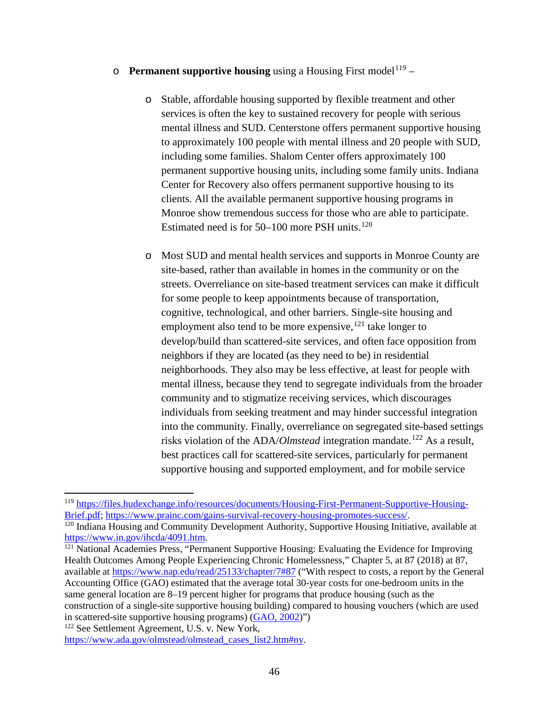- **Permanent supportive housing** using a Housing First model<sup>[119](#page-45-0)</sup>
	- o Stable, affordable housing supported by flexible treatment and other services is often the key to sustained recovery for people with serious mental illness and SUD. Centerstone offers permanent supportive housing to approximately 100 people with mental illness and 20 people with SUD, including some families. Shalom Center offers approximately 100 permanent supportive housing units, including some family units. Indiana Center for Recovery also offers permanent supportive housing to its clients. All the available permanent supportive housing programs in Monroe show tremendous success for those who are able to participate. Estimated need is for 50–100 more PSH units.<sup>[120](#page-45-1)</sup>
	- o Most SUD and mental health services and supports in Monroe County are site-based, rather than available in homes in the community or on the streets. Overreliance on site-based treatment services can make it difficult for some people to keep appointments because of transportation, cognitive, technological, and other barriers. Single-site housing and employment also tend to be more expensive,  $121$  take longer to develop/build than scattered-site services, and often face opposition from neighbors if they are located (as they need to be) in residential neighborhoods. They also may be less effective, at least for people with mental illness, because they tend to segregate individuals from the broader community and to stigmatize receiving services, which discourages individuals from seeking treatment and may hinder successful integration into the community. Finally, overreliance on segregated site-based settings risks violation of the ADA/*Olmstead* integration mandate.<sup>[122](#page-45-3)</sup> As a result, best practices call for scattered-site services, particularly for permanent supportive housing and supported employment, and for mobile service

<span id="page-45-2"></span> $121$  National Academies Press, "Permanent Supportive Housing: Evaluating the Evidence for Improving [Health Outcomes Among People Experiencing Chronic Homelessness,](https://www.nap.edu/catalog/25133/permanent-supportive-housing-evaluating-the-evidence-for-improving-health-outcomes)" Chapter 5, at 87 (2018) at 87, available at<https://www.nap.edu/read/25133/chapter/7#87> ("With respect to costs, a report by the General Accounting Office (GAO) estimated that the average total 30-year costs for one-bedroom units in the same general location are 8–19 percent higher for programs that produce housing (such as the construction of a single-site supportive housing building) compared to housing vouchers (which are used in scattered-site supportive housing programs) [\(GAO, 2002\)](https://www.nap.edu/read/25133/chapter/12#backmatter01_pz164-5)")

<span id="page-45-3"></span><sup>122</sup> See Settlement Agreement, U.S. v. New York, [https://www.ada.gov/olmstead/olmstead\\_cases\\_list2.htm#ny.](https://www.ada.gov/olmstead/olmstead_cases_list2.htm#ny)

<span id="page-45-0"></span><sup>&</sup>lt;sup>119</sup> https://files.hudexchange.info/resources/documents/Housing-First-Permanent-Supportive-Housing-<br>Brief.pdf: https://www.prainc.com/gains-survival-recovery-housing-promotes-success/.

<span id="page-45-1"></span><sup>&</sup>lt;sup>120</sup> Indiana Housing and Community Development Authority, Supportive Housing Initiative, available at https://www.in.gov/ihcda/4091.htm.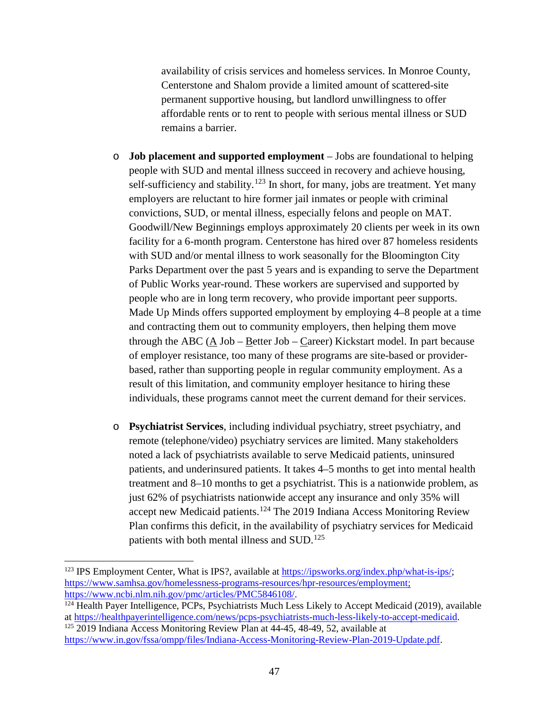availability of crisis services and homeless services. In Monroe County, Centerstone and Shalom provide a limited amount of scattered-site permanent supportive housing, but landlord unwillingness to offer affordable rents or to rent to people with serious mental illness or SUD remains a barrier.

- o **Job placement and supported employment** Jobs are foundational to helping people with SUD and mental illness succeed in recovery and achieve housing, self-sufficiency and stability.<sup>[123](#page-46-0)</sup> In short, for many, jobs are treatment. Yet many employers are reluctant to hire former jail inmates or people with criminal convictions, SUD, or mental illness, especially felons and people on MAT. Goodwill/New Beginnings employs approximately 20 clients per week in its own facility for a 6-month program. Centerstone has hired over 87 homeless residents with SUD and/or mental illness to work seasonally for the Bloomington City Parks Department over the past 5 years and is expanding to serve the Department of Public Works year-round. These workers are supervised and supported by people who are in long term recovery, who provide important peer supports. Made Up Minds offers supported employment by employing 4–8 people at a time and contracting them out to community employers, then helping them move through the ABC (A Job – Better Job – Career) Kickstart model. In part because of employer resistance, too many of these programs are site-based or providerbased, rather than supporting people in regular community employment. As a result of this limitation, and community employer hesitance to hiring these individuals, these programs cannot meet the current demand for their services.
- o **Psychiatrist Services**, including individual psychiatry, street psychiatry, and remote (telephone/video) psychiatry services are limited. Many stakeholders noted a lack of psychiatrists available to serve Medicaid patients, uninsured patients, and underinsured patients. It takes 4–5 months to get into mental health treatment and 8–10 months to get a psychiatrist. This is a nationwide problem, as just 62% of psychiatrists nationwide accept any insurance and only 35% will accept new Medicaid patients.<sup>[124](#page-46-1)</sup> The 2019 Indiana Access Monitoring Review Plan confirms this deficit, in the availability of psychiatry services for Medicaid patients with both mental illness and SUD.<sup>[125](#page-46-2)</sup>

 $\overline{\phantom{a}}$ 

<span id="page-46-2"></span>[https://www.in.gov/fssa/ompp/files/Indiana-Access-Monitoring-Review-Plan-2019-Update.pdf.](https://www.in.gov/fssa/ompp/files/Indiana-Access-Monitoring-Review-Plan-2019-Update.pdf)

<span id="page-46-0"></span><sup>123</sup> IPS Employment Center, What is IPS?, available at [https://ipsworks.org/index.php/what-is-ips/;](https://ipsworks.org/index.php/what-is-ips/) [https://www.samhsa.gov/homelessness-programs-resources/hpr-resources/employment;](https://www.samhsa.gov/homelessness-programs-resources/hpr-resources/employment)<br>https://www.ncbi.nlm.nih.gov/pmc/articles/PMC5846108/

<span id="page-46-1"></span> $124$  Health Payer Intelligence, PCPs, Psychiatrists Much Less Likely to Accept Medicaid (2019), available at [https://healthpayerintelligence.com/news/pcps-psychiatrists-much-less-likely-to-accept-medicaid.](https://healthpayerintelligence.com/news/pcps-psychiatrists-much-less-likely-to-accept-medicaid) 125 2019 Indiana Access Monitoring Review Plan at 44-45, 48-49, 52, available at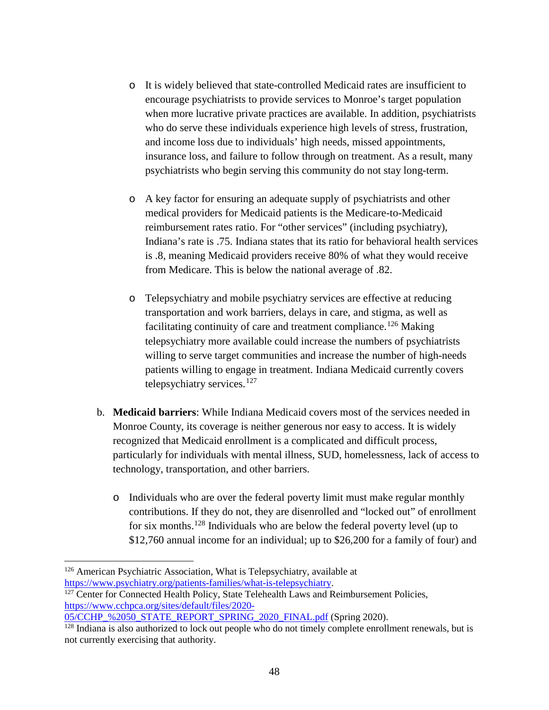- o It is widely believed that state-controlled Medicaid rates are insufficient to encourage psychiatrists to provide services to Monroe's target population when more lucrative private practices are available. In addition, psychiatrists who do serve these individuals experience high levels of stress, frustration, and income loss due to individuals' high needs, missed appointments, insurance loss, and failure to follow through on treatment. As a result, many psychiatrists who begin serving this community do not stay long-term.
- o A key factor for ensuring an adequate supply of psychiatrists and other medical providers for Medicaid patients is the Medicare-to-Medicaid reimbursement rates ratio. For "other services" (including psychiatry), Indiana's rate is .75. Indiana states that its ratio for behavioral health services is .8, meaning Medicaid providers receive 80% of what they would receive from Medicare. This is below the national average of .82.
- o Telepsychiatry and mobile psychiatry services are effective at reducing transportation and work barriers, delays in care, and stigma, as well as facilitating continuity of care and treatment compliance.<sup>[126](#page-47-0)</sup> Making telepsychiatry more available could increase the numbers of psychiatrists willing to serve target communities and increase the number of high-needs patients willing to engage in treatment. Indiana Medicaid currently covers telepsychiatry services.<sup>[127](#page-47-1)</sup>
- b. **Medicaid barriers**: While Indiana Medicaid covers most of the services needed in Monroe County, its coverage is neither generous nor easy to access. It is widely recognized that Medicaid enrollment is a complicated and difficult process, particularly for individuals with mental illness, SUD, homelessness, lack of access to technology, transportation, and other barriers.
	- o Individuals who are over the federal poverty limit must make regular monthly contributions. If they do not, they are disenrolled and "locked out" of enrollment for six months.[128](#page-47-2) Individuals who are below the federal poverty level (up to \$12,760 annual income for an individual; up to \$26,200 for a family of four) and

<span id="page-47-0"></span><sup>&</sup>lt;sup>126</sup> American Psychiatric Association, What is Telepsychiatry, available at https://www.psychiatry.org/patients-families/what-is-telepsychiatry.

<span id="page-47-1"></span> $127$  Center for Connected Health Policy, State Telehealth Laws and Reimbursement Policies, [https://www.cchpca.org/sites/default/files/2020-](https://www.cchpca.org/sites/default/files/2020-05/CCHP_%2050_STATE_REPORT_SPRING_2020_FINAL.pdf)

[<sup>05/</sup>CCHP\\_%2050\\_STATE\\_REPORT\\_SPRING\\_2020\\_FINAL.pdf](https://www.cchpca.org/sites/default/files/2020-05/CCHP_%2050_STATE_REPORT_SPRING_2020_FINAL.pdf) (Spring 2020).

<span id="page-47-2"></span><sup>&</sup>lt;sup>128</sup> Indiana is also authorized to lock out people who do not timely complete enrollment renewals, but is not currently exercising that authority.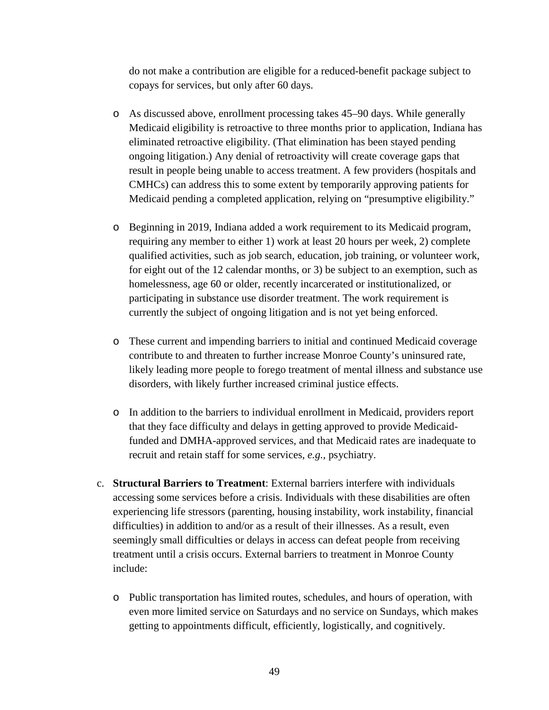do not make a contribution are eligible for a reduced-benefit package subject to copays for services, but only after 60 days.

- o As discussed above, enrollment processing takes 45–90 days. While generally Medicaid eligibility is retroactive to three months prior to application, Indiana has eliminated retroactive eligibility. (That elimination has been stayed pending ongoing litigation.) Any denial of retroactivity will create coverage gaps that result in people being unable to access treatment. A few providers (hospitals and CMHCs) can address this to some extent by temporarily approving patients for Medicaid pending a completed application, relying on "presumptive eligibility."
- o Beginning in 2019, Indiana added a work requirement to its Medicaid program, requiring any member to either 1) work at least 20 hours per week, 2) complete qualified activities, such as job search, education, job training, or volunteer work, for eight out of the 12 calendar months, or 3) be subject to an exemption, such as homelessness, age 60 or older, recently incarcerated or institutionalized, or participating in substance use disorder treatment. The work requirement is currently the subject of ongoing litigation and is not yet being enforced.
- o These current and impending barriers to initial and continued Medicaid coverage contribute to and threaten to further increase Monroe County's uninsured rate, likely leading more people to forego treatment of mental illness and substance use disorders, with likely further increased criminal justice effects.
- o In addition to the barriers to individual enrollment in Medicaid, providers report that they face difficulty and delays in getting approved to provide Medicaidfunded and DMHA-approved services, and that Medicaid rates are inadequate to recruit and retain staff for some services, *e.g.*, psychiatry.
- c. **Structural Barriers to Treatment**: External barriers interfere with individuals accessing some services before a crisis. Individuals with these disabilities are often experiencing life stressors (parenting, housing instability, work instability, financial difficulties) in addition to and/or as a result of their illnesses. As a result, even seemingly small difficulties or delays in access can defeat people from receiving treatment until a crisis occurs. External barriers to treatment in Monroe County include:
	- o Public transportation has limited routes, schedules, and hours of operation, with even more limited service on Saturdays and no service on Sundays, which makes getting to appointments difficult, efficiently, logistically, and cognitively.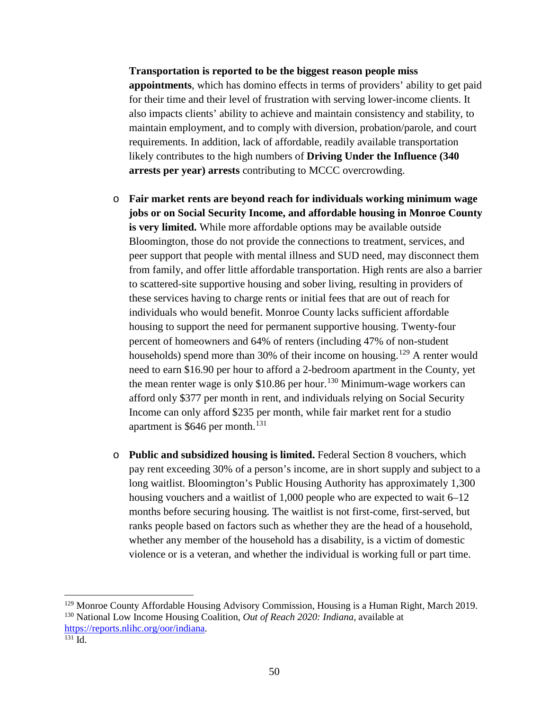**Transportation is reported to be the biggest reason people miss appointments**, which has domino effects in terms of providers' ability to get paid for their time and their level of frustration with serving lower-income clients. It also impacts clients' ability to achieve and maintain consistency and stability, to maintain employment, and to comply with diversion, probation/parole, and court requirements. In addition, lack of affordable, readily available transportation likely contributes to the high numbers of **Driving Under the Influence (340 arrests per year) arrests** contributing to MCCC overcrowding.

- o **Fair market rents are beyond reach for individuals working minimum wage jobs or on Social Security Income, and affordable housing in Monroe County is very limited.** While more affordable options may be available outside Bloomington, those do not provide the connections to treatment, services, and peer support that people with mental illness and SUD need, may disconnect them from family, and offer little affordable transportation. High rents are also a barrier to scattered-site supportive housing and sober living, resulting in providers of these services having to charge rents or initial fees that are out of reach for individuals who would benefit. Monroe County lacks sufficient affordable housing to support the need for permanent supportive housing. Twenty-four percent of homeowners and 64% of renters (including 47% of non-student households) spend more than 30% of their income on housing.<sup>[129](#page-49-0)</sup> A renter would need to earn \$16.90 per hour to afford a 2-bedroom apartment in the County, yet the mean renter wage is only  $$10.86$  per hour.<sup>[130](#page-49-1)</sup> Minimum-wage workers can afford only \$377 per month in rent, and individuals relying on Social Security Income can only afford \$235 per month, while fair market rent for a studio apartment is \$646 per month.<sup>[131](#page-49-2)</sup>
- o **Public and subsidized housing is limited.** Federal Section 8 vouchers, which pay rent exceeding 30% of a person's income, are in short supply and subject to a long waitlist. Bloomington's Public Housing Authority has approximately 1,300 housing vouchers and a waitlist of 1,000 people who are expected to wait 6–12 months before securing housing. The waitlist is not first-come, first-served, but ranks people based on factors such as whether they are the head of a household, whether any member of the household has a disability, is a victim of domestic violence or is a veteran, and whether the individual is working full or part time.

 $\overline{a}$ 

<span id="page-49-0"></span><sup>&</sup>lt;sup>129</sup> Monroe County Affordable Housing Advisory Commission, Housing is a Human Right, March 2019.

<span id="page-49-1"></span><sup>130</sup> National Low Income Housing Coalition, *Out of Reach 2020: Indiana*, available at [https://reports.nlihc.org/oor/indiana.](https://reports.nlihc.org/oor/indiana)

<span id="page-49-2"></span>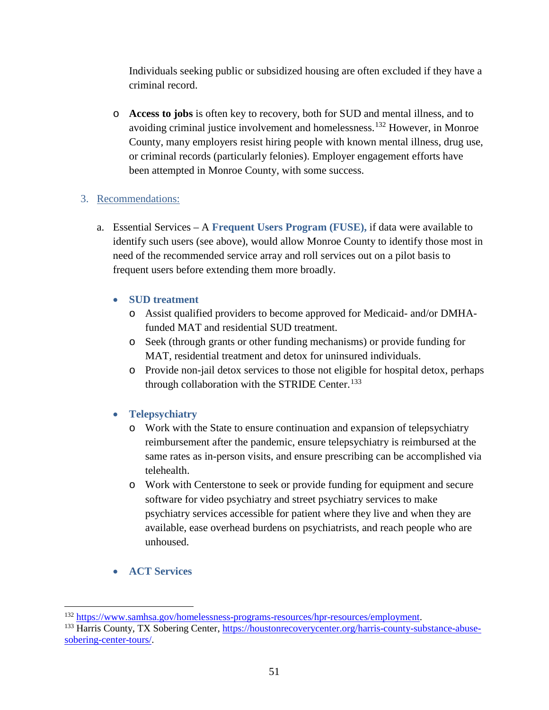Individuals seeking public or subsidized housing are often excluded if they have a criminal record.

o **Access to jobs** is often key to recovery, both for SUD and mental illness, and to avoiding criminal justice involvement and homelessness.[132](#page-50-0) However, in Monroe County, many employers resist hiring people with known mental illness, drug use, or criminal records (particularly felonies). Employer engagement efforts have been attempted in Monroe County, with some success.

## 3. Recommendations:

a. Essential Services – A **Frequent Users Program (FUSE),** if data were available to identify such users (see above), would allow Monroe County to identify those most in need of the recommended service array and roll services out on a pilot basis to frequent users before extending them more broadly.

## • **SUD treatment**

- o Assist qualified providers to become approved for Medicaid- and/or DMHAfunded MAT and residential SUD treatment.
- o Seek (through grants or other funding mechanisms) or provide funding for MAT, residential treatment and detox for uninsured individuals.
- o Provide non-jail detox services to those not eligible for hospital detox, perhaps through collaboration with the STRIDE Center.<sup>[133](#page-50-1)</sup>

## • **Telepsychiatry**

- o Work with the State to ensure continuation and expansion of telepsychiatry reimbursement after the pandemic, ensure telepsychiatry is reimbursed at the same rates as in-person visits, and ensure prescribing can be accomplished via telehealth.
- o Work with Centerstone to seek or provide funding for equipment and secure software for video psychiatry and street psychiatry services to make psychiatry services accessible for patient where they live and when they are available, ease overhead burdens on psychiatrists, and reach people who are unhoused.
- **ACT Services**

<span id="page-50-0"></span><sup>&</sup>lt;sup>132</sup> [https://www.samhsa.gov/homelessness-programs-resources/hpr-resources/employment.](https://www.samhsa.gov/homelessness-programs-resources/hpr-resources/employment)<br><sup>133</sup> Harris County, TX Sobering Center, [https://houstonrecoverycenter.org/harris-county-substance-abuse-](https://houstonrecoverycenter.org/harris-county-substance-abuse-sobering-center-tours/)

<span id="page-50-1"></span>[sobering-center-tours/.](https://houstonrecoverycenter.org/harris-county-substance-abuse-sobering-center-tours/)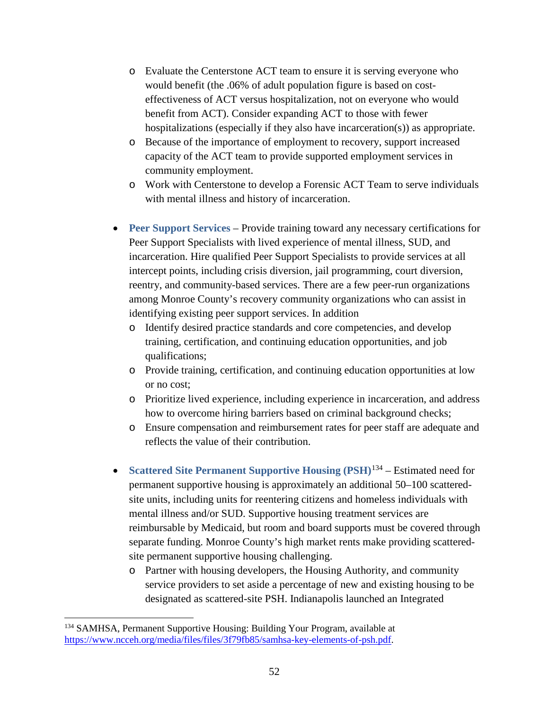- o Evaluate the Centerstone ACT team to ensure it is serving everyone who would benefit (the .06% of adult population figure is based on costeffectiveness of ACT versus hospitalization, not on everyone who would benefit from ACT). Consider expanding ACT to those with fewer hospitalizations (especially if they also have incarceration(s)) as appropriate.
- o Because of the importance of employment to recovery, support increased capacity of the ACT team to provide supported employment services in community employment.
- o Work with Centerstone to develop a Forensic ACT Team to serve individuals with mental illness and history of incarceration.
- **Peer Support Services** Provide training toward any necessary certifications for Peer Support Specialists with lived experience of mental illness, SUD, and incarceration. Hire qualified Peer Support Specialists to provide services at all intercept points, including crisis diversion, jail programming, court diversion, reentry, and community-based services. There are a few peer-run organizations among Monroe County's recovery community organizations who can assist in identifying existing peer support services. In addition
	- o Identify desired practice standards and core competencies, and develop training, certification, and continuing education opportunities, and job qualifications;
	- o Provide training, certification, and continuing education opportunities at low or no cost;
	- o Prioritize lived experience, including experience in incarceration, and address how to overcome hiring barriers based on criminal background checks;
	- o Ensure compensation and reimbursement rates for peer staff are adequate and reflects the value of their contribution.
- **Scattered Site Permanent Supportive Housing (PSH)**[134](#page-51-0) Estimated need for permanent supportive housing is approximately an additional 50–100 scatteredsite units, including units for reentering citizens and homeless individuals with mental illness and/or SUD. Supportive housing treatment services are reimbursable by Medicaid, but room and board supports must be covered through separate funding. Monroe County's high market rents make providing scatteredsite permanent supportive housing challenging.
	- o Partner with housing developers, the Housing Authority, and community service providers to set aside a percentage of new and existing housing to be designated as scattered-site PSH. Indianapolis launched an Integrated

l

<span id="page-51-0"></span><sup>&</sup>lt;sup>134</sup> SAMHSA, Permanent Supportive Housing: Building Your Program, available at [https://www.ncceh.org/media/files/files/3f79fb85/samhsa-key-elements-of-psh.pdf.](https://www.ncceh.org/media/files/files/3f79fb85/samhsa-key-elements-of-psh.pdf)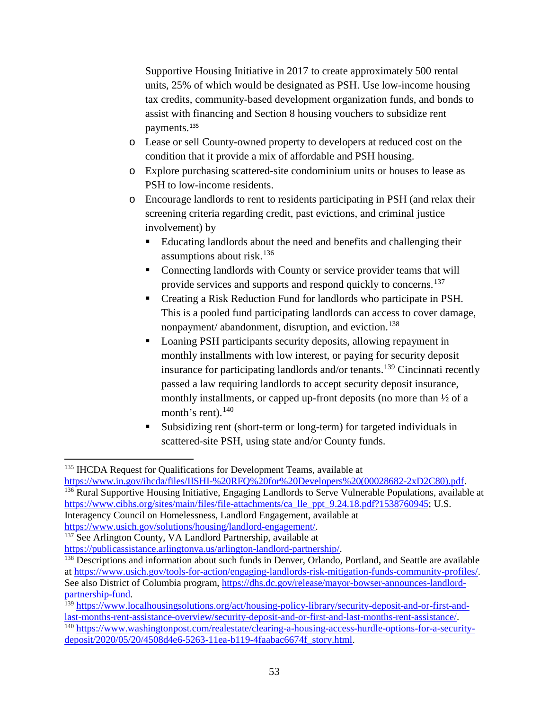Supportive Housing Initiative in 2017 to create approximately 500 rental units, 25% of which would be designated as PSH. Use low-income housing tax credits, community-based development organization funds, and bonds to assist with financing and Section 8 housing vouchers to subsidize rent payments.[135](#page-52-0)

- o Lease or sell County-owned property to developers at reduced cost on the condition that it provide a mix of affordable and PSH housing.
- o Explore purchasing scattered-site condominium units or houses to lease as PSH to low-income residents.
- o Encourage landlords to rent to residents participating in PSH (and relax their screening criteria regarding credit, past evictions, and criminal justice involvement) by
	- Educating landlords about the need and benefits and challenging their assumptions about risk. $136$
	- Connecting landlords with County or service provider teams that will provide services and supports and respond quickly to concerns.[137](#page-52-2)
	- Creating a Risk Reduction Fund for landlords who participate in PSH. This is a pooled fund participating landlords can access to cover damage, nonpayment/ abandonment, disruption, and eviction. [138](#page-52-3)
	- Loaning PSH participants security deposits, allowing repayment in monthly installments with low interest, or paying for security deposit insurance for participating landlords and/or tenants.[139](#page-52-4) Cincinnati recently passed a law requiring landlords to accept security deposit insurance, monthly installments, or capped up-front deposits (no more than ½ of a month's rent). $140$
	- Subsidizing rent (short-term or long-term) for targeted individuals in scattered-site PSH, using state and/or County funds.

<span id="page-52-0"></span>[https://www.in.gov/ihcda/files/IISHI-%20RFQ%20for%20Developers%20\(00028682-2xD2C80\).pdf.](https://www.in.gov/ihcda/files/IISHI-%20RFQ%20for%20Developers%20(00028682-2xD2C80).pdf) 136 Rural Supportive Housing Initiative, Engaging Landlords to Serve Vulnerable Populations, available at

<span id="page-52-1"></span>[https://www.cibhs.org/sites/main/files/file-attachments/ca\\_lle\\_ppt\\_9.24.18.pdf?1538760945;](https://www.cibhs.org/sites/main/files/file-attachments/ca_lle_ppt_9.24.18.pdf?1538760945) U.S. Interagency Council on Homelessness, Landlord Engagement, available at

l <sup>135</sup> IHCDA Request for Qualifications for Development Teams, available at

<span id="page-52-2"></span>[https://www.usich.gov/solutions/housing/landlord-engagement/.](https://www.usich.gov/solutions/housing/landlord-engagement/)<br><sup>137</sup> See Arlington County, VA Landlord Partnership, available at<br>https://publicassistance.arlingtonva.us/arlington-landlord-partnership/.

<span id="page-52-3"></span> $\frac{138}{2}$  Descriptions and information about such funds in Denver, Orlando, Portland, and Seattle are available a[t https://www.usich.gov/tools-for-action/engaging-landlords-risk-mitigation-funds-community-profiles/.](https://www.usich.gov/tools-for-action/engaging-landlords-risk-mitigation-funds-community-profiles/) See also District of Columbia program, https://dhs.dc.gov/release/mayor-bowser-announces-landlord-partnership-fund.

<span id="page-52-4"></span><sup>&</sup>lt;sup>139</sup> https://www.localhousingsolutions.org/act/housing-policy-library/security-deposit-and-or-first-and-<br>last-months-rent-assistance-overview/security-deposit-and-or-first-and-last-months-rent-assistance/

<span id="page-52-5"></span><sup>&</sup>lt;sup>140</sup> [https://www.washingtonpost.com/realestate/clearing-a-housing-access-hurdle-options-for-a-security](https://www.washingtonpost.com/realestate/clearing-a-housing-access-hurdle-options-for-a-security-deposit/2020/05/20/4508d4e6-5263-11ea-b119-4faabac6674f_story.html)[deposit/2020/05/20/4508d4e6-5263-11ea-b119-4faabac6674f\\_story.html.](https://www.washingtonpost.com/realestate/clearing-a-housing-access-hurdle-options-for-a-security-deposit/2020/05/20/4508d4e6-5263-11ea-b119-4faabac6674f_story.html)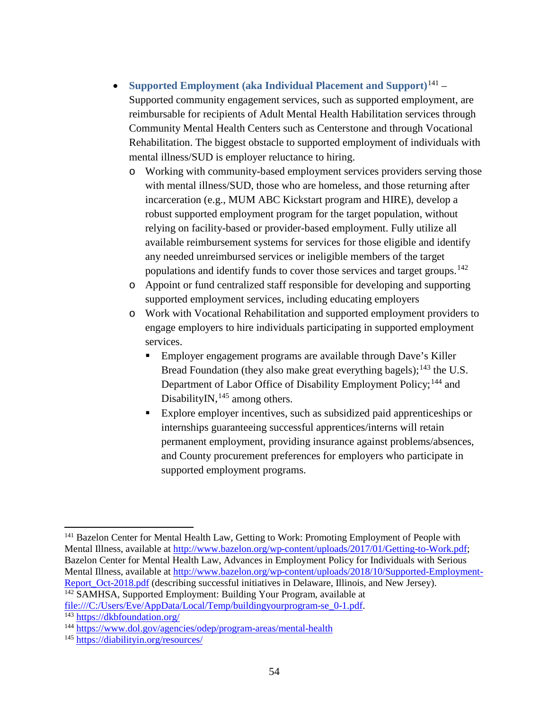- **Supported Employment (aka Individual Placement and Support)**[141](#page-53-0) Supported community engagement services, such as supported employment, are reimbursable for recipients of Adult Mental Health Habilitation services through Community Mental Health Centers such as Centerstone and through Vocational Rehabilitation. The biggest obstacle to supported employment of individuals with mental illness/SUD is employer reluctance to hiring.
	- o Working with community-based employment services providers serving those with mental illness/SUD, those who are homeless, and those returning after incarceration (e.g., MUM ABC Kickstart program and HIRE), develop a robust supported employment program for the target population, without relying on facility-based or provider-based employment. Fully utilize all available reimbursement systems for services for those eligible and identify any needed unreimbursed services or ineligible members of the target populations and identify funds to cover those services and target groups.<sup>[142](#page-53-1)</sup>
	- o Appoint or fund centralized staff responsible for developing and supporting supported employment services, including educating employers
	- o Work with Vocational Rehabilitation and supported employment providers to engage employers to hire individuals participating in supported employment services.
		- Employer engagement programs are available through Dave's Killer Bread Foundation (they also make great everything bagels);  $^{143}$  $^{143}$  $^{143}$  the U.S. Department of Labor Office of Disability Employment Policy;<sup>[144](#page-53-3)</sup> and DisabilityIN,<sup>[145](#page-53-4)</sup> among others.
		- Explore employer incentives, such as subsidized paid apprenticeships or internships guaranteeing successful apprentices/interns will retain permanent employment, providing insurance against problems/absences, and County procurement preferences for employers who participate in supported employment programs.

<span id="page-53-0"></span><sup>&</sup>lt;sup>141</sup> Bazelon Center for Mental Health Law, Getting to Work: Promoting Employment of People with Mental Illness, available at [http://www.bazelon.org/wp-content/uploads/2017/01/Getting-to-Work.pdf;](http://www.bazelon.org/wp-content/uploads/2017/01/Getting-to-Work.pdf) Bazelon Center for Mental Health Law, Advances in Employment Policy for Individuals with Serious Mental Illness, available at [http://www.bazelon.org/wp-content/uploads/2018/10/Supported-Employment-](http://www.bazelon.org/wp-content/uploads/2018/10/Supported-Employment-Report_Oct-2018.pdf)Report Oct-2018.pdf (describing successful initiatives in Delaware, Illinois, and New Jersey). <sup>142</sup> SAMHSA, Supported Employment: Building Your Program, available at

<span id="page-53-2"></span><span id="page-53-1"></span>file:///C:/Users/Eve/AppData/Local/Temp/buildingyourprogram-se\_0-1.pdf. 143 <https://dkbfoundation.org/>

<span id="page-53-3"></span><sup>144</sup> <https://www.dol.gov/agencies/odep/program-areas/mental-health>

<span id="page-53-4"></span><sup>145</sup> <https://diabilityin.org/resources/>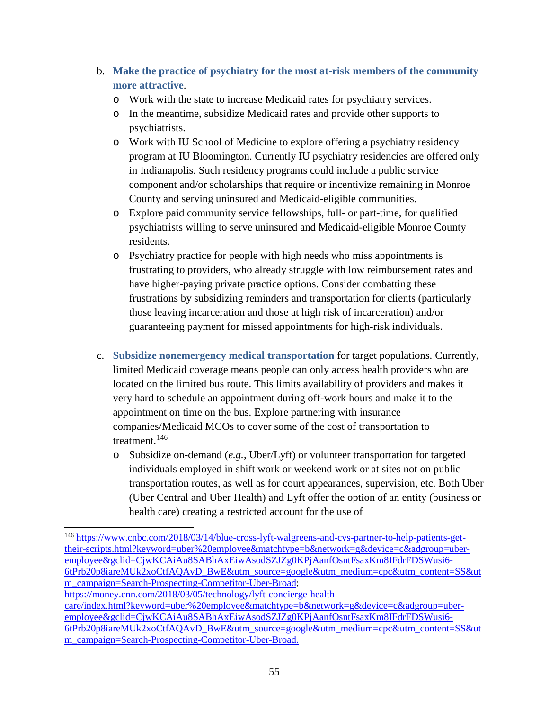- b. **Make the practice of psychiatry for the most at-risk members of the community more attractive**.
	- o Work with the state to increase Medicaid rates for psychiatry services.
	- o In the meantime, subsidize Medicaid rates and provide other supports to psychiatrists.
	- o Work with IU School of Medicine to explore offering a psychiatry residency program at IU Bloomington. Currently IU psychiatry residencies are offered only in Indianapolis. Such residency programs could include a public service component and/or scholarships that require or incentivize remaining in Monroe County and serving uninsured and Medicaid-eligible communities.
	- o Explore paid community service fellowships, full- or part-time, for qualified psychiatrists willing to serve uninsured and Medicaid-eligible Monroe County residents.
	- o Psychiatry practice for people with high needs who miss appointments is frustrating to providers, who already struggle with low reimbursement rates and have higher-paying private practice options. Consider combatting these frustrations by subsidizing reminders and transportation for clients (particularly those leaving incarceration and those at high risk of incarceration) and/or guaranteeing payment for missed appointments for high-risk individuals.
- c. **Subsidize nonemergency medical transportation** for target populations. Currently, limited Medicaid coverage means people can only access health providers who are located on the limited bus route. This limits availability of providers and makes it very hard to schedule an appointment during off-work hours and make it to the appointment on time on the bus. Explore partnering with insurance companies/Medicaid MCOs to cover some of the cost of transportation to treatment.<sup>[146](#page-54-0)</sup>
	- o Subsidize on-demand (*e.g.*, Uber/Lyft) or volunteer transportation for targeted individuals employed in shift work or weekend work or at sites not on public transportation routes, as well as for court appearances, supervision, etc. Both Uber (Uber Central and Uber Health) and Lyft offer the option of an entity (business or health care) creating a restricted account for the use of

<span id="page-54-0"></span> $\overline{\phantom{a}}$ <sup>146</sup> [https://www.cnbc.com/2018/03/14/blue-cross-lyft-walgreens-and-cvs-partner-to-help-patients-get](https://www.cnbc.com/2018/03/14/blue-cross-lyft-walgreens-and-cvs-partner-to-help-patients-get-their-scripts.html?keyword=uber%20employee&matchtype=b&network=g&device=c&adgroup=uber-employee&gclid=CjwKCAiAu8SABhAxEiwAsodSZJZg0KPjAanfOsntFsaxKm8IFdrFDSWusi6-6tPrb20p8iareMUk2xoCtfAQAvD_BwE&utm_source=google&utm_medium=cpc&utm_content=SS&utm_campaign=Search-Prospecting-Competitor-Uber-Broad)[their-scripts.html?keyword=uber%20employee&matchtype=b&network=g&device=c&adgroup=uber](https://www.cnbc.com/2018/03/14/blue-cross-lyft-walgreens-and-cvs-partner-to-help-patients-get-their-scripts.html?keyword=uber%20employee&matchtype=b&network=g&device=c&adgroup=uber-employee&gclid=CjwKCAiAu8SABhAxEiwAsodSZJZg0KPjAanfOsntFsaxKm8IFdrFDSWusi6-6tPrb20p8iareMUk2xoCtfAQAvD_BwE&utm_source=google&utm_medium=cpc&utm_content=SS&utm_campaign=Search-Prospecting-Competitor-Uber-Broad)[employee&gclid=CjwKCAiAu8SABhAxEiwAsodSZJZg0KPjAanfOsntFsaxKm8IFdrFDSWusi6-](https://www.cnbc.com/2018/03/14/blue-cross-lyft-walgreens-and-cvs-partner-to-help-patients-get-their-scripts.html?keyword=uber%20employee&matchtype=b&network=g&device=c&adgroup=uber-employee&gclid=CjwKCAiAu8SABhAxEiwAsodSZJZg0KPjAanfOsntFsaxKm8IFdrFDSWusi6-6tPrb20p8iareMUk2xoCtfAQAvD_BwE&utm_source=google&utm_medium=cpc&utm_content=SS&utm_campaign=Search-Prospecting-Competitor-Uber-Broad) [6tPrb20p8iareMUk2xoCtfAQAvD\\_BwE&utm\\_source=google&utm\\_medium=cpc&utm\\_content=SS&ut](https://www.cnbc.com/2018/03/14/blue-cross-lyft-walgreens-and-cvs-partner-to-help-patients-get-their-scripts.html?keyword=uber%20employee&matchtype=b&network=g&device=c&adgroup=uber-employee&gclid=CjwKCAiAu8SABhAxEiwAsodSZJZg0KPjAanfOsntFsaxKm8IFdrFDSWusi6-6tPrb20p8iareMUk2xoCtfAQAvD_BwE&utm_source=google&utm_medium=cpc&utm_content=SS&utm_campaign=Search-Prospecting-Competitor-Uber-Broad) [m\\_campaign=Search-Prospecting-Competitor-Uber-Broad;](https://www.cnbc.com/2018/03/14/blue-cross-lyft-walgreens-and-cvs-partner-to-help-patients-get-their-scripts.html?keyword=uber%20employee&matchtype=b&network=g&device=c&adgroup=uber-employee&gclid=CjwKCAiAu8SABhAxEiwAsodSZJZg0KPjAanfOsntFsaxKm8IFdrFDSWusi6-6tPrb20p8iareMUk2xoCtfAQAvD_BwE&utm_source=google&utm_medium=cpc&utm_content=SS&utm_campaign=Search-Prospecting-Competitor-Uber-Broad)

[https://money.cnn.com/2018/03/05/technology/lyft-concierge-health-](https://money.cnn.com/2018/03/05/technology/lyft-concierge-health-care/index.html?keyword=uber%20employee&matchtype=b&network=g&device=c&adgroup=uber-employee&gclid=CjwKCAiAu8SABhAxEiwAsodSZJZg0KPjAanfOsntFsaxKm8IFdrFDSWusi6-6tPrb20p8iareMUk2xoCtfAQAvD_BwE&utm_source=google&utm_medium=cpc&utm_content=SS&utm_campaign=Search-Prospecting-Competitor-Uber-Broad)

[care/index.html?keyword=uber%20employee&matchtype=b&network=g&device=c&adgroup=uber](https://money.cnn.com/2018/03/05/technology/lyft-concierge-health-care/index.html?keyword=uber%20employee&matchtype=b&network=g&device=c&adgroup=uber-employee&gclid=CjwKCAiAu8SABhAxEiwAsodSZJZg0KPjAanfOsntFsaxKm8IFdrFDSWusi6-6tPrb20p8iareMUk2xoCtfAQAvD_BwE&utm_source=google&utm_medium=cpc&utm_content=SS&utm_campaign=Search-Prospecting-Competitor-Uber-Broad)[employee&gclid=CjwKCAiAu8SABhAxEiwAsodSZJZg0KPjAanfOsntFsaxKm8IFdrFDSWusi6-](https://money.cnn.com/2018/03/05/technology/lyft-concierge-health-care/index.html?keyword=uber%20employee&matchtype=b&network=g&device=c&adgroup=uber-employee&gclid=CjwKCAiAu8SABhAxEiwAsodSZJZg0KPjAanfOsntFsaxKm8IFdrFDSWusi6-6tPrb20p8iareMUk2xoCtfAQAvD_BwE&utm_source=google&utm_medium=cpc&utm_content=SS&utm_campaign=Search-Prospecting-Competitor-Uber-Broad) [6tPrb20p8iareMUk2xoCtfAQAvD\\_BwE&utm\\_source=google&utm\\_medium=cpc&utm\\_content=SS&ut](https://money.cnn.com/2018/03/05/technology/lyft-concierge-health-care/index.html?keyword=uber%20employee&matchtype=b&network=g&device=c&adgroup=uber-employee&gclid=CjwKCAiAu8SABhAxEiwAsodSZJZg0KPjAanfOsntFsaxKm8IFdrFDSWusi6-6tPrb20p8iareMUk2xoCtfAQAvD_BwE&utm_source=google&utm_medium=cpc&utm_content=SS&utm_campaign=Search-Prospecting-Competitor-Uber-Broad) [m\\_campaign=Search-Prospecting-Competitor-Uber-Broad.](https://money.cnn.com/2018/03/05/technology/lyft-concierge-health-care/index.html?keyword=uber%20employee&matchtype=b&network=g&device=c&adgroup=uber-employee&gclid=CjwKCAiAu8SABhAxEiwAsodSZJZg0KPjAanfOsntFsaxKm8IFdrFDSWusi6-6tPrb20p8iareMUk2xoCtfAQAvD_BwE&utm_source=google&utm_medium=cpc&utm_content=SS&utm_campaign=Search-Prospecting-Competitor-Uber-Broad)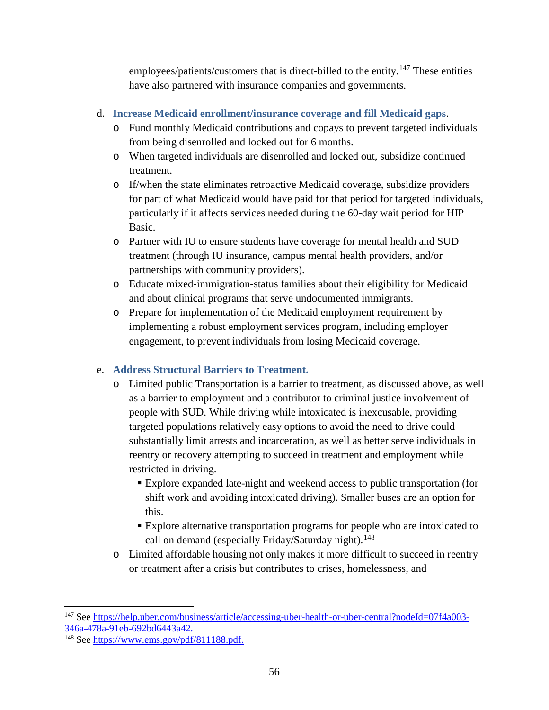employees/patients/customers that is direct-billed to the entity.<sup>[147](#page-55-0)</sup> These entities have also partnered with insurance companies and governments.

- d. **Increase Medicaid enrollment/insurance coverage and fill Medicaid gaps**.
	- o Fund monthly Medicaid contributions and copays to prevent targeted individuals from being disenrolled and locked out for 6 months.
	- o When targeted individuals are disenrolled and locked out, subsidize continued treatment.
	- o If/when the state eliminates retroactive Medicaid coverage, subsidize providers for part of what Medicaid would have paid for that period for targeted individuals, particularly if it affects services needed during the 60-day wait period for HIP Basic.
	- o Partner with IU to ensure students have coverage for mental health and SUD treatment (through IU insurance, campus mental health providers, and/or partnerships with community providers).
	- o Educate mixed-immigration-status families about their eligibility for Medicaid and about clinical programs that serve undocumented immigrants.
	- o Prepare for implementation of the Medicaid employment requirement by implementing a robust employment services program, including employer engagement, to prevent individuals from losing Medicaid coverage.

## e. **Address Structural Barriers to Treatment.**

- o Limited public Transportation is a barrier to treatment, as discussed above, as well as a barrier to employment and a contributor to criminal justice involvement of people with SUD. While driving while intoxicated is inexcusable, providing targeted populations relatively easy options to avoid the need to drive could substantially limit arrests and incarceration, as well as better serve individuals in reentry or recovery attempting to succeed in treatment and employment while restricted in driving.
	- Explore expanded late-night and weekend access to public transportation (for shift work and avoiding intoxicated driving). Smaller buses are an option for this.
	- Explore alternative transportation programs for people who are intoxicated to call on demand (especially Friday/Saturday night).<sup>[148](#page-55-1)</sup>
- o Limited affordable housing not only makes it more difficult to succeed in reentry or treatment after a crisis but contributes to crises, homelessness, and

<span id="page-55-0"></span><sup>&</sup>lt;sup>147</sup> See [https://help.uber.com/business/article/accessing-uber-health-or-uber-central?nodeId=07f4a003-](https://help.uber.com/business/article/accessing-uber-health-or-uber-central?nodeId=07f4a003-346a-478a-91eb-692bd6443a42)<br>346a-478a-91eb-692bd6443a42.

<span id="page-55-1"></span> $\frac{348}{148}$  See [https://www.ems.gov/pdf/811188.pdf.](https://www.ems.gov/pdf/811188.pdf)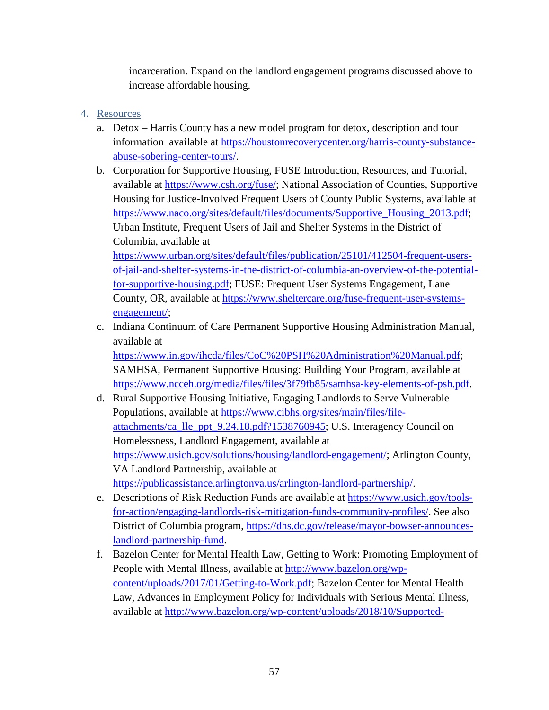incarceration. Expand on the landlord engagement programs discussed above to increase affordable housing.

## 4. Resources

- a. Detox Harris County has a new model program for detox, description and tour information available at [https://houstonrecoverycenter.org/harris-county-substance](https://houstonrecoverycenter.org/harris-county-substance-abuse-sobering-center-tours/)[abuse-sobering-center-tours/.](https://houstonrecoverycenter.org/harris-county-substance-abuse-sobering-center-tours/)
- b. Corporation for Supportive Housing, FUSE Introduction, Resources, and Tutorial, available at [https://www.csh.org/fuse/;](https://www.csh.org/fuse/) National Association of Counties, Supportive Housing for Justice-Involved Frequent Users of County Public Systems, available at [https://www.naco.org/sites/default/files/documents/Supportive\\_Housing\\_2013.pdf;](https://www.naco.org/sites/default/files/documents/Supportive_Housing_2013.pdf) Urban Institute, Frequent Users of Jail and Shelter Systems in the District of Columbia, available at

[https://www.urban.org/sites/default/files/publication/25101/412504-frequent-users](https://www.urban.org/sites/default/files/publication/25101/412504-frequent-users-of-jail-and-shelter-systems-in-the-district-of-columbia-an-overview-of-the-potential-for-supportive-housing.pdf)[of-jail-and-shelter-systems-in-the-district-of-columbia-an-overview-of-the-potential](https://www.urban.org/sites/default/files/publication/25101/412504-frequent-users-of-jail-and-shelter-systems-in-the-district-of-columbia-an-overview-of-the-potential-for-supportive-housing.pdf)[for-supportive-housing.pdf;](https://www.urban.org/sites/default/files/publication/25101/412504-frequent-users-of-jail-and-shelter-systems-in-the-district-of-columbia-an-overview-of-the-potential-for-supportive-housing.pdf) FUSE: Frequent User Systems Engagement, Lane County, OR, available at [https://www.sheltercare.org/fuse-frequent-user-systems](https://www.sheltercare.org/fuse-frequent-user-systems-engagement/)[engagement/;](https://www.sheltercare.org/fuse-frequent-user-systems-engagement/)

c. Indiana Continuum of Care Permanent Supportive Housing Administration Manual, available at

[https://www.in.gov/ihcda/files/CoC%20PSH%20Administration%20Manual.pdf;](https://www.in.gov/ihcda/files/CoC%20PSH%20Administration%20Manual.pdf) SAMHSA, Permanent Supportive Housing: Building Your Program, available at [https://www.ncceh.org/media/files/files/3f79fb85/samhsa-key-elements-of-psh.pdf.](https://www.ncceh.org/media/files/files/3f79fb85/samhsa-key-elements-of-psh.pdf)

- d. Rural Supportive Housing Initiative, Engaging Landlords to Serve Vulnerable Populations, available at [https://www.cibhs.org/sites/main/files/file](https://www.cibhs.org/sites/main/files/file-attachments/ca_lle_ppt_9.24.18.pdf?1538760945)[attachments/ca\\_lle\\_ppt\\_9.24.18.pdf?1538760945;](https://www.cibhs.org/sites/main/files/file-attachments/ca_lle_ppt_9.24.18.pdf?1538760945) U.S. Interagency Council on Homelessness, Landlord Engagement, available at [https://www.usich.gov/solutions/housing/landlord-engagement/;](https://www.usich.gov/solutions/housing/landlord-engagement/) Arlington County, VA Landlord Partnership, available at [https://publicassistance.arlingtonva.us/arlington-landlord-partnership/.](https://publicassistance.arlingtonva.us/arlington-landlord-partnership/)
- e. Descriptions of Risk Reduction Funds are available at [https://www.usich.gov/tools](https://www.usich.gov/tools-for-action/engaging-landlords-risk-mitigation-funds-community-profiles/)[for-action/engaging-landlords-risk-mitigation-funds-community-profiles/.](https://www.usich.gov/tools-for-action/engaging-landlords-risk-mitigation-funds-community-profiles/) See also District of Columbia program, [https://dhs.dc.gov/release/mayor-bowser-announces](https://dhs.dc.gov/release/mayor-bowser-announces-landlord-partnership-fund)[landlord-partnership-fund.](https://dhs.dc.gov/release/mayor-bowser-announces-landlord-partnership-fund)
- f. Bazelon Center for Mental Health Law, Getting to Work: Promoting Employment of People with Mental Illness, available at [http://www.bazelon.org/wp](http://www.bazelon.org/wp-content/uploads/2017/01/Getting-to-Work.pdf)[content/uploads/2017/01/Getting-to-Work.pdf;](http://www.bazelon.org/wp-content/uploads/2017/01/Getting-to-Work.pdf) Bazelon Center for Mental Health Law, Advances in Employment Policy for Individuals with Serious Mental Illness, available at [http://www.bazelon.org/wp-content/uploads/2018/10/Supported-](http://www.bazelon.org/wp-content/uploads/2018/10/Supported-Employment-Report_Oct-2018.pdf)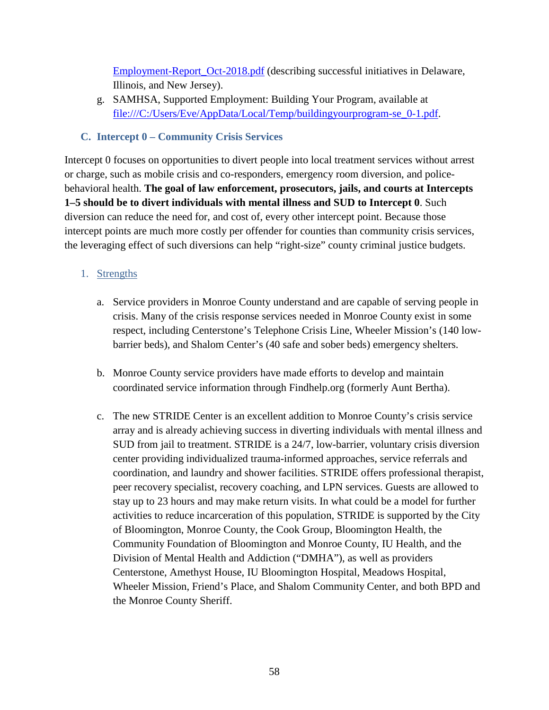[Employment-Report\\_Oct-2018.pdf](http://www.bazelon.org/wp-content/uploads/2018/10/Supported-Employment-Report_Oct-2018.pdf) (describing successful initiatives in Delaware, Illinois, and New Jersey).

g. SAMHSA, Supported Employment: Building Your Program, available at file:///C:/Users/Eve/AppData/Local/Temp/buildingyourprogram-se\_0-1.pdf.

## **C. Intercept 0 – Community Crisis Services**

Intercept 0 focuses on opportunities to divert people into local treatment services without arrest or charge, such as mobile crisis and co-responders, emergency room diversion, and policebehavioral health. **The goal of law enforcement, prosecutors, jails, and courts at Intercepts 1–5 should be to divert individuals with mental illness and SUD to Intercept 0**. Such diversion can reduce the need for, and cost of, every other intercept point. Because those intercept points are much more costly per offender for counties than community crisis services, the leveraging effect of such diversions can help "right-size" county criminal justice budgets.

## 1. Strengths

- a. Service providers in Monroe County understand and are capable of serving people in crisis. Many of the crisis response services needed in Monroe County exist in some respect, including Centerstone's Telephone Crisis Line, Wheeler Mission's (140 lowbarrier beds), and Shalom Center's (40 safe and sober beds) emergency shelters.
- b. Monroe County service providers have made efforts to develop and maintain coordinated service information through Findhelp.org (formerly Aunt Bertha).
- c. The new STRIDE Center is an excellent addition to Monroe County's crisis service array and is already achieving success in diverting individuals with mental illness and SUD from jail to treatment. STRIDE is a 24/7, low-barrier, voluntary crisis diversion center providing individualized trauma-informed approaches, service referrals and coordination, and laundry and shower facilities. STRIDE offers professional therapist, peer recovery specialist, recovery coaching, and LPN services. Guests are allowed to stay up to 23 hours and may make return visits. In what could be a model for further activities to reduce incarceration of this population, STRIDE is supported by the City of Bloomington, Monroe County, the Cook Group, Bloomington Health, the Community Foundation of Bloomington and Monroe County, IU Health, and the Division of Mental Health and Addiction ("DMHA"), as well as providers Centerstone, Amethyst House, IU Bloomington Hospital, Meadows Hospital, Wheeler Mission, Friend's Place, and Shalom Community Center, and both BPD and the Monroe County Sheriff.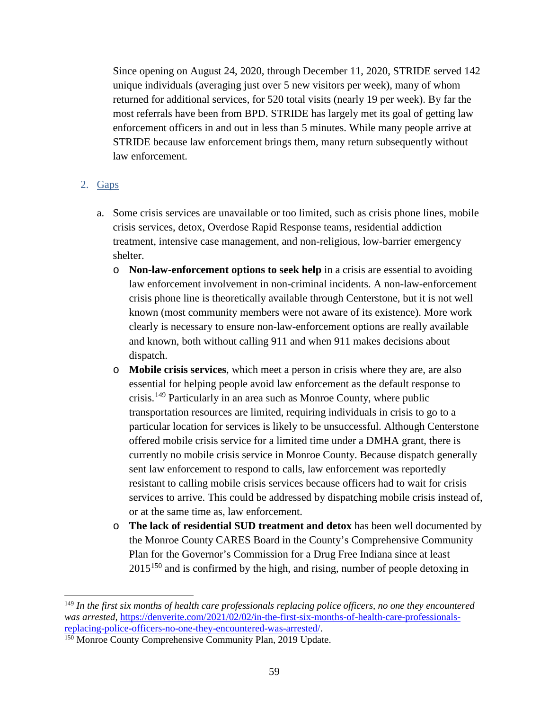Since opening on August 24, 2020, through December 11, 2020, STRIDE served 142 unique individuals (averaging just over 5 new visitors per week), many of whom returned for additional services, for 520 total visits (nearly 19 per week). By far the most referrals have been from BPD. STRIDE has largely met its goal of getting law enforcement officers in and out in less than 5 minutes. While many people arrive at STRIDE because law enforcement brings them, many return subsequently without law enforcement.

### 2. Gaps

 $\overline{a}$ 

- a. Some crisis services are unavailable or too limited, such as crisis phone lines, mobile crisis services, detox, Overdose Rapid Response teams, residential addiction treatment, intensive case management, and non-religious, low-barrier emergency shelter.
	- o **Non-law-enforcement options to seek help** in a crisis are essential to avoiding law enforcement involvement in non-criminal incidents. A non-law-enforcement crisis phone line is theoretically available through Centerstone, but it is not well known (most community members were not aware of its existence). More work clearly is necessary to ensure non-law-enforcement options are really available and known, both without calling 911 and when 911 makes decisions about dispatch.
	- o **Mobile crisis services**, which meet a person in crisis where they are, are also essential for helping people avoid law enforcement as the default response to crisis.[149](#page-58-0) Particularly in an area such as Monroe County, where public transportation resources are limited, requiring individuals in crisis to go to a particular location for services is likely to be unsuccessful. Although Centerstone offered mobile crisis service for a limited time under a DMHA grant, there is currently no mobile crisis service in Monroe County. Because dispatch generally sent law enforcement to respond to calls, law enforcement was reportedly resistant to calling mobile crisis services because officers had to wait for crisis services to arrive. This could be addressed by dispatching mobile crisis instead of, or at the same time as, law enforcement.
	- o **The lack of residential SUD treatment and detox** has been well documented by the Monroe County CARES Board in the County's Comprehensive Community Plan for the Governor's Commission for a Drug Free Indiana since at least  $2015^{150}$  $2015^{150}$  $2015^{150}$  and is confirmed by the high, and rising, number of people detoxing in

<span id="page-58-0"></span><sup>149</sup> *In the first six months of health care professionals replacing police officers, no one they encountered was arrested*, <u>https://denverite.com/2021/02/02/in-the-first-six-months-of-health-care-professionals-<br>replacing-police-officers-no-one-they-encountered-was-arrested/.</u>

<span id="page-58-1"></span> $150$  Monroe County Comprehensive Community Plan, 2019 Update.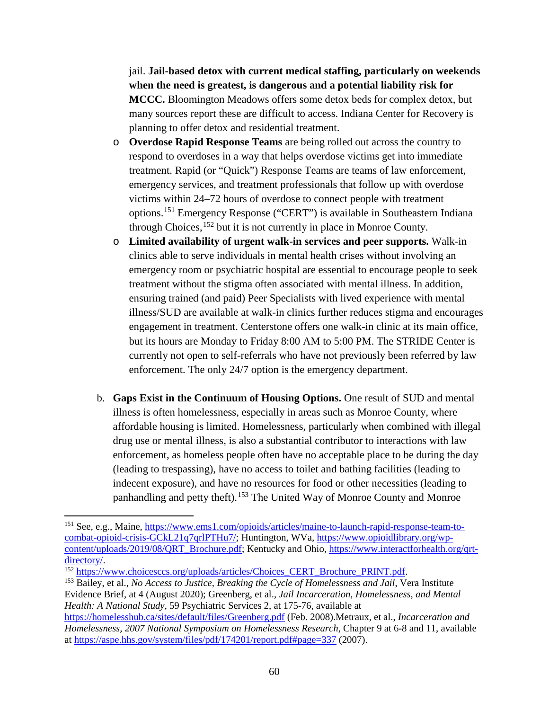jail. **Jail-based detox with current medical staffing, particularly on weekends when the need is greatest, is dangerous and a potential liability risk for MCCC.** Bloomington Meadows offers some detox beds for complex detox, but many sources report these are difficult to access. Indiana Center for Recovery is planning to offer detox and residential treatment.

- o **Overdose Rapid Response Teams** are being rolled out across the country to respond to overdoses in a way that helps overdose victims get into immediate treatment. Rapid (or "Quick") Response Teams are teams of law enforcement, emergency services, and treatment professionals that follow up with overdose victims within 24–72 hours of overdose to connect people with treatment options.[151](#page-59-0) Emergency Response ("CERT") is available in Southeastern Indiana through Choices,<sup>[152](#page-59-1)</sup> but it is not currently in place in Monroe County.
- o **Limited availability of urgent walk-in services and peer supports.** Walk-in clinics able to serve individuals in mental health crises without involving an emergency room or psychiatric hospital are essential to encourage people to seek treatment without the stigma often associated with mental illness. In addition, ensuring trained (and paid) Peer Specialists with lived experience with mental illness/SUD are available at walk-in clinics further reduces stigma and encourages engagement in treatment. Centerstone offers one walk-in clinic at its main office, but its hours are Monday to Friday 8:00 AM to 5:00 PM. The STRIDE Center is currently not open to self-referrals who have not previously been referred by law enforcement. The only 24/7 option is the emergency department.
- b. **Gaps Exist in the Continuum of Housing Options.** One result of SUD and mental illness is often homelessness, especially in areas such as Monroe County, where affordable housing is limited. Homelessness, particularly when combined with illegal drug use or mental illness, is also a substantial contributor to interactions with law enforcement, as homeless people often have no acceptable place to be during the day (leading to trespassing), have no access to toilet and bathing facilities (leading to indecent exposure), and have no resources for food or other necessities (leading to panhandling and petty theft).<sup>[153](#page-59-2)</sup> The United Way of Monroe County and Monroe

 $\overline{a}$ 

<span id="page-59-0"></span><sup>151</sup> See, e.g., Maine, [https://www.ems1.com/opioids/articles/maine-to-launch-rapid-response-team-to](https://www.ems1.com/opioids/articles/maine-to-launch-rapid-response-team-to-combat-opioid-crisis-GCkL21q7qrlPTHu7/)[combat-opioid-crisis-GCkL21q7qrlPTHu7/;](https://www.ems1.com/opioids/articles/maine-to-launch-rapid-response-team-to-combat-opioid-crisis-GCkL21q7qrlPTHu7/) Huntington, WVa, [https://www.opioidlibrary.org/wp](https://www.opioidlibrary.org/wp-content/uploads/2019/08/QRT_Brochure.pdf)[content/uploads/2019/08/QRT\\_Brochure.pdf;](https://www.opioidlibrary.org/wp-content/uploads/2019/08/QRT_Brochure.pdf) Kentucky and Ohio, [https://www.interactforhealth.org/qrt](https://www.interactforhealth.org/qrt-directory/)[directory/.](https://www.interactforhealth.org/qrt-directory/)<br><sup>152</sup> [https://www.choicesccs.org/uploads/articles/Choices\\_CERT\\_Brochure\\_PRINT.pdf.](https://www.choicesccs.org/uploads/articles/Choices_CERT_Brochure_PRINT.pdf)<br><sup>153</sup> Bailey, et al., *No Access to Justice, Breaking the Cycle of Homelessness and Jail*, Vera Institute

<span id="page-59-1"></span>

<span id="page-59-2"></span>Evidence Brief, at 4 (August 2020); Greenberg, et al., *Jail Incarceration, Homelessness, and Mental Health: A National Study*, 59 Psychiatric Services 2, at 175-76, available at

<https://homelesshub.ca/sites/default/files/Greenberg.pdf> (Feb. 2008).Metraux, et al., *Incarceration and Homelessness, 2007 National Symposium on Homelessness Research*, Chapter 9 at 6-8 and 11, available at<https://aspe.hhs.gov/system/files/pdf/174201/report.pdf#page=337> (2007).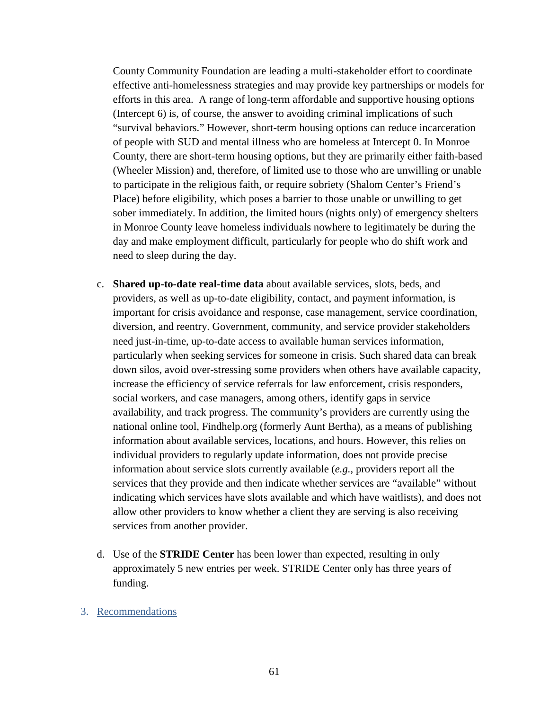County Community Foundation are leading a multi-stakeholder effort to coordinate effective anti-homelessness strategies and may provide key partnerships or models for efforts in this area. A range of long-term affordable and supportive housing options (Intercept 6) is, of course, the answer to avoiding criminal implications of such "survival behaviors." However, short-term housing options can reduce incarceration of people with SUD and mental illness who are homeless at Intercept 0. In Monroe County, there are short-term housing options, but they are primarily either faith-based (Wheeler Mission) and, therefore, of limited use to those who are unwilling or unable to participate in the religious faith, or require sobriety (Shalom Center's Friend's Place) before eligibility, which poses a barrier to those unable or unwilling to get sober immediately. In addition, the limited hours (nights only) of emergency shelters in Monroe County leave homeless individuals nowhere to legitimately be during the day and make employment difficult, particularly for people who do shift work and need to sleep during the day.

- c. **Shared up-to-date real-time data** about available services, slots, beds, and providers, as well as up-to-date eligibility, contact, and payment information, is important for crisis avoidance and response, case management, service coordination, diversion, and reentry. Government, community, and service provider stakeholders need just-in-time, up-to-date access to available human services information, particularly when seeking services for someone in crisis. Such shared data can break down silos, avoid over-stressing some providers when others have available capacity, increase the efficiency of service referrals for law enforcement, crisis responders, social workers, and case managers, among others, identify gaps in service availability, and track progress. The community's providers are currently using the national online tool, Findhelp.org (formerly Aunt Bertha), as a means of publishing information about available services, locations, and hours. However, this relies on individual providers to regularly update information, does not provide precise information about service slots currently available (*e.g.*, providers report all the services that they provide and then indicate whether services are "available" without indicating which services have slots available and which have waitlists), and does not allow other providers to know whether a client they are serving is also receiving services from another provider.
- d. Use of the **STRIDE Center** has been lower than expected, resulting in only approximately 5 new entries per week. STRIDE Center only has three years of funding.

#### 3. Recommendations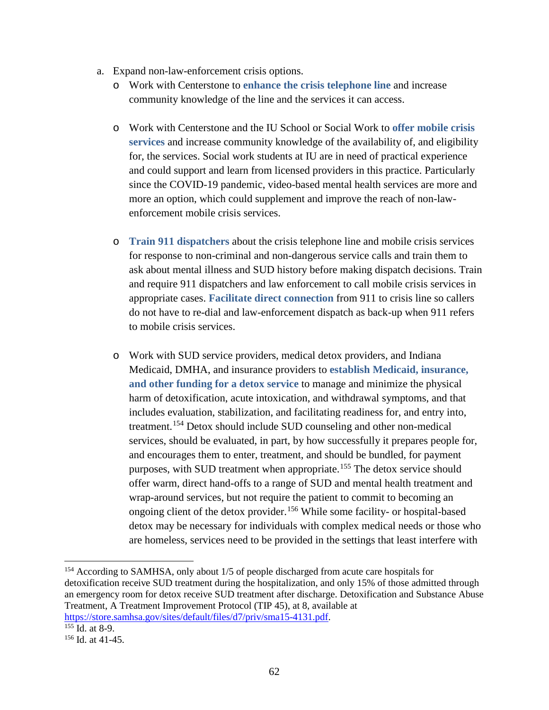- a. Expand non-law-enforcement crisis options.
	- o Work with Centerstone to **enhance the crisis telephone line** and increase community knowledge of the line and the services it can access.
	- o Work with Centerstone and the IU School or Social Work to **offer mobile crisis services** and increase community knowledge of the availability of, and eligibility for, the services. Social work students at IU are in need of practical experience and could support and learn from licensed providers in this practice. Particularly since the COVID-19 pandemic, video-based mental health services are more and more an option, which could supplement and improve the reach of non-lawenforcement mobile crisis services.
	- o **Train 911 dispatchers** about the crisis telephone line and mobile crisis services for response to non-criminal and non-dangerous service calls and train them to ask about mental illness and SUD history before making dispatch decisions. Train and require 911 dispatchers and law enforcement to call mobile crisis services in appropriate cases. **Facilitate direct connection** from 911 to crisis line so callers do not have to re-dial and law-enforcement dispatch as back-up when 911 refers to mobile crisis services.
	- o Work with SUD service providers, medical detox providers, and Indiana Medicaid, DMHA, and insurance providers to **establish Medicaid, insurance, and other funding for a detox service** to manage and minimize the physical harm of detoxification, acute intoxication, and withdrawal symptoms, and that includes evaluation, stabilization, and facilitating readiness for, and entry into, treatment.[154](#page-61-0) Detox should include SUD counseling and other non-medical services, should be evaluated, in part, by how successfully it prepares people for, and encourages them to enter, treatment, and should be bundled, for payment purposes, with SUD treatment when appropriate.[155](#page-61-1) The detox service should offer warm, direct hand-offs to a range of SUD and mental health treatment and wrap-around services, but not require the patient to commit to becoming an ongoing client of the detox provider.[156](#page-61-2) While some facility- or hospital-based detox may be necessary for individuals with complex medical needs or those who are homeless, services need to be provided in the settings that least interfere with

<span id="page-61-0"></span><sup>154</sup> According to SAMHSA, only about 1/5 of people discharged from acute care hospitals for detoxification receive SUD treatment during the hospitalization, and only 15% of those admitted through an emergency room for detox receive SUD treatment after discharge. Detoxification and Substance Abuse Treatment, A Treatment Improvement Protocol (TIP 45), at 8, available at [https://store.samhsa.gov/sites/default/files/d7/priv/sma15-4131.pdf.](https://store.samhsa.gov/sites/default/files/d7/priv/sma15-4131.pdf) 155 Id. at 8-9.

<span id="page-61-1"></span>

<span id="page-61-2"></span> $156$  Id. at 41-45.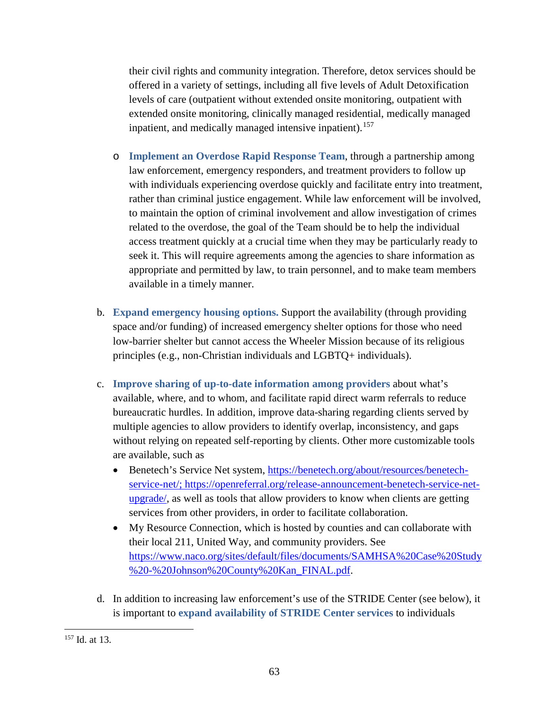their civil rights and community integration. Therefore, detox services should be offered in a variety of settings, including all five levels of Adult Detoxification levels of care (outpatient without extended onsite monitoring, outpatient with extended onsite monitoring, clinically managed residential, medically managed inpatient, and medically managed intensive inpatient).<sup>[157](#page-62-0)</sup>

- o **Implement an Overdose Rapid Response Team**, through a partnership among law enforcement, emergency responders, and treatment providers to follow up with individuals experiencing overdose quickly and facilitate entry into treatment, rather than criminal justice engagement. While law enforcement will be involved, to maintain the option of criminal involvement and allow investigation of crimes related to the overdose, the goal of the Team should be to help the individual access treatment quickly at a crucial time when they may be particularly ready to seek it. This will require agreements among the agencies to share information as appropriate and permitted by law, to train personnel, and to make team members available in a timely manner.
- b. **Expand emergency housing options.** Support the availability (through providing space and/or funding) of increased emergency shelter options for those who need low-barrier shelter but cannot access the Wheeler Mission because of its religious principles (e.g., non-Christian individuals and LGBTQ+ individuals).
- c. **Improve sharing of up-to-date information among providers** about what's available, where, and to whom, and facilitate rapid direct warm referrals to reduce bureaucratic hurdles. In addition, improve data-sharing regarding clients served by multiple agencies to allow providers to identify overlap, inconsistency, and gaps without relying on repeated self-reporting by clients. Other more customizable tools are available, such as
	- Benetech's Service Net system, [https://benetech.org/about/resources/benetech](https://benetech.org/about/resources/benetech-service-net/)[service-net/;](https://benetech.org/about/resources/benetech-service-net/) https://openreferral.org/release-announcement-benetech-service-netupgrade/, as well as tools that allow providers to know when clients are getting services from other providers, in order to facilitate collaboration.
	- My Resource Connection, which is hosted by counties and can collaborate with their local 211, United Way, and community providers. See [https://www.naco.org/sites/default/files/documents/SAMHSA%20Case%20Study](https://www.naco.org/sites/default/files/documents/SAMHSA%20Case%20Study%20-%20Johnson%20County%20Kan_FINAL.pdf) [%20-%20Johnson%20County%20Kan\\_FINAL.pdf.](https://www.naco.org/sites/default/files/documents/SAMHSA%20Case%20Study%20-%20Johnson%20County%20Kan_FINAL.pdf)
- d. In addition to increasing law enforcement's use of the STRIDE Center (see below), it is important to **expand availability of STRIDE Center services** to individuals

<span id="page-62-0"></span>l <sup>157</sup> Id. at 13.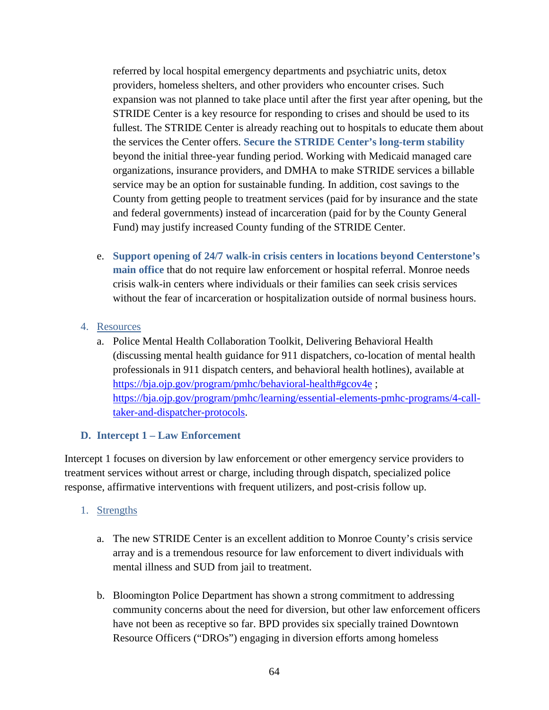referred by local hospital emergency departments and psychiatric units, detox providers, homeless shelters, and other providers who encounter crises. Such expansion was not planned to take place until after the first year after opening, but the STRIDE Center is a key resource for responding to crises and should be used to its fullest. The STRIDE Center is already reaching out to hospitals to educate them about the services the Center offers. **Secure the STRIDE Center's long-term stability**  beyond the initial three-year funding period. Working with Medicaid managed care organizations, insurance providers, and DMHA to make STRIDE services a billable service may be an option for sustainable funding. In addition, cost savings to the County from getting people to treatment services (paid for by insurance and the state and federal governments) instead of incarceration (paid for by the County General Fund) may justify increased County funding of the STRIDE Center.

e. **Support opening of 24/7 walk-in crisis centers in locations beyond Centerstone's main office** that do not require law enforcement or hospital referral. Monroe needs crisis walk-in centers where individuals or their families can seek crisis services without the fear of incarceration or hospitalization outside of normal business hours.

### 4. Resources

a. Police Mental Health Collaboration Toolkit, Delivering Behavioral Health (discussing mental health guidance for 911 dispatchers, co-location of mental health professionals in 911 dispatch centers, and behavioral health hotlines), available at <https://bja.ojp.gov/program/pmhc/behavioral-health#gcov4e>; [https://bja.ojp.gov/program/pmhc/learning/essential-elements-pmhc-programs/4-call](https://bja.ojp.gov/program/pmhc/learning/essential-elements-pmhc-programs/4-call-taker-and-dispatcher-protocols)[taker-and-dispatcher-protocols.](https://bja.ojp.gov/program/pmhc/learning/essential-elements-pmhc-programs/4-call-taker-and-dispatcher-protocols)

### **D. Intercept 1 – Law Enforcement**

Intercept 1 focuses on diversion by law enforcement or other emergency service providers to treatment services without arrest or charge, including through dispatch, specialized police response, affirmative interventions with frequent utilizers, and post-crisis follow up.

### 1. Strengths

- a. The new STRIDE Center is an excellent addition to Monroe County's crisis service array and is a tremendous resource for law enforcement to divert individuals with mental illness and SUD from jail to treatment.
- b. Bloomington Police Department has shown a strong commitment to addressing community concerns about the need for diversion, but other law enforcement officers have not been as receptive so far. BPD provides six specially trained Downtown Resource Officers ("DROs") engaging in diversion efforts among homeless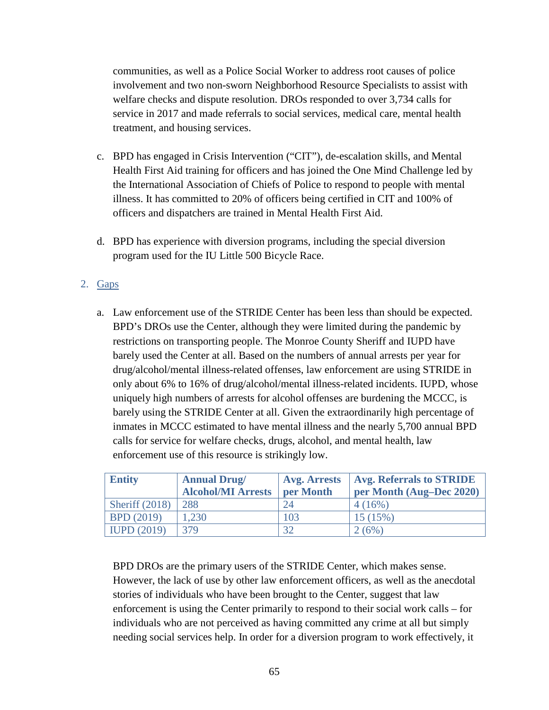communities, as well as a Police Social Worker to address root causes of police involvement and two non-sworn Neighborhood Resource Specialists to assist with welfare checks and dispute resolution. DROs responded to over 3,734 calls for service in 2017 and made referrals to social services, medical care, mental health treatment, and housing services.

- c. BPD has engaged in Crisis Intervention ("CIT"), de-escalation skills, and Mental Health First Aid training for officers and has joined the One Mind Challenge led by the International Association of Chiefs of Police to respond to people with mental illness. It has committed to 20% of officers being certified in CIT and 100% of officers and dispatchers are trained in Mental Health First Aid.
- d. BPD has experience with diversion programs, including the special diversion program used for the IU Little 500 Bicycle Race.

## 2. Gaps

a. Law enforcement use of the STRIDE Center has been less than should be expected. BPD's DROs use the Center, although they were limited during the pandemic by restrictions on transporting people. The Monroe County Sheriff and IUPD have barely used the Center at all. Based on the numbers of annual arrests per year for drug/alcohol/mental illness-related offenses, law enforcement are using STRIDE in only about 6% to 16% of drug/alcohol/mental illness-related incidents. IUPD, whose uniquely high numbers of arrests for alcohol offenses are burdening the MCCC, is barely using the STRIDE Center at all. Given the extraordinarily high percentage of inmates in MCCC estimated to have mental illness and the nearly 5,700 annual BPD calls for service for welfare checks, drugs, alcohol, and mental health, law enforcement use of this resource is strikingly low.

| <b>Entity</b>     | <b>Annual Drug/</b>       | <b>Avg. Arrests</b> | <b>Avg. Referrals to STRIDE</b> |
|-------------------|---------------------------|---------------------|---------------------------------|
|                   | <b>Alcohol/MI Arrests</b> | per Month           | per Month (Aug–Dec 2020)        |
| Sheriff $(2018)$  | 288                       | 24                  | 4(16%)                          |
| <b>BPD</b> (2019) | 1.230                     | 103                 | 15(15%)                         |
| IUPD $(2019)$     | 379                       | 32                  | 2(6%)                           |

BPD DROs are the primary users of the STRIDE Center, which makes sense. However, the lack of use by other law enforcement officers, as well as the anecdotal stories of individuals who have been brought to the Center, suggest that law enforcement is using the Center primarily to respond to their social work calls – for individuals who are not perceived as having committed any crime at all but simply needing social services help. In order for a diversion program to work effectively, it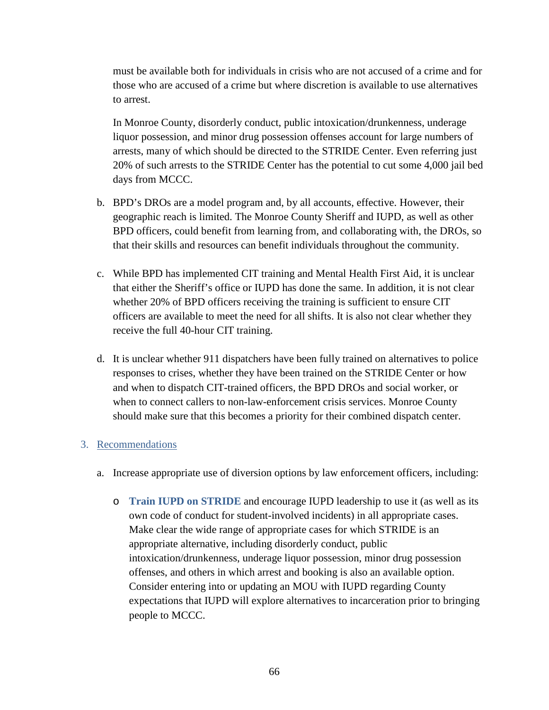must be available both for individuals in crisis who are not accused of a crime and for those who are accused of a crime but where discretion is available to use alternatives to arrest.

In Monroe County, disorderly conduct, public intoxication/drunkenness, underage liquor possession, and minor drug possession offenses account for large numbers of arrests, many of which should be directed to the STRIDE Center. Even referring just 20% of such arrests to the STRIDE Center has the potential to cut some 4,000 jail bed days from MCCC.

- b. BPD's DROs are a model program and, by all accounts, effective. However, their geographic reach is limited. The Monroe County Sheriff and IUPD, as well as other BPD officers, could benefit from learning from, and collaborating with, the DROs, so that their skills and resources can benefit individuals throughout the community.
- c. While BPD has implemented CIT training and Mental Health First Aid, it is unclear that either the Sheriff's office or IUPD has done the same. In addition, it is not clear whether 20% of BPD officers receiving the training is sufficient to ensure CIT officers are available to meet the need for all shifts. It is also not clear whether they receive the full 40-hour CIT training.
- d. It is unclear whether 911 dispatchers have been fully trained on alternatives to police responses to crises, whether they have been trained on the STRIDE Center or how and when to dispatch CIT-trained officers, the BPD DROs and social worker, or when to connect callers to non-law-enforcement crisis services. Monroe County should make sure that this becomes a priority for their combined dispatch center.

### 3. Recommendations

- a. Increase appropriate use of diversion options by law enforcement officers, including:
	- o **Train IUPD on STRIDE** and encourage IUPD leadership to use it (as well as its own code of conduct for student-involved incidents) in all appropriate cases. Make clear the wide range of appropriate cases for which STRIDE is an appropriate alternative, including disorderly conduct, public intoxication/drunkenness, underage liquor possession, minor drug possession offenses, and others in which arrest and booking is also an available option. Consider entering into or updating an MOU with IUPD regarding County expectations that IUPD will explore alternatives to incarceration prior to bringing people to MCCC.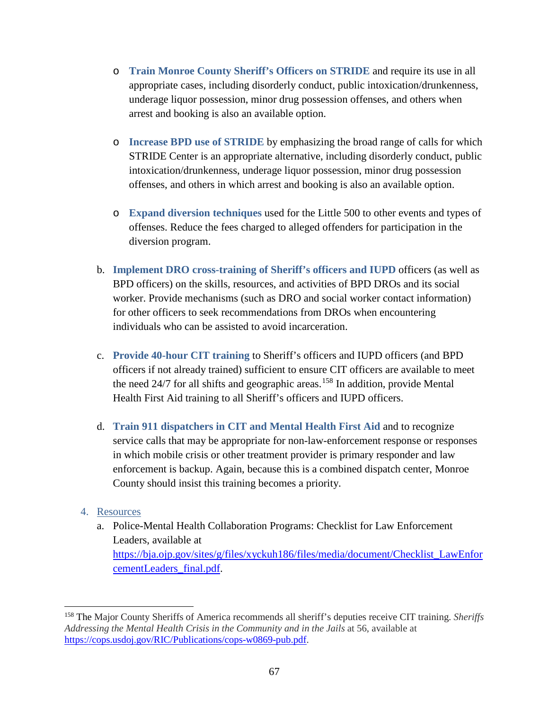- o **Train Monroe County Sheriff's Officers on STRIDE** and require its use in all appropriate cases, including disorderly conduct, public intoxication/drunkenness, underage liquor possession, minor drug possession offenses, and others when arrest and booking is also an available option.
- o **Increase BPD use of STRIDE** by emphasizing the broad range of calls for which STRIDE Center is an appropriate alternative, including disorderly conduct, public intoxication/drunkenness, underage liquor possession, minor drug possession offenses, and others in which arrest and booking is also an available option.
- o **Expand diversion techniques** used for the Little 500 to other events and types of offenses. Reduce the fees charged to alleged offenders for participation in the diversion program.
- b. **Implement DRO cross-training of Sheriff's officers and IUPD** officers (as well as BPD officers) on the skills, resources, and activities of BPD DROs and its social worker. Provide mechanisms (such as DRO and social worker contact information) for other officers to seek recommendations from DROs when encountering individuals who can be assisted to avoid incarceration.
- c. **Provide 40-hour CIT training** to Sheriff's officers and IUPD officers (and BPD officers if not already trained) sufficient to ensure CIT officers are available to meet the need  $24/7$  for all shifts and geographic areas.<sup>[158](#page-66-0)</sup> In addition, provide Mental Health First Aid training to all Sheriff's officers and IUPD officers.
- d. **Train 911 dispatchers in CIT and Mental Health First Aid** and to recognize service calls that may be appropriate for non-law-enforcement response or responses in which mobile crisis or other treatment provider is primary responder and law enforcement is backup. Again, because this is a combined dispatch center, Monroe County should insist this training becomes a priority.

### 4. Resources

 $\overline{\phantom{a}}$ 

a. Police-Mental Health Collaboration Programs: Checklist for Law Enforcement Leaders, available at [https://bja.ojp.gov/sites/g/files/xyckuh186/files/media/document/Checklist\\_LawEnfor](https://bja.ojp.gov/sites/g/files/xyckuh186/files/media/document/Checklist_LawEnforcementLeaders_final.pdf) [cementLeaders\\_final.pdf.](https://bja.ojp.gov/sites/g/files/xyckuh186/files/media/document/Checklist_LawEnforcementLeaders_final.pdf)

<span id="page-66-0"></span><sup>158</sup> The Major County Sheriffs of America recommends all sheriff's deputies receive CIT training. *Sheriffs Addressing the Mental Health Crisis in the Community and in the Jails* at 56, available at [https://cops.usdoj.gov/RIC/Publications/cops-w0869-pub.pdf.](https://cops.usdoj.gov/RIC/Publications/cops-w0869-pub.pdf)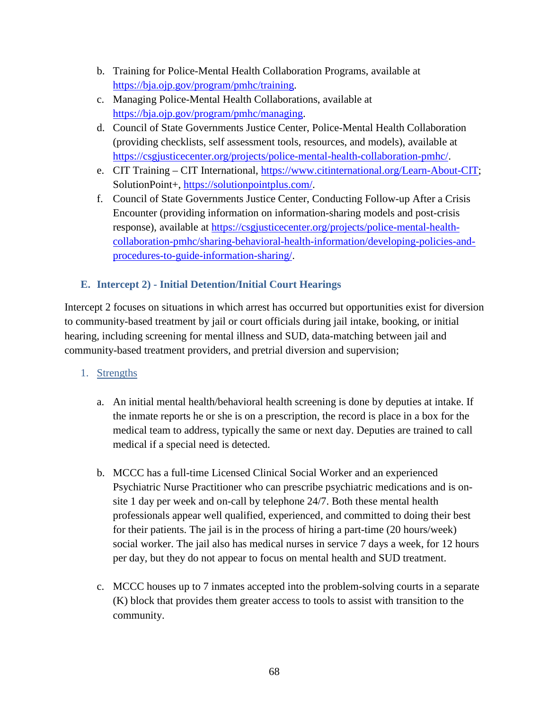- b. Training for Police-Mental Health Collaboration Programs, available at [https://bja.ojp.gov/program/pmhc/training.](https://bja.ojp.gov/program/pmhc/training)
- c. Managing Police-Mental Health Collaborations, available at [https://bja.ojp.gov/program/pmhc/managing.](https://bja.ojp.gov/program/pmhc/managing)
- d. Council of State Governments Justice Center, Police-Mental Health Collaboration (providing checklists, self assessment tools, resources, and models), available at [https://csgjusticecenter.org/projects/police-mental-health-collaboration-pmhc/.](https://csgjusticecenter.org/projects/police-mental-health-collaboration-pmhc/)
- e. CIT Training CIT International, [https://www.citinternational.org/Learn-About-CIT;](https://www.citinternational.org/Learn-About-CIT) SolutionPoint+, [https://solutionpointplus.com/.](https://solutionpointplus.com/)
- f. Council of State Governments Justice Center, Conducting Follow-up After a Crisis Encounter (providing information on information-sharing models and post-crisis response), available at [https://csgjusticecenter.org/projects/police-mental-health](https://csgjusticecenter.org/projects/police-mental-health-collaboration-pmhc/sharing-behavioral-health-information/developing-policies-and-procedures-to-guide-information-sharing/)[collaboration-pmhc/sharing-behavioral-health-information/developing-policies-and](https://csgjusticecenter.org/projects/police-mental-health-collaboration-pmhc/sharing-behavioral-health-information/developing-policies-and-procedures-to-guide-information-sharing/)[procedures-to-guide-information-sharing/.](https://csgjusticecenter.org/projects/police-mental-health-collaboration-pmhc/sharing-behavioral-health-information/developing-policies-and-procedures-to-guide-information-sharing/)

# **E. Intercept 2) - Initial Detention/Initial Court Hearings**

Intercept 2 focuses on situations in which arrest has occurred but opportunities exist for diversion to community-based treatment by jail or court officials during jail intake, booking, or initial hearing, including screening for mental illness and SUD, data-matching between jail and community-based treatment providers, and pretrial diversion and supervision;

### 1. Strengths

- a. An initial mental health/behavioral health screening is done by deputies at intake. If the inmate reports he or she is on a prescription, the record is place in a box for the medical team to address, typically the same or next day. Deputies are trained to call medical if a special need is detected.
- b. MCCC has a full-time Licensed Clinical Social Worker and an experienced Psychiatric Nurse Practitioner who can prescribe psychiatric medications and is onsite 1 day per week and on-call by telephone 24/7. Both these mental health professionals appear well qualified, experienced, and committed to doing their best for their patients. The jail is in the process of hiring a part-time (20 hours/week) social worker. The jail also has medical nurses in service 7 days a week, for 12 hours per day, but they do not appear to focus on mental health and SUD treatment.
- c. MCCC houses up to 7 inmates accepted into the problem-solving courts in a separate (K) block that provides them greater access to tools to assist with transition to the community.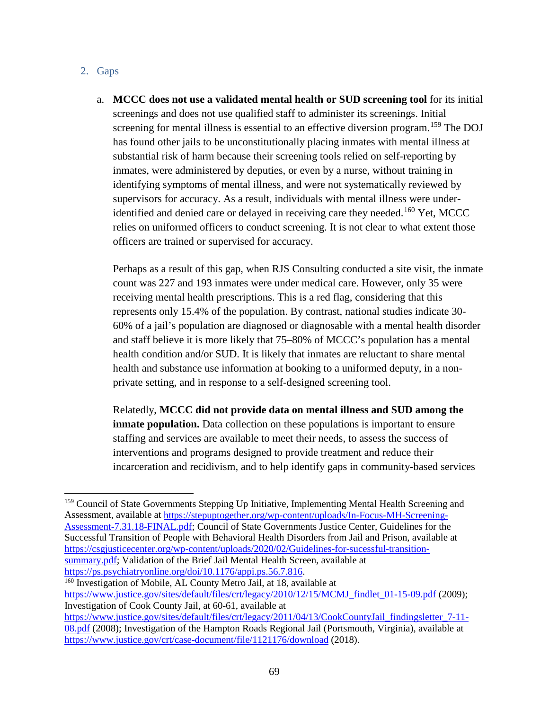### 2.  $Gaps$

 $\overline{\phantom{a}}$ 

a. **MCCC does not use a validated mental health or SUD screening tool** for its initial screenings and does not use qualified staff to administer its screenings. Initial screening for mental illness is essential to an effective diversion program.<sup>[159](#page-68-0)</sup> The DOJ has found other jails to be unconstitutionally placing inmates with mental illness at substantial risk of harm because their screening tools relied on self-reporting by inmates, were administered by deputies, or even by a nurse, without training in identifying symptoms of mental illness, and were not systematically reviewed by supervisors for accuracy. As a result, individuals with mental illness were under-identified and denied care or delayed in receiving care they needed.<sup>[160](#page-68-1)</sup> Yet, MCCC relies on uniformed officers to conduct screening. It is not clear to what extent those officers are trained or supervised for accuracy.

Perhaps as a result of this gap, when RJS Consulting conducted a site visit, the inmate count was 227 and 193 inmates were under medical care. However, only 35 were receiving mental health prescriptions. This is a red flag, considering that this represents only 15.4% of the population. By contrast, national studies indicate 30- 60% of a jail's population are diagnosed or diagnosable with a mental health disorder and staff believe it is more likely that 75–80% of MCCC's population has a mental health condition and/or SUD. It is likely that inmates are reluctant to share mental health and substance use information at booking to a uniformed deputy, in a nonprivate setting, and in response to a self-designed screening tool.

Relatedly, **MCCC did not provide data on mental illness and SUD among the inmate population.** Data collection on these populations is important to ensure staffing and services are available to meet their needs, to assess the success of interventions and programs designed to provide treatment and reduce their incarceration and recidivism, and to help identify gaps in community-based services

<span id="page-68-1"></span><sup>160</sup> Investigation of Mobile, AL County Metro Jail, at 18, available at [https://www.justice.gov/sites/default/files/crt/legacy/2010/12/15/MCMJ\\_findlet\\_01-15-09.pdf](https://www.justice.gov/sites/default/files/crt/legacy/2010/12/15/MCMJ_findlet_01-15-09.pdf) (2009); Investigation of Cook County Jail, at 60-61, available at [https://www.justice.gov/sites/default/files/crt/legacy/2011/04/13/CookCountyJail\\_findingsletter\\_7-11-](https://www.justice.gov/sites/default/files/crt/legacy/2011/04/13/CookCountyJail_findingsletter_7-11-08.pdf) [08.pdf](https://www.justice.gov/sites/default/files/crt/legacy/2011/04/13/CookCountyJail_findingsletter_7-11-08.pdf) (2008); Investigation of the Hampton Roads Regional Jail (Portsmouth, Virginia), available at <https://www.justice.gov/crt/case-document/file/1121176/download> (2018).

<span id="page-68-0"></span><sup>&</sup>lt;sup>159</sup> Council of State Governments Stepping Up Initiative, Implementing Mental Health Screening and Assessment, available at [https://stepuptogether.org/wp-content/uploads/In-Focus-MH-Screening-](https://stepuptogether.org/wp-content/uploads/In-Focus-MH-Screening-Assessment-7.31.18-FINAL.pdf)[Assessment-7.31.18-FINAL.pdf;](https://stepuptogether.org/wp-content/uploads/In-Focus-MH-Screening-Assessment-7.31.18-FINAL.pdf) Council of State Governments Justice Center, Guidelines for the Successful Transition of People with Behavioral Health Disorders from Jail and Prison, available at [https://csgjusticecenter.org/wp-content/uploads/2020/02/Guidelines-for-sucessful-transition](https://csgjusticecenter.org/wp-content/uploads/2020/02/Guidelines-for-sucessful-transition-summary.pdf)[summary.pdf;](https://csgjusticecenter.org/wp-content/uploads/2020/02/Guidelines-for-sucessful-transition-summary.pdf) Validation of the Brief Jail Mental Health Screen, available at https://ps.psychiatryonline.org/doi/10.1176/appi.ps.56.7.816.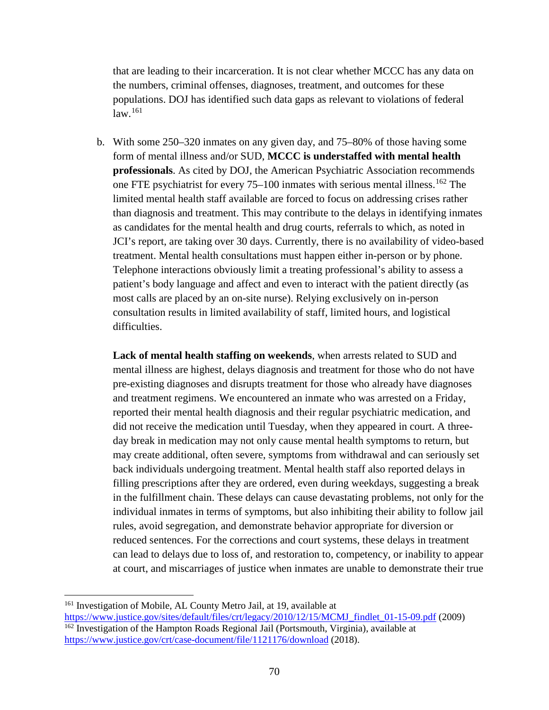that are leading to their incarceration. It is not clear whether MCCC has any data on the numbers, criminal offenses, diagnoses, treatment, and outcomes for these populations. DOJ has identified such data gaps as relevant to violations of federal  $law<sup>.161</sup>$  $law<sup>.161</sup>$  $law<sup>.161</sup>$ 

b. With some 250–320 inmates on any given day, and 75–80% of those having some form of mental illness and/or SUD, **MCCC is understaffed with mental health professionals**. As cited by DOJ, the American Psychiatric Association recommends one FTE psychiatrist for every  $75-100$  inmates with serious mental illness.<sup>[162](#page-69-1)</sup> The limited mental health staff available are forced to focus on addressing crises rather than diagnosis and treatment. This may contribute to the delays in identifying inmates as candidates for the mental health and drug courts, referrals to which, as noted in JCI's report, are taking over 30 days. Currently, there is no availability of video-based treatment. Mental health consultations must happen either in-person or by phone. Telephone interactions obviously limit a treating professional's ability to assess a patient's body language and affect and even to interact with the patient directly (as most calls are placed by an on-site nurse). Relying exclusively on in-person consultation results in limited availability of staff, limited hours, and logistical difficulties.

**Lack of mental health staffing on weekends**, when arrests related to SUD and mental illness are highest, delays diagnosis and treatment for those who do not have pre-existing diagnoses and disrupts treatment for those who already have diagnoses and treatment regimens. We encountered an inmate who was arrested on a Friday, reported their mental health diagnosis and their regular psychiatric medication, and did not receive the medication until Tuesday, when they appeared in court. A threeday break in medication may not only cause mental health symptoms to return, but may create additional, often severe, symptoms from withdrawal and can seriously set back individuals undergoing treatment. Mental health staff also reported delays in filling prescriptions after they are ordered, even during weekdays, suggesting a break in the fulfillment chain. These delays can cause devastating problems, not only for the individual inmates in terms of symptoms, but also inhibiting their ability to follow jail rules, avoid segregation, and demonstrate behavior appropriate for diversion or reduced sentences. For the corrections and court systems, these delays in treatment can lead to delays due to loss of, and restoration to, competency, or inability to appear at court, and miscarriages of justice when inmates are unable to demonstrate their true

 $\overline{a}$ 

<span id="page-69-0"></span><sup>&</sup>lt;sup>161</sup> Investigation of Mobile, AL County Metro Jail, at 19, available at [https://www.justice.gov/sites/default/files/crt/legacy/2010/12/15/MCMJ\\_findlet\\_01-15-09.pdf](https://www.justice.gov/sites/default/files/crt/legacy/2010/12/15/MCMJ_findlet_01-15-09.pdf) (2009) <sup>162</sup> Investigation of the Hampton Roads Regional Jail (Portsmouth, Virginia), available at

<span id="page-69-1"></span><https://www.justice.gov/crt/case-document/file/1121176/download> (2018).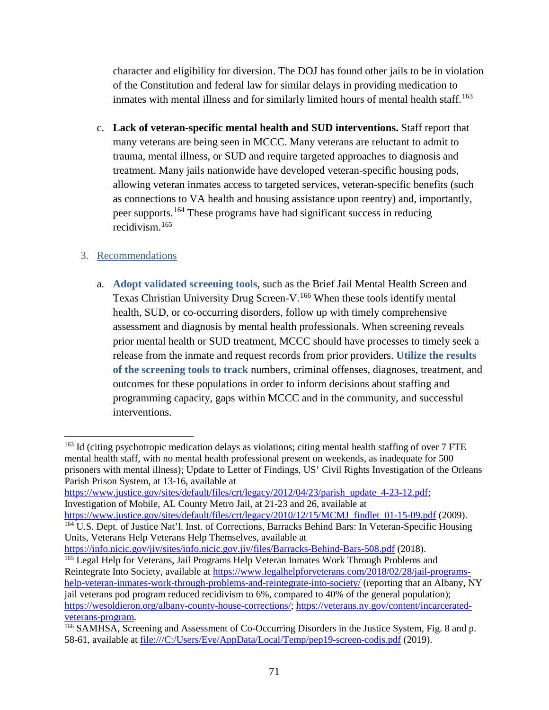character and eligibility for diversion. The DOJ has found other jails to be in violation of the Constitution and federal law for similar delays in providing medication to inmates with mental illness and for similarly limited hours of mental health staff. [163](#page-70-0)

c. **Lack of veteran-specific mental health and SUD interventions.** Staff report that many veterans are being seen in MCCC. Many veterans are reluctant to admit to trauma, mental illness, or SUD and require targeted approaches to diagnosis and treatment. Many jails nationwide have developed veteran-specific housing pods, allowing veteran inmates access to targeted services, veteran-specific benefits (such as connections to VA health and housing assistance upon reentry) and, importantly, peer supports. [164](#page-70-1) These programs have had significant success in reducing recidivism.[165](#page-70-2)

## 3. Recommendations

 $\overline{a}$ 

a. **Adopt validated screening tools**, such as the Brief Jail Mental Health Screen and Texas Christian University Drug Screen-V.[166](#page-70-3) When these tools identify mental health, SUD, or co-occurring disorders, follow up with timely comprehensive assessment and diagnosis by mental health professionals. When screening reveals prior mental health or SUD treatment, MCCC should have processes to timely seek a release from the inmate and request records from prior providers. **Utilize the results of the screening tools to track** numbers, criminal offenses, diagnoses, treatment, and outcomes for these populations in order to inform decisions about staffing and programming capacity, gaps within MCCC and in the community, and successful interventions.

[https://www.justice.gov/sites/default/files/crt/legacy/2012/04/23/parish\\_update\\_4-23-12.pdf;](https://www.justice.gov/sites/default/files/crt/legacy/2012/04/23/parish_update_4-23-12.pdf) Investigation of Mobile, AL County Metro Jail, at 21-23 and 26, available at [https://www.justice.gov/sites/default/files/crt/legacy/2010/12/15/MCMJ\\_findlet\\_01-15-09.pdf](https://www.justice.gov/sites/default/files/crt/legacy/2010/12/15/MCMJ_findlet_01-15-09.pdf) (2009).

<span id="page-70-1"></span><sup>164</sup> U.S. Dept. of Justice Nat'l. Inst. of Corrections, Barracks Behind Bars: In Veteran-Specific Housing Units, Veterans Help Veterans Help Themselves, available at

<https://info.nicic.gov/jiv/sites/info.nicic.gov.jiv/files/Barracks-Behind-Bars-508.pdf> (2018).

<span id="page-70-2"></span><sup>165</sup> Legal Help for Veterans, Jail Programs Help Veteran Inmates Work Through Problems and Reintegrate Into Society, available at [https://www.legalhelpforveterans.com/2018/02/28/jail-programs](https://www.legalhelpforveterans.com/2018/02/28/jail-programs-help-veteran-inmates-work-through-problems-and-reintegrate-into-society/)[help-veteran-inmates-work-through-problems-and-reintegrate-into-society/](https://www.legalhelpforveterans.com/2018/02/28/jail-programs-help-veteran-inmates-work-through-problems-and-reintegrate-into-society/) (reporting that an Albany, NY jail veterans pod program reduced recidivism to 6%, compared to 40% of the general population); [https://wesoldieron.org/albany-county-house-corrections/;](https://wesoldieron.org/albany-county-house-corrections/) [https://veterans.ny.gov/content/incarcerated](https://veterans.ny.gov/content/incarcerated-veterans-program)[veterans-program.](https://veterans.ny.gov/content/incarcerated-veterans-program)<br><sup>166</sup> SAMHSA, Screening and Assessment of Co-Occurring Disorders in the Justice System, Fig. 8 and p.

<span id="page-70-0"></span> $163$  Id (citing psychotropic medication delays as violations; citing mental health staffing of over 7 FTE mental health staff, with no mental health professional present on weekends, as inadequate for 500 prisoners with mental illness); Update to Letter of Findings, US' Civil Rights Investigation of the Orleans Parish Prison System, at 13-16, available at

<span id="page-70-3"></span><sup>58-61,</sup> available at file:///C:/Users/Eve/AppData/Local/Temp/pep19-screen-codjs.pdf (2019).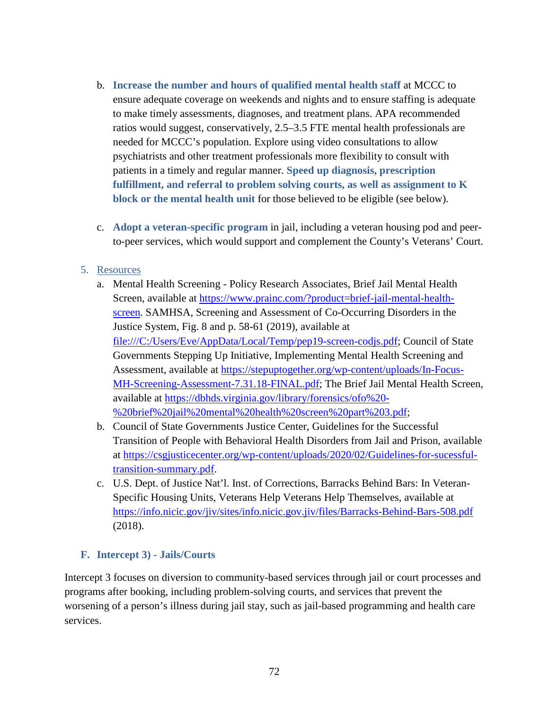- b. **Increase the number and hours of qualified mental health staff** at MCCC to ensure adequate coverage on weekends and nights and to ensure staffing is adequate to make timely assessments, diagnoses, and treatment plans. APA recommended ratios would suggest, conservatively, 2.5–3.5 FTE mental health professionals are needed for MCCC's population. Explore using video consultations to allow psychiatrists and other treatment professionals more flexibility to consult with patients in a timely and regular manner. **Speed up diagnosis, prescription fulfillment, and referral to problem solving courts, as well as assignment to K block or the mental health unit** for those believed to be eligible (see below).
- c. **Adopt a veteran-specific program** in jail, including a veteran housing pod and peerto-peer services, which would support and complement the County's Veterans' Court.

### 5. Resources

- a. Mental Health Screening Policy Research Associates, Brief Jail Mental Health Screen, available at [https://www.prainc.com/?product=brief-jail-mental-health](https://www.prainc.com/?product=brief-jail-mental-health-screen)[screen.](https://www.prainc.com/?product=brief-jail-mental-health-screen) SAMHSA, Screening and Assessment of Co-Occurring Disorders in the Justice System, Fig. 8 and p. 58-61 (2019), available at file:///C:/Users/Eve/AppData/Local/Temp/pep19-screen-codjs.pdf; Council of State Governments Stepping Up Initiative, Implementing Mental Health Screening and Assessment, available at [https://stepuptogether.org/wp-content/uploads/In-Focus-](https://stepuptogether.org/wp-content/uploads/In-Focus-MH-Screening-Assessment-7.31.18-FINAL.pdf)[MH-Screening-Assessment-7.31.18-FINAL.pdf;](https://stepuptogether.org/wp-content/uploads/In-Focus-MH-Screening-Assessment-7.31.18-FINAL.pdf) The Brief Jail Mental Health Screen, available at [https://dbhds.virginia.gov/library/forensics/ofo%20-](https://dbhds.virginia.gov/library/forensics/ofo%20-%20brief%20jail%20mental%20health%20screen%20part%203.pdf) [%20brief%20jail%20mental%20health%20screen%20part%203.pdf;](https://dbhds.virginia.gov/library/forensics/ofo%20-%20brief%20jail%20mental%20health%20screen%20part%203.pdf)
- b. Council of State Governments Justice Center, Guidelines for the Successful Transition of People with Behavioral Health Disorders from Jail and Prison, available at [https://csgjusticecenter.org/wp-content/uploads/2020/02/Guidelines-for-sucessful](https://csgjusticecenter.org/wp-content/uploads/2020/02/Guidelines-for-sucessful-transition-summary.pdf)[transition-summary.pdf.](https://csgjusticecenter.org/wp-content/uploads/2020/02/Guidelines-for-sucessful-transition-summary.pdf)
- c. U.S. Dept. of Justice Nat'l. Inst. of Corrections, Barracks Behind Bars: In Veteran-Specific Housing Units, Veterans Help Veterans Help Themselves, available at <https://info.nicic.gov/jiv/sites/info.nicic.gov.jiv/files/Barracks-Behind-Bars-508.pdf> (2018).

### **F. Intercept 3) - Jails/Courts**

Intercept 3 focuses on diversion to community-based services through jail or court processes and programs after booking, including problem-solving courts, and services that prevent the worsening of a person's illness during jail stay, such as jail-based programming and health care services.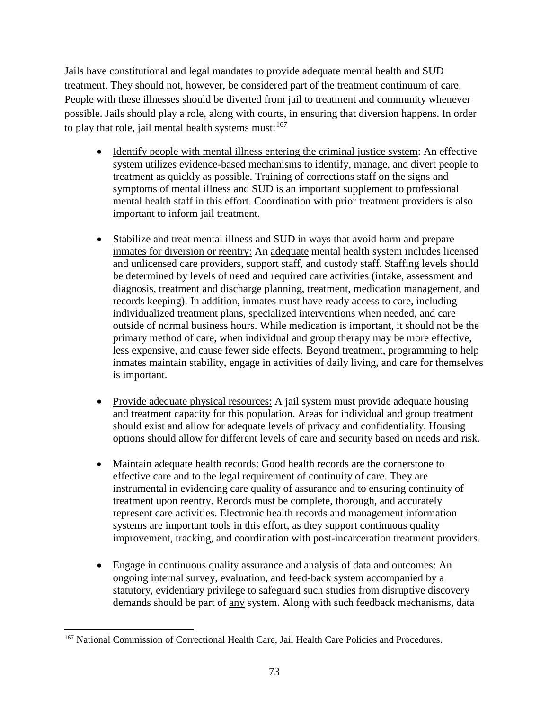Jails have constitutional and legal mandates to provide adequate mental health and SUD treatment. They should not, however, be considered part of the treatment continuum of care. People with these illnesses should be diverted from jail to treatment and community whenever possible. Jails should play a role, along with courts, in ensuring that diversion happens. In order to play that role, jail mental health systems must:  $167$ 

- Identify people with mental illness entering the criminal justice system: An effective system utilizes evidence-based mechanisms to identify, manage, and divert people to treatment as quickly as possible. Training of corrections staff on the signs and symptoms of mental illness and SUD is an important supplement to professional mental health staff in this effort. Coordination with prior treatment providers is also important to inform jail treatment.
- Stabilize and treat mental illness and SUD in ways that avoid harm and prepare inmates for diversion or reentry: An adequate mental health system includes licensed and unlicensed care providers, support staff, and custody staff. Staffing levels should be determined by levels of need and required care activities (intake, assessment and diagnosis, treatment and discharge planning, treatment, medication management, and records keeping). In addition, inmates must have ready access to care, including individualized treatment plans, specialized interventions when needed, and care outside of normal business hours. While medication is important, it should not be the primary method of care, when individual and group therapy may be more effective, less expensive, and cause fewer side effects. Beyond treatment, programming to help inmates maintain stability, engage in activities of daily living, and care for themselves is important.
- Provide adequate physical resources: A jail system must provide adequate housing and treatment capacity for this population. Areas for individual and group treatment should exist and allow for adequate levels of privacy and confidentiality. Housing options should allow for different levels of care and security based on needs and risk.
- Maintain adequate health records: Good health records are the cornerstone to effective care and to the legal requirement of continuity of care. They are instrumental in evidencing care quality of assurance and to ensuring continuity of treatment upon reentry. Records must be complete, thorough, and accurately represent care activities. Electronic health records and management information systems are important tools in this effort, as they support continuous quality improvement, tracking, and coordination with post-incarceration treatment providers.
- Engage in continuous quality assurance and analysis of data and outcomes: An ongoing internal survey, evaluation, and feed-back system accompanied by a statutory, evidentiary privilege to safeguard such studies from disruptive discovery demands should be part of any system. Along with such feedback mechanisms, data

<span id="page-72-0"></span>l <sup>167</sup> National Commission of Correctional Health Care, Jail Health Care Policies and Procedures.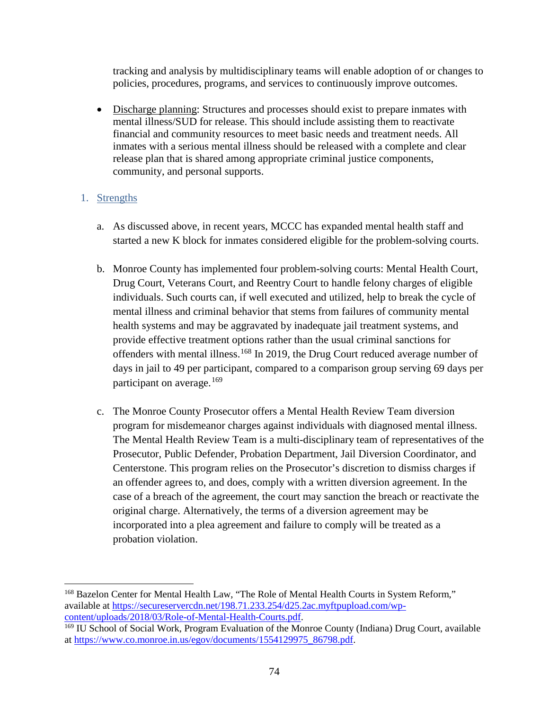tracking and analysis by multidisciplinary teams will enable adoption of or changes to policies, procedures, programs, and services to continuously improve outcomes.

• Discharge planning: Structures and processes should exist to prepare inmates with mental illness/SUD for release. This should include assisting them to reactivate financial and community resources to meet basic needs and treatment needs. All inmates with a serious mental illness should be released with a complete and clear release plan that is shared among appropriate criminal justice components, community, and personal supports.

### 1. Strengths

- a. As discussed above, in recent years, MCCC has expanded mental health staff and started a new K block for inmates considered eligible for the problem-solving courts.
- b. Monroe County has implemented four problem-solving courts: Mental Health Court, Drug Court, Veterans Court, and Reentry Court to handle felony charges of eligible individuals. Such courts can, if well executed and utilized, help to break the cycle of mental illness and criminal behavior that stems from failures of community mental health systems and may be aggravated by inadequate jail treatment systems, and provide effective treatment options rather than the usual criminal sanctions for offenders with mental illness.[168](#page-73-0) In 2019, the Drug Court reduced average number of days in jail to 49 per participant, compared to a comparison group serving 69 days per participant on average.<sup>[169](#page-73-1)</sup>
- c. The Monroe County Prosecutor offers a Mental Health Review Team diversion program for misdemeanor charges against individuals with diagnosed mental illness. The Mental Health Review Team is a multi-disciplinary team of representatives of the Prosecutor, Public Defender, Probation Department, Jail Diversion Coordinator, and Centerstone. This program relies on the Prosecutor's discretion to dismiss charges if an offender agrees to, and does, comply with a written diversion agreement. In the case of a breach of the agreement, the court may sanction the breach or reactivate the original charge. Alternatively, the terms of a diversion agreement may be incorporated into a plea agreement and failure to comply will be treated as a probation violation.

<span id="page-73-0"></span>l <sup>168</sup> Bazelon Center for Mental Health Law, "The Role of Mental Health Courts in System Reform," available at [https://secureservercdn.net/198.71.233.254/d25.2ac.myftpupload.com/wp](https://secureservercdn.net/198.71.233.254/d25.2ac.myftpupload.com/wp-content/uploads/2018/03/Role-of-Mental-Health-Courts.pdf)[content/uploads/2018/03/Role-of-Mental-Health-Courts.pdf.](https://secureservercdn.net/198.71.233.254/d25.2ac.myftpupload.com/wp-content/uploads/2018/03/Role-of-Mental-Health-Courts.pdf)

<span id="page-73-1"></span><sup>&</sup>lt;sup>169</sup> IU School of Social Work, Program Evaluation of the Monroe County (Indiana) Drug Court, available at [https://www.co.monroe.in.us/egov/documents/1554129975\\_86798.pdf.](https://www.co.monroe.in.us/egov/documents/1554129975_86798.pdf)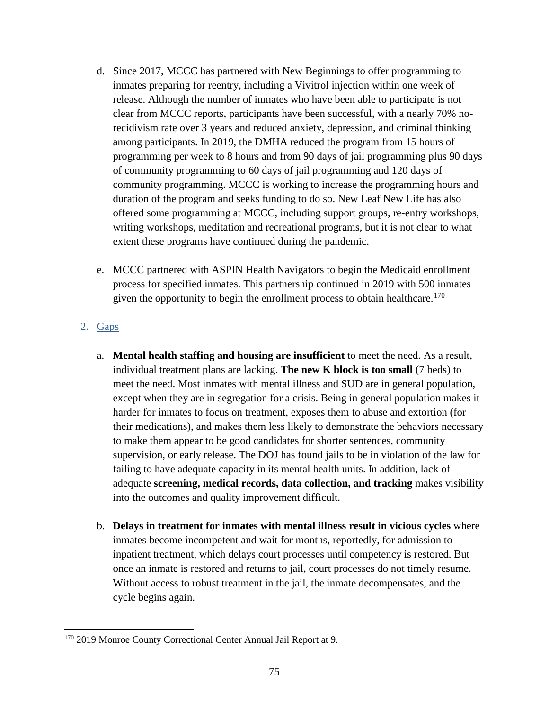- d. Since 2017, MCCC has partnered with New Beginnings to offer programming to inmates preparing for reentry, including a Vivitrol injection within one week of release. Although the number of inmates who have been able to participate is not clear from MCCC reports, participants have been successful, with a nearly 70% norecidivism rate over 3 years and reduced anxiety, depression, and criminal thinking among participants. In 2019, the DMHA reduced the program from 15 hours of programming per week to 8 hours and from 90 days of jail programming plus 90 days of community programming to 60 days of jail programming and 120 days of community programming. MCCC is working to increase the programming hours and duration of the program and seeks funding to do so. New Leaf New Life has also offered some programming at MCCC, including support groups, re-entry workshops, writing workshops, meditation and recreational programs, but it is not clear to what extent these programs have continued during the pandemic.
- e. MCCC partnered with ASPIN Health Navigators to begin the Medicaid enrollment process for specified inmates. This partnership continued in 2019 with 500 inmates given the opportunity to begin the enrollment process to obtain healthcare.<sup>[170](#page-74-0)</sup>

## 2. Gaps

- a. **Mental health staffing and housing are insufficient** to meet the need. As a result, individual treatment plans are lacking. **The new K block is too small** (7 beds) to meet the need. Most inmates with mental illness and SUD are in general population, except when they are in segregation for a crisis. Being in general population makes it harder for inmates to focus on treatment, exposes them to abuse and extortion (for their medications), and makes them less likely to demonstrate the behaviors necessary to make them appear to be good candidates for shorter sentences, community supervision, or early release. The DOJ has found jails to be in violation of the law for failing to have adequate capacity in its mental health units. In addition, lack of adequate **screening, medical records, data collection, and tracking** makes visibility into the outcomes and quality improvement difficult.
- b. **Delays in treatment for inmates with mental illness result in vicious cycles** where inmates become incompetent and wait for months, reportedly, for admission to inpatient treatment, which delays court processes until competency is restored. But once an inmate is restored and returns to jail, court processes do not timely resume. Without access to robust treatment in the jail, the inmate decompensates, and the cycle begins again.

<span id="page-74-0"></span>l <sup>170</sup> 2019 Monroe County Correctional Center Annual Jail Report at 9.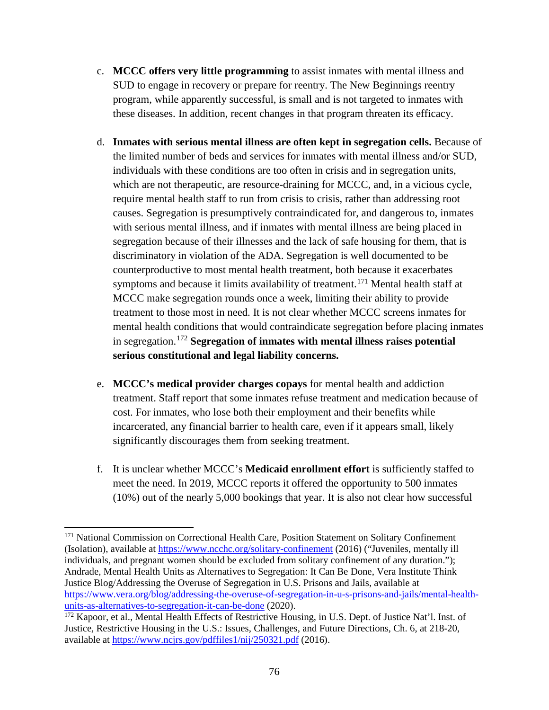- c. **MCCC offers very little programming** to assist inmates with mental illness and SUD to engage in recovery or prepare for reentry. The New Beginnings reentry program, while apparently successful, is small and is not targeted to inmates with these diseases. In addition, recent changes in that program threaten its efficacy.
- d. **Inmates with serious mental illness are often kept in segregation cells.** Because of the limited number of beds and services for inmates with mental illness and/or SUD, individuals with these conditions are too often in crisis and in segregation units, which are not therapeutic, are resource-draining for MCCC, and, in a vicious cycle, require mental health staff to run from crisis to crisis, rather than addressing root causes. Segregation is presumptively contraindicated for, and dangerous to, inmates with serious mental illness, and if inmates with mental illness are being placed in segregation because of their illnesses and the lack of safe housing for them, that is discriminatory in violation of the ADA. Segregation is well documented to be counterproductive to most mental health treatment, both because it exacerbates symptoms and because it limits availability of treatment.<sup>[171](#page-75-0)</sup> Mental health staff at MCCC make segregation rounds once a week, limiting their ability to provide treatment to those most in need. It is not clear whether MCCC screens inmates for mental health conditions that would contraindicate segregation before placing inmates in segregation. [172](#page-75-1) **Segregation of inmates with mental illness raises potential serious constitutional and legal liability concerns.**
- e. **MCCC's medical provider charges copays** for mental health and addiction treatment. Staff report that some inmates refuse treatment and medication because of cost. For inmates, who lose both their employment and their benefits while incarcerated, any financial barrier to health care, even if it appears small, likely significantly discourages them from seeking treatment.
- f. It is unclear whether MCCC's **Medicaid enrollment effort** is sufficiently staffed to meet the need. In 2019, MCCC reports it offered the opportunity to 500 inmates (10%) out of the nearly 5,000 bookings that year. It is also not clear how successful

 $\overline{\phantom{a}}$ 

<span id="page-75-0"></span><sup>&</sup>lt;sup>171</sup> National Commission on Correctional Health Care, Position Statement on Solitary Confinement (Isolation), available at<https://www.ncchc.org/solitary-confinement> (2016) ("Juveniles, mentally ill individuals, and pregnant women should be excluded from solitary confinement of any duration."); Andrade, Mental Health Units as Alternatives to Segregation: It Can Be Done, Vera Institute Think Justice Blog/Addressing the Overuse of Segregation in U.S. Prisons and Jails, available at [https://www.vera.org/blog/addressing-the-overuse-of-segregation-in-u-s-prisons-and-jails/mental-health](https://www.vera.org/blog/addressing-the-overuse-of-segregation-in-u-s-prisons-and-jails/mental-health-units-as-alternatives-to-segregation-it-can-be-done)[units-as-alternatives-to-segregation-it-can-be-done](https://www.vera.org/blog/addressing-the-overuse-of-segregation-in-u-s-prisons-and-jails/mental-health-units-as-alternatives-to-segregation-it-can-be-done) (2020).

<span id="page-75-1"></span><sup>&</sup>lt;sup>172</sup> Kapoor, et al., Mental Health Effects of Restrictive Housing, in U.S. Dept. of Justice Nat'l. Inst. of Justice, Restrictive Housing in the U.S.: Issues, Challenges, and Future Directions, Ch. 6, at 218-20, available at<https://www.ncjrs.gov/pdffiles1/nij/250321.pdf> (2016).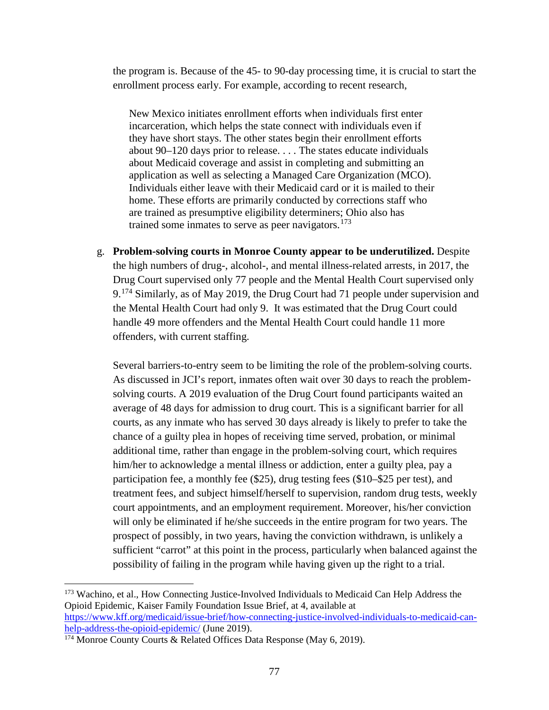the program is. Because of the 45- to 90-day processing time, it is crucial to start the enrollment process early. For example, according to recent research,

New Mexico initiates enrollment efforts when individuals first enter incarceration, which helps the state connect with individuals even if they have short stays. The other states begin their enrollment efforts about 90–120 days prior to release. . . . The states educate individuals about Medicaid coverage and assist in completing and submitting an application as well as selecting a Managed Care Organization (MCO). Individuals either leave with their Medicaid card or it is mailed to their home. These efforts are primarily conducted by corrections staff who are trained as presumptive eligibility determiners; Ohio also has trained some inmates to serve as peer navigators.<sup>[173](#page-76-0)</sup>

g. **Problem-solving courts in Monroe County appear to be underutilized.** Despite the high numbers of drug-, alcohol-, and mental illness-related arrests, in 2017, the Drug Court supervised only 77 people and the Mental Health Court supervised only 9.[174](#page-76-1) Similarly, as of May 2019, the Drug Court had 71 people under supervision and the Mental Health Court had only 9. It was estimated that the Drug Court could handle 49 more offenders and the Mental Health Court could handle 11 more offenders, with current staffing.

Several barriers-to-entry seem to be limiting the role of the problem-solving courts. As discussed in JCI's report, inmates often wait over 30 days to reach the problemsolving courts. A 2019 evaluation of the Drug Court found participants waited an average of 48 days for admission to drug court. This is a significant barrier for all courts, as any inmate who has served 30 days already is likely to prefer to take the chance of a guilty plea in hopes of receiving time served, probation, or minimal additional time, rather than engage in the problem-solving court, which requires him/her to acknowledge a mental illness or addiction, enter a guilty plea, pay a participation fee, a monthly fee (\$25), drug testing fees (\$10–\$25 per test), and treatment fees, and subject himself/herself to supervision, random drug tests, weekly court appointments, and an employment requirement. Moreover, his/her conviction will only be eliminated if he/she succeeds in the entire program for two years. The prospect of possibly, in two years, having the conviction withdrawn, is unlikely a sufficient "carrot" at this point in the process, particularly when balanced against the possibility of failing in the program while having given up the right to a trial.

<span id="page-76-0"></span><sup>&</sup>lt;sup>173</sup> Wachino, et al., How Connecting Justice-Involved Individuals to Medicaid Can Help Address the Opioid Epidemic, Kaiser Family Foundation Issue Brief, at 4, available at [https://www.kff.org/medicaid/issue-brief/how-connecting-justice-involved-individuals-to-medicaid-can](https://www.kff.org/medicaid/issue-brief/how-connecting-justice-involved-individuals-to-medicaid-can-help-address-the-opioid-epidemic/)[help-address-the-opioid-epidemic/](https://www.kff.org/medicaid/issue-brief/how-connecting-justice-involved-individuals-to-medicaid-can-help-address-the-opioid-epidemic/) (June 2019).

<span id="page-76-1"></span><sup>174</sup> Monroe County Courts & Related Offices Data Response (May 6, 2019).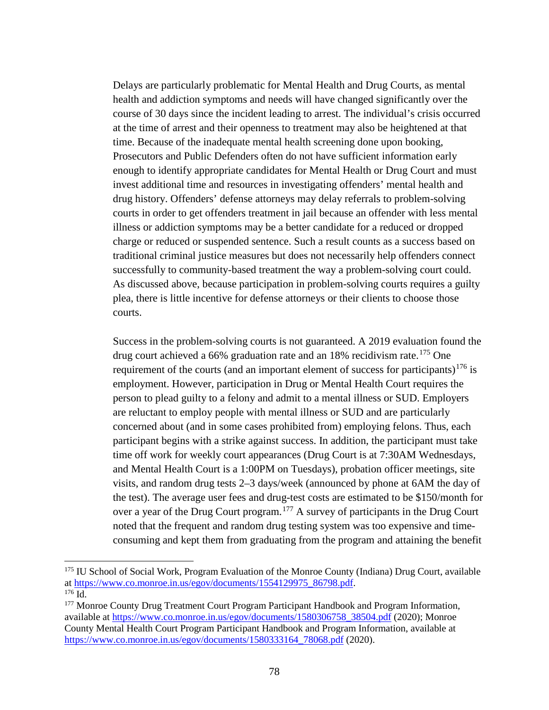Delays are particularly problematic for Mental Health and Drug Courts, as mental health and addiction symptoms and needs will have changed significantly over the course of 30 days since the incident leading to arrest. The individual's crisis occurred at the time of arrest and their openness to treatment may also be heightened at that time. Because of the inadequate mental health screening done upon booking, Prosecutors and Public Defenders often do not have sufficient information early enough to identify appropriate candidates for Mental Health or Drug Court and must invest additional time and resources in investigating offenders' mental health and drug history. Offenders' defense attorneys may delay referrals to problem-solving courts in order to get offenders treatment in jail because an offender with less mental illness or addiction symptoms may be a better candidate for a reduced or dropped charge or reduced or suspended sentence. Such a result counts as a success based on traditional criminal justice measures but does not necessarily help offenders connect successfully to community-based treatment the way a problem-solving court could. As discussed above, because participation in problem-solving courts requires a guilty plea, there is little incentive for defense attorneys or their clients to choose those courts.

Success in the problem-solving courts is not guaranteed. A 2019 evaluation found the drug court achieved a  $66\%$  graduation rate and an  $18\%$  recidivism rate.<sup>[175](#page-77-0)</sup> One requirement of the courts (and an important element of success for participants)<sup>[176](#page-77-1)</sup> is employment. However, participation in Drug or Mental Health Court requires the person to plead guilty to a felony and admit to a mental illness or SUD. Employers are reluctant to employ people with mental illness or SUD and are particularly concerned about (and in some cases prohibited from) employing felons. Thus, each participant begins with a strike against success. In addition, the participant must take time off work for weekly court appearances (Drug Court is at 7:30AM Wednesdays, and Mental Health Court is a 1:00PM on Tuesdays), probation officer meetings, site visits, and random drug tests 2–3 days/week (announced by phone at 6AM the day of the test). The average user fees and drug-test costs are estimated to be \$150/month for over a year of the Drug Court program.[177](#page-77-2) A survey of participants in the Drug Court noted that the frequent and random drug testing system was too expensive and timeconsuming and kept them from graduating from the program and attaining the benefit

 $\overline{\phantom{a}}$ 

<span id="page-77-0"></span><sup>&</sup>lt;sup>175</sup> IU School of Social Work, Program Evaluation of the Monroe County (Indiana) Drug Court, available at [https://www.co.monroe.in.us/egov/documents/1554129975\\_86798.pdf.](https://www.co.monroe.in.us/egov/documents/1554129975_86798.pdf) 176 Id.

<span id="page-77-1"></span>

<span id="page-77-2"></span><sup>&</sup>lt;sup>177</sup> Monroe County Drug Treatment Court Program Participant Handbook and Program Information, available at [https://www.co.monroe.in.us/egov/documents/1580306758\\_38504.pdf](https://www.co.monroe.in.us/egov/documents/1580306758_38504.pdf) (2020); Monroe County Mental Health Court Program Participant Handbook and Program Information, available at [https://www.co.monroe.in.us/egov/documents/1580333164\\_78068.pdf](https://www.co.monroe.in.us/egov/documents/1580333164_78068.pdf) (2020).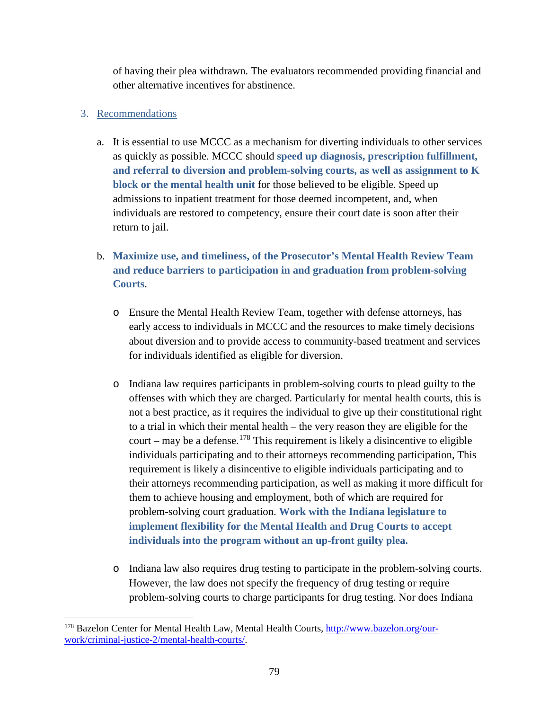of having their plea withdrawn. The evaluators recommended providing financial and other alternative incentives for abstinence.

## 3. Recommendations

- a. It is essential to use MCCC as a mechanism for diverting individuals to other services as quickly as possible. MCCC should **speed up diagnosis, prescription fulfillment, and referral to diversion and problem-solving courts, as well as assignment to K block or the mental health unit** for those believed to be eligible. Speed up admissions to inpatient treatment for those deemed incompetent, and, when individuals are restored to competency, ensure their court date is soon after their return to jail.
- b. **Maximize use, and timeliness, of the Prosecutor's Mental Health Review Team and reduce barriers to participation in and graduation from problem-solving Courts**.
	- o Ensure the Mental Health Review Team, together with defense attorneys, has early access to individuals in MCCC and the resources to make timely decisions about diversion and to provide access to community-based treatment and services for individuals identified as eligible for diversion.
	- o Indiana law requires participants in problem-solving courts to plead guilty to the offenses with which they are charged. Particularly for mental health courts, this is not a best practice, as it requires the individual to give up their constitutional right to a trial in which their mental health – the very reason they are eligible for the court – may be a defense.<sup>[178](#page-78-0)</sup> This requirement is likely a disincentive to eligible individuals participating and to their attorneys recommending participation, This requirement is likely a disincentive to eligible individuals participating and to their attorneys recommending participation, as well as making it more difficult for them to achieve housing and employment, both of which are required for problem-solving court graduation. **Work with the Indiana legislature to implement flexibility for the Mental Health and Drug Courts to accept individuals into the program without an up-front guilty plea.**
	- o Indiana law also requires drug testing to participate in the problem-solving courts. However, the law does not specify the frequency of drug testing or require problem-solving courts to charge participants for drug testing. Nor does Indiana

<span id="page-78-0"></span><sup>&</sup>lt;sup>178</sup> Bazelon Center for Mental Health Law, Mental Health Courts, [http://www.bazelon.org/our](http://www.bazelon.org/our-work/criminal-justice-2/mental-health-courts/)[work/criminal-justice-2/mental-health-courts/.](http://www.bazelon.org/our-work/criminal-justice-2/mental-health-courts/)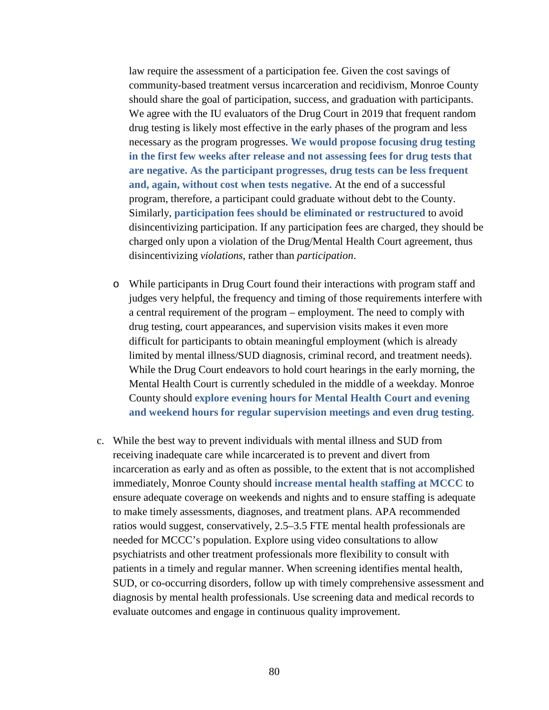law require the assessment of a participation fee. Given the cost savings of community-based treatment versus incarceration and recidivism, Monroe County should share the goal of participation, success, and graduation with participants. We agree with the IU evaluators of the Drug Court in 2019 that frequent random drug testing is likely most effective in the early phases of the program and less necessary as the program progresses. **We would propose focusing drug testing in the first few weeks after release and not assessing fees for drug tests that are negative. As the participant progresses, drug tests can be less frequent and, again, without cost when tests negative.** At the end of a successful program, therefore, a participant could graduate without debt to the County. Similarly, **participation fees should be eliminated or restructured** to avoid disincentivizing participation. If any participation fees are charged, they should be charged only upon a violation of the Drug/Mental Health Court agreement, thus disincentivizing *violations*, rather than *participation*.

- o While participants in Drug Court found their interactions with program staff and judges very helpful, the frequency and timing of those requirements interfere with a central requirement of the program – employment. The need to comply with drug testing, court appearances, and supervision visits makes it even more difficult for participants to obtain meaningful employment (which is already limited by mental illness/SUD diagnosis, criminal record, and treatment needs). While the Drug Court endeavors to hold court hearings in the early morning, the Mental Health Court is currently scheduled in the middle of a weekday. Monroe County should **explore evening hours for Mental Health Court and evening and weekend hours for regular supervision meetings and even drug testing**.
- c. While the best way to prevent individuals with mental illness and SUD from receiving inadequate care while incarcerated is to prevent and divert from incarceration as early and as often as possible, to the extent that is not accomplished immediately, Monroe County should **increase mental health staffing at MCCC** to ensure adequate coverage on weekends and nights and to ensure staffing is adequate to make timely assessments, diagnoses, and treatment plans. APA recommended ratios would suggest, conservatively, 2.5–3.5 FTE mental health professionals are needed for MCCC's population. Explore using video consultations to allow psychiatrists and other treatment professionals more flexibility to consult with patients in a timely and regular manner. When screening identifies mental health, SUD, or co-occurring disorders, follow up with timely comprehensive assessment and diagnosis by mental health professionals. Use screening data and medical records to evaluate outcomes and engage in continuous quality improvement.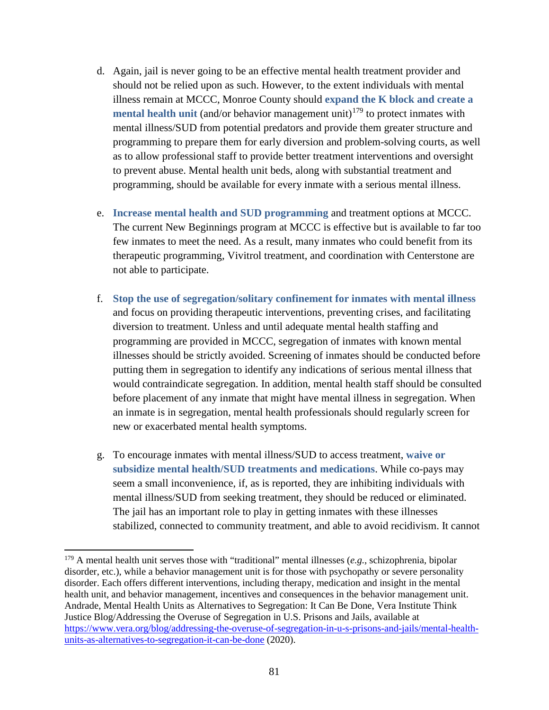- d. Again, jail is never going to be an effective mental health treatment provider and should not be relied upon as such. However, to the extent individuals with mental illness remain at MCCC, Monroe County should **expand the K block and create a mental health unit** (and/or behavior management unit)<sup>[179](#page-80-0)</sup> to protect inmates with mental illness/SUD from potential predators and provide them greater structure and programming to prepare them for early diversion and problem-solving courts, as well as to allow professional staff to provide better treatment interventions and oversight to prevent abuse. Mental health unit beds, along with substantial treatment and programming, should be available for every inmate with a serious mental illness.
- e. **Increase mental health and SUD programming** and treatment options at MCCC. The current New Beginnings program at MCCC is effective but is available to far too few inmates to meet the need. As a result, many inmates who could benefit from its therapeutic programming, Vivitrol treatment, and coordination with Centerstone are not able to participate.
- f. **Stop the use of segregation/solitary confinement for inmates with mental illness** and focus on providing therapeutic interventions, preventing crises, and facilitating diversion to treatment. Unless and until adequate mental health staffing and programming are provided in MCCC, segregation of inmates with known mental illnesses should be strictly avoided. Screening of inmates should be conducted before putting them in segregation to identify any indications of serious mental illness that would contraindicate segregation. In addition, mental health staff should be consulted before placement of any inmate that might have mental illness in segregation. When an inmate is in segregation, mental health professionals should regularly screen for new or exacerbated mental health symptoms.
- g. To encourage inmates with mental illness/SUD to access treatment, **waive or subsidize mental health/SUD treatments and medications**. While co-pays may seem a small inconvenience, if, as is reported, they are inhibiting individuals with mental illness/SUD from seeking treatment, they should be reduced or eliminated. The jail has an important role to play in getting inmates with these illnesses stabilized, connected to community treatment, and able to avoid recidivism. It cannot

<span id="page-80-0"></span><sup>179</sup> A mental health unit serves those with "traditional" mental illnesses (*e.g.*, schizophrenia, bipolar disorder, etc.), while a behavior management unit is for those with psychopathy or severe personality disorder. Each offers different interventions, including therapy, medication and insight in the mental health unit, and behavior management, incentives and consequences in the behavior management unit. Andrade, Mental Health Units as Alternatives to Segregation: It Can Be Done, Vera Institute Think Justice Blog/Addressing the Overuse of Segregation in U.S. Prisons and Jails, available at [https://www.vera.org/blog/addressing-the-overuse-of-segregation-in-u-s-prisons-and-jails/mental-health](https://www.vera.org/blog/addressing-the-overuse-of-segregation-in-u-s-prisons-and-jails/mental-health-units-as-alternatives-to-segregation-it-can-be-done)[units-as-alternatives-to-segregation-it-can-be-done](https://www.vera.org/blog/addressing-the-overuse-of-segregation-in-u-s-prisons-and-jails/mental-health-units-as-alternatives-to-segregation-it-can-be-done) (2020).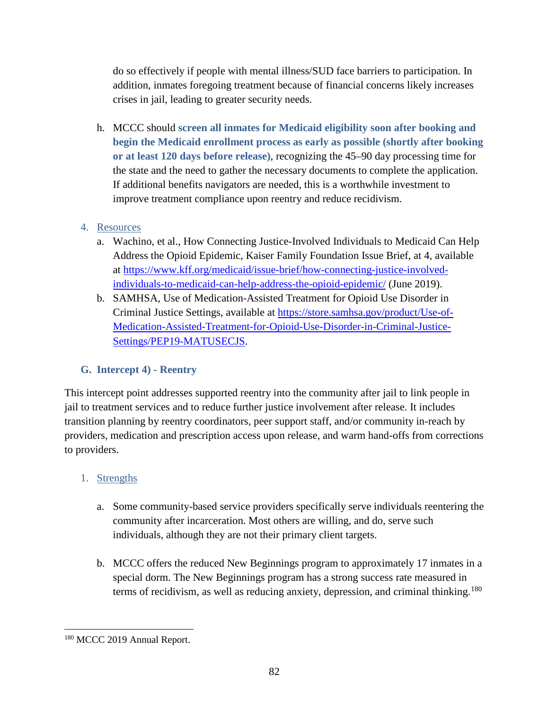do so effectively if people with mental illness/SUD face barriers to participation. In addition, inmates foregoing treatment because of financial concerns likely increases crises in jail, leading to greater security needs.

h. MCCC should **screen all inmates for Medicaid eligibility soon after booking and begin the Medicaid enrollment process as early as possible (shortly after booking or at least 120 days before release)**, recognizing the 45–90 day processing time for the state and the need to gather the necessary documents to complete the application. If additional benefits navigators are needed, this is a worthwhile investment to improve treatment compliance upon reentry and reduce recidivism.

## 4. Resources

- a. Wachino, et al., How Connecting Justice-Involved Individuals to Medicaid Can Help Address the Opioid Epidemic, Kaiser Family Foundation Issue Brief, at 4, available at [https://www.kff.org/medicaid/issue-brief/how-connecting-justice-involved](https://www.kff.org/medicaid/issue-brief/how-connecting-justice-involved-individuals-to-medicaid-can-help-address-the-opioid-epidemic/)[individuals-to-medicaid-can-help-address-the-opioid-epidemic/](https://www.kff.org/medicaid/issue-brief/how-connecting-justice-involved-individuals-to-medicaid-can-help-address-the-opioid-epidemic/) (June 2019).
- b. SAMHSA, Use of Medication-Assisted Treatment for Opioid Use Disorder in Criminal Justice Settings, available at [https://store.samhsa.gov/product/Use-of-](https://store.samhsa.gov/product/Use-of-Medication-Assisted-Treatment-for-Opioid-Use-Disorder-in-Criminal-Justice-Settings/PEP19-MATUSECJS)[Medication-Assisted-Treatment-for-Opioid-Use-Disorder-in-Criminal-Justice-](https://store.samhsa.gov/product/Use-of-Medication-Assisted-Treatment-for-Opioid-Use-Disorder-in-Criminal-Justice-Settings/PEP19-MATUSECJS)[Settings/PEP19-MATUSECJS.](https://store.samhsa.gov/product/Use-of-Medication-Assisted-Treatment-for-Opioid-Use-Disorder-in-Criminal-Justice-Settings/PEP19-MATUSECJS)

## **G. Intercept 4) - Reentry**

This intercept point addresses supported reentry into the community after jail to link people in jail to treatment services and to reduce further justice involvement after release. It includes transition planning by reentry coordinators, peer support staff, and/or community in-reach by providers, medication and prescription access upon release, and warm hand-offs from corrections to providers.

# 1. Strengths

- a. Some community-based service providers specifically serve individuals reentering the community after incarceration. Most others are willing, and do, serve such individuals, although they are not their primary client targets.
- b. MCCC offers the reduced New Beginnings program to approximately 17 inmates in a special dorm. The New Beginnings program has a strong success rate measured in terms of recidivism, as well as reducing anxiety, depression, and criminal thinking.<sup>[180](#page-81-0)</sup>

<span id="page-81-0"></span>l <sup>180</sup> MCCC 2019 Annual Report.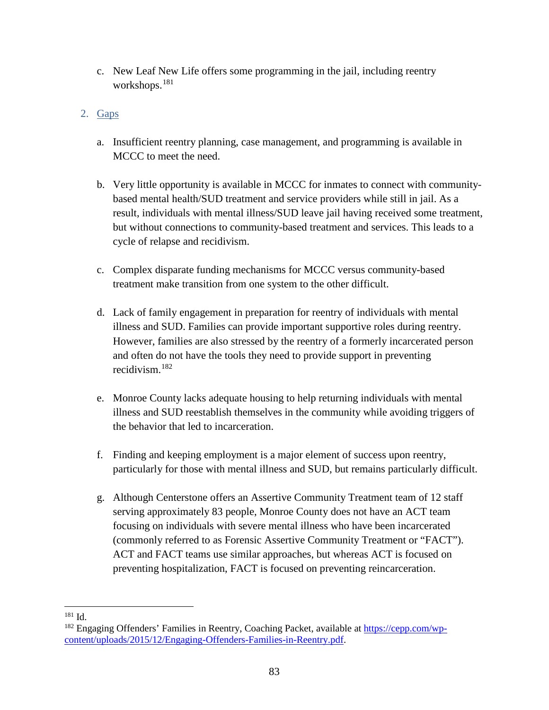- c. New Leaf New Life offers some programming in the jail, including reentry workshops.[181](#page-82-0)
- 2. Gaps
	- a. Insufficient reentry planning, case management, and programming is available in MCCC to meet the need.
	- b. Very little opportunity is available in MCCC for inmates to connect with communitybased mental health/SUD treatment and service providers while still in jail. As a result, individuals with mental illness/SUD leave jail having received some treatment, but without connections to community-based treatment and services. This leads to a cycle of relapse and recidivism.
	- c. Complex disparate funding mechanisms for MCCC versus community-based treatment make transition from one system to the other difficult.
	- d. Lack of family engagement in preparation for reentry of individuals with mental illness and SUD. Families can provide important supportive roles during reentry. However, families are also stressed by the reentry of a formerly incarcerated person and often do not have the tools they need to provide support in preventing recidivism.[182](#page-82-1)
	- e. Monroe County lacks adequate housing to help returning individuals with mental illness and SUD reestablish themselves in the community while avoiding triggers of the behavior that led to incarceration.
	- f. Finding and keeping employment is a major element of success upon reentry, particularly for those with mental illness and SUD, but remains particularly difficult.
	- g. Although Centerstone offers an Assertive Community Treatment team of 12 staff serving approximately 83 people, Monroe County does not have an ACT team focusing on individuals with severe mental illness who have been incarcerated (commonly referred to as Forensic Assertive Community Treatment or "FACT"). ACT and FACT teams use similar approaches, but whereas ACT is focused on preventing hospitalization, FACT is focused on preventing reincarceration.

 $\overline{\phantom{a}}$ <sup>181</sup> Id.

<span id="page-82-1"></span><span id="page-82-0"></span><sup>&</sup>lt;sup>182</sup> Engaging Offenders' Families in Reentry, Coaching Packet, available a[t https://cepp.com/wp](https://cepp.com/wp-content/uploads/2015/12/Engaging-Offenders-Families-in-Reentry.pdf)[content/uploads/2015/12/Engaging-Offenders-Families-in-Reentry.pdf.](https://cepp.com/wp-content/uploads/2015/12/Engaging-Offenders-Families-in-Reentry.pdf)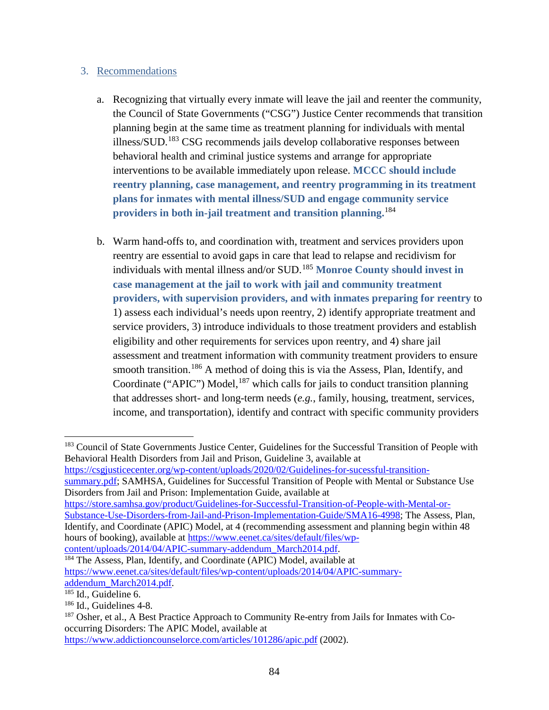### 3. Recommendations

- a. Recognizing that virtually every inmate will leave the jail and reenter the community, the Council of State Governments ("CSG") Justice Center recommends that transition planning begin at the same time as treatment planning for individuals with mental illness/SUD.[183](#page-83-0) CSG recommends jails develop collaborative responses between behavioral health and criminal justice systems and arrange for appropriate interventions to be available immediately upon release. **MCCC should include reentry planning, case management, and reentry programming in its treatment plans for inmates with mental illness/SUD and engage community service providers in both in-jail treatment and transition planning.**[184](#page-83-1)
- b. Warm hand-offs to, and coordination with, treatment and services providers upon reentry are essential to avoid gaps in care that lead to relapse and recidivism for individuals with mental illness and/or SUD. [185](#page-83-2) **Monroe County should invest in case management at the jail to work with jail and community treatment providers, with supervision providers, and with inmates preparing for reentry** to 1) assess each individual's needs upon reentry, 2) identify appropriate treatment and service providers, 3) introduce individuals to those treatment providers and establish eligibility and other requirements for services upon reentry, and 4) share jail assessment and treatment information with community treatment providers to ensure smooth transition.<sup>[186](#page-83-3)</sup> A method of doing this is via the Assess, Plan, Identify, and Coordinate ("APIC") Model,<sup>[187](#page-83-4)</sup> which calls for jails to conduct transition planning that addresses short- and long-term needs (*e.g.*, family, housing, treatment, services, income, and transportation), identify and contract with specific community providers

[https://csgjusticecenter.org/wp-content/uploads/2020/02/Guidelines-for-sucessful-transition](https://csgjusticecenter.org/wp-content/uploads/2020/02/Guidelines-for-sucessful-transition-summary.pdf)[summary.pdf;](https://csgjusticecenter.org/wp-content/uploads/2020/02/Guidelines-for-sucessful-transition-summary.pdf) SAMHSA, Guidelines for Successful Transition of People with Mental or Substance Use Disorders from Jail and Prison: Implementation Guide, available at

[https://store.samhsa.gov/product/Guidelines-for-Successful-Transition-of-People-with-Mental-or-](https://store.samhsa.gov/product/Guidelines-for-Successful-Transition-of-People-with-Mental-or-Substance-Use-Disorders-from-Jail-and-Prison-Implementation-Guide/SMA16-4998)[Substance-Use-Disorders-from-Jail-and-Prison-Implementation-Guide/SMA16-4998;](https://store.samhsa.gov/product/Guidelines-for-Successful-Transition-of-People-with-Mental-or-Substance-Use-Disorders-from-Jail-and-Prison-Implementation-Guide/SMA16-4998) The Assess, Plan, Identify, and Coordinate (APIC) Model, at 4 (recommending assessment and planning begin within 48 hours of booking), available at [https://www.eenet.ca/sites/default/files/wp](https://www.eenet.ca/sites/default/files/wp-content/uploads/2014/04/APIC-summary-addendum_March2014.pdf)[content/uploads/2014/04/APIC-summary-addendum\\_March2014.pdf.](https://www.eenet.ca/sites/default/files/wp-content/uploads/2014/04/APIC-summary-addendum_March2014.pdf)

<span id="page-83-1"></span><sup>184</sup> The Assess, Plan, Identify, and Coordinate (APIC) Model, available at [https://www.eenet.ca/sites/default/files/wp-content/uploads/2014/04/APIC-summary](https://www.eenet.ca/sites/default/files/wp-content/uploads/2014/04/APIC-summary-addendum_March2014.pdf)[addendum\\_March2014.pdf.](https://www.eenet.ca/sites/default/files/wp-content/uploads/2014/04/APIC-summary-addendum_March2014.pdf) 185 Id., Guideline 6.

<span id="page-83-0"></span> $\overline{a}$ <sup>183</sup> Council of State Governments Justice Center, Guidelines for the Successful Transition of People with Behavioral Health Disorders from Jail and Prison, Guideline 3, available at

<span id="page-83-2"></span>

<span id="page-83-3"></span><sup>&</sup>lt;sup>186</sup> Id., Guidelines 4-8.

<span id="page-83-4"></span><sup>&</sup>lt;sup>187</sup> Osher, et al., A Best Practice Approach to Community Re-entry from Jails for Inmates with Cooccurring Disorders: The APIC Model, available at

<https://www.addictioncounselorce.com/articles/101286/apic.pdf> (2002).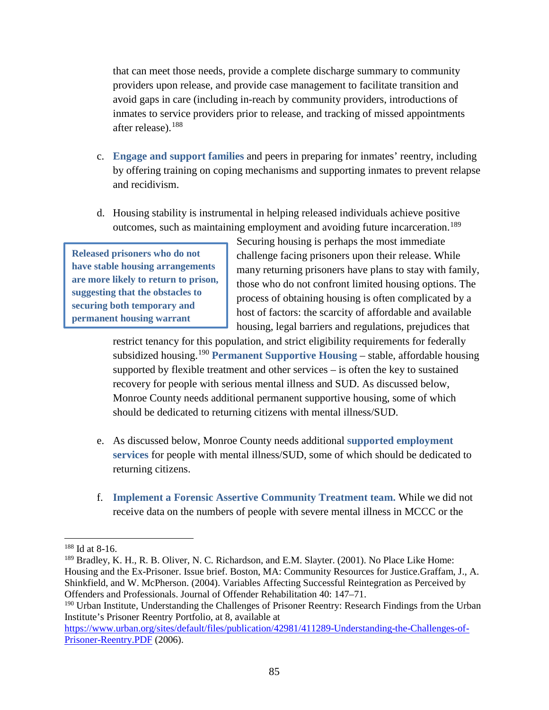that can meet those needs, provide a complete discharge summary to community providers upon release, and provide case management to facilitate transition and avoid gaps in care (including in-reach by community providers, introductions of inmates to service providers prior to release, and tracking of missed appointments after release). [188](#page-84-0)

- c. **Engage and support families** and peers in preparing for inmates' reentry, including by offering training on coping mechanisms and supporting inmates to prevent relapse and recidivism.
- d. Housing stability is instrumental in helping released individuals achieve positive outcomes, such as maintaining employment and avoiding future incarceration.[189](#page-84-1)

**Released prisoners who do not have stable housing arrangements are more likely to return to prison, suggesting that the obstacles to securing both temporary and permanent housing warrant** 

Securing housing is perhaps the most immediate challenge facing prisoners upon their release. While many returning prisoners have plans to stay with family, those who do not confront limited housing options. The process of obtaining housing is often complicated by a host of factors: the scarcity of affordable and available housing, legal barriers and regulations, prejudices that

restrict tenancy for this population, and strict eligibility requirements for federally subsidized housing.[190](#page-84-2) **Permanent Supportive Housing** – stable, affordable housing supported by flexible treatment and other services – is often the key to sustained recovery for people with serious mental illness and SUD. As discussed below, Monroe County needs additional permanent supportive housing, some of which should be dedicated to returning citizens with mental illness/SUD.

- e. As discussed below, Monroe County needs additional **supported employment services** for people with mental illness/SUD, some of which should be dedicated to returning citizens.
- f. **Implement a Forensic Assertive Community Treatment team.** While we did not receive data on the numbers of people with severe mental illness in MCCC or the

<span id="page-84-0"></span><sup>188</sup> Id at 8-16.

<span id="page-84-1"></span><sup>&</sup>lt;sup>189</sup> Bradley, K. H., R. B. Oliver, N. C. Richardson, and E.M. Slayter. (2001). No Place Like Home: Housing and the Ex-Prisoner. Issue brief. Boston, MA: Community Resources for Justice.Graffam, J., A. Shinkfield, and W. McPherson. (2004). Variables Affecting Successful Reintegration as Perceived by Offenders and Professionals. Journal of Offender Rehabilitation 40: 147–71.

<span id="page-84-2"></span><sup>&</sup>lt;sup>190</sup> Urban Institute, Understanding the Challenges of Prisoner Reentry: Research Findings from the Urban Institute's Prisoner Reentry Portfolio, at 8, available at

[https://www.urban.org/sites/default/files/publication/42981/411289-Understanding-the-Challenges-of-](https://www.urban.org/sites/default/files/publication/42981/411289-Understanding-the-Challenges-of-Prisoner-Reentry.PDF)[Prisoner-Reentry.PDF](https://www.urban.org/sites/default/files/publication/42981/411289-Understanding-the-Challenges-of-Prisoner-Reentry.PDF) (2006).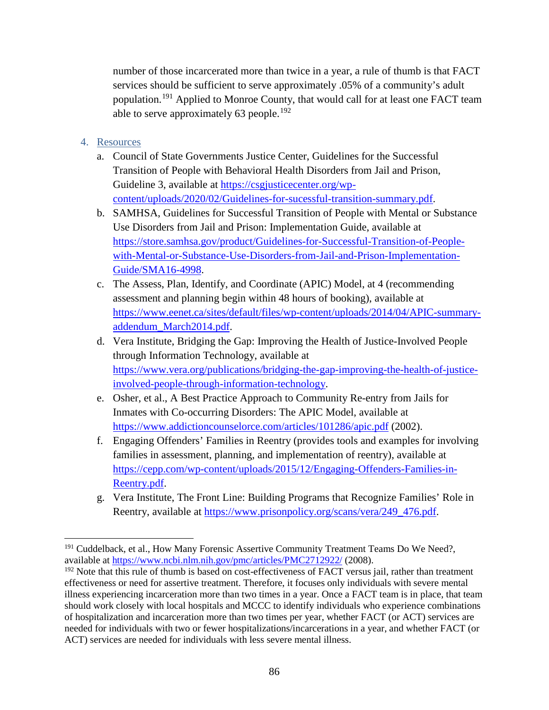number of those incarcerated more than twice in a year, a rule of thumb is that FACT services should be sufficient to serve approximately .05% of a community's adult population.<sup>[191](#page-85-0)</sup> Applied to Monroe County, that would call for at least one FACT team able to serve approximately  $63$  people.<sup>[192](#page-85-1)</sup>

- 4. Resources
	- a. Council of State Governments Justice Center, Guidelines for the Successful Transition of People with Behavioral Health Disorders from Jail and Prison, Guideline 3, available at [https://csgjusticecenter.org/wp](https://csgjusticecenter.org/wp-content/uploads/2020/02/Guidelines-for-sucessful-transition-summary.pdf)[content/uploads/2020/02/Guidelines-for-sucessful-transition-summary.pdf.](https://csgjusticecenter.org/wp-content/uploads/2020/02/Guidelines-for-sucessful-transition-summary.pdf)
	- b. SAMHSA, Guidelines for Successful Transition of People with Mental or Substance Use Disorders from Jail and Prison: Implementation Guide, available at [https://store.samhsa.gov/product/Guidelines-for-Successful-Transition-of-People](https://store.samhsa.gov/product/Guidelines-for-Successful-Transition-of-People-with-Mental-or-Substance-Use-Disorders-from-Jail-and-Prison-Implementation-Guide/SMA16-4998)[with-Mental-or-Substance-Use-Disorders-from-Jail-and-Prison-Implementation-](https://store.samhsa.gov/product/Guidelines-for-Successful-Transition-of-People-with-Mental-or-Substance-Use-Disorders-from-Jail-and-Prison-Implementation-Guide/SMA16-4998)[Guide/SMA16-4998.](https://store.samhsa.gov/product/Guidelines-for-Successful-Transition-of-People-with-Mental-or-Substance-Use-Disorders-from-Jail-and-Prison-Implementation-Guide/SMA16-4998)
	- c. The Assess, Plan, Identify, and Coordinate (APIC) Model, at 4 (recommending assessment and planning begin within 48 hours of booking), available at [https://www.eenet.ca/sites/default/files/wp-content/uploads/2014/04/APIC-summary](https://www.eenet.ca/sites/default/files/wp-content/uploads/2014/04/APIC-summary-addendum_March2014.pdf)[addendum\\_March2014.pdf.](https://www.eenet.ca/sites/default/files/wp-content/uploads/2014/04/APIC-summary-addendum_March2014.pdf)
	- d. Vera Institute, Bridging the Gap: Improving the Health of Justice-Involved People through Information Technology, available at [https://www.vera.org/publications/bridging-the-gap-improving-the-health-of-justice](https://www.vera.org/publications/bridging-the-gap-improving-the-health-of-justice-involved-people-through-information-technology)[involved-people-through-information-technology.](https://www.vera.org/publications/bridging-the-gap-improving-the-health-of-justice-involved-people-through-information-technology)
	- e. Osher, et al., A Best Practice Approach to Community Re-entry from Jails for Inmates with Co-occurring Disorders: The APIC Model, available at <https://www.addictioncounselorce.com/articles/101286/apic.pdf> (2002).
	- f. Engaging Offenders' Families in Reentry (provides tools and examples for involving families in assessment, planning, and implementation of reentry), available at [https://cepp.com/wp-content/uploads/2015/12/Engaging-Offenders-Families-in-](https://cepp.com/wp-content/uploads/2015/12/Engaging-Offenders-Families-in-Reentry.pdf)[Reentry.pdf.](https://cepp.com/wp-content/uploads/2015/12/Engaging-Offenders-Families-in-Reentry.pdf)
	- g. Vera Institute, The Front Line: Building Programs that Recognize Families' Role in Reentry, available at [https://www.prisonpolicy.org/scans/vera/249\\_476.pdf.](https://www.prisonpolicy.org/scans/vera/249_476.pdf)

<span id="page-85-0"></span>l <sup>191</sup> Cuddelback, et al., How Many Forensic Assertive Community Treatment Teams Do We Need?, available at<https://www.ncbi.nlm.nih.gov/pmc/articles/PMC2712922/> (2008).

<span id="page-85-1"></span><sup>&</sup>lt;sup>192</sup> Note that this rule of thumb is based on cost-effectiveness of FACT versus jail, rather than treatment effectiveness or need for assertive treatment. Therefore, it focuses only individuals with severe mental illness experiencing incarceration more than two times in a year. Once a FACT team is in place, that team should work closely with local hospitals and MCCC to identify individuals who experience combinations of hospitalization and incarceration more than two times per year, whether FACT (or ACT) services are needed for individuals with two or fewer hospitalizations/incarcerations in a year, and whether FACT (or ACT) services are needed for individuals with less severe mental illness.